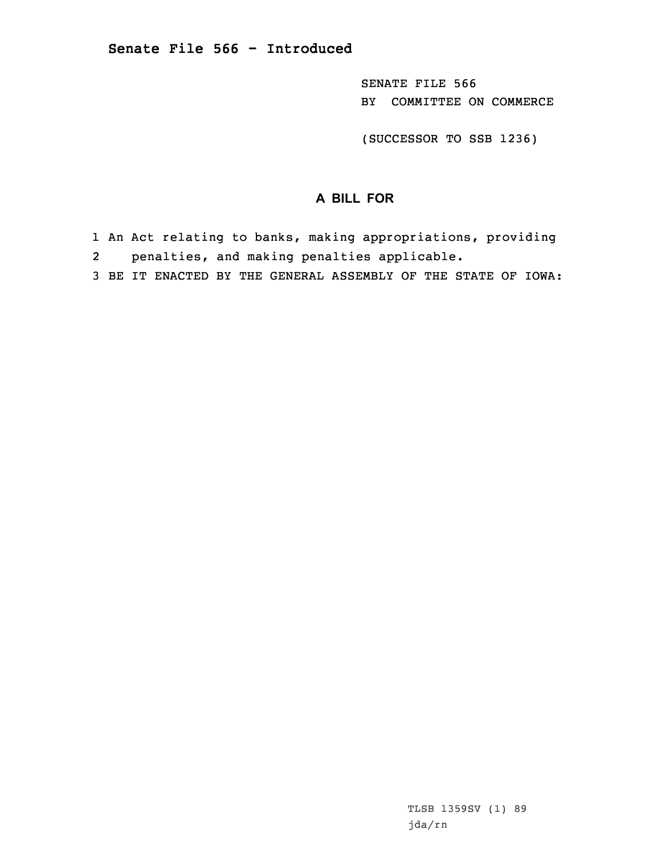SENATE FILE 566 BY COMMITTEE ON COMMERCE

(SUCCESSOR TO SSB 1236)

## **A BILL FOR**

- 1 An Act relating to banks, making appropriations, providing 2penalties, and making penalties applicable.
- 3 BE IT ENACTED BY THE GENERAL ASSEMBLY OF THE STATE OF IOWA: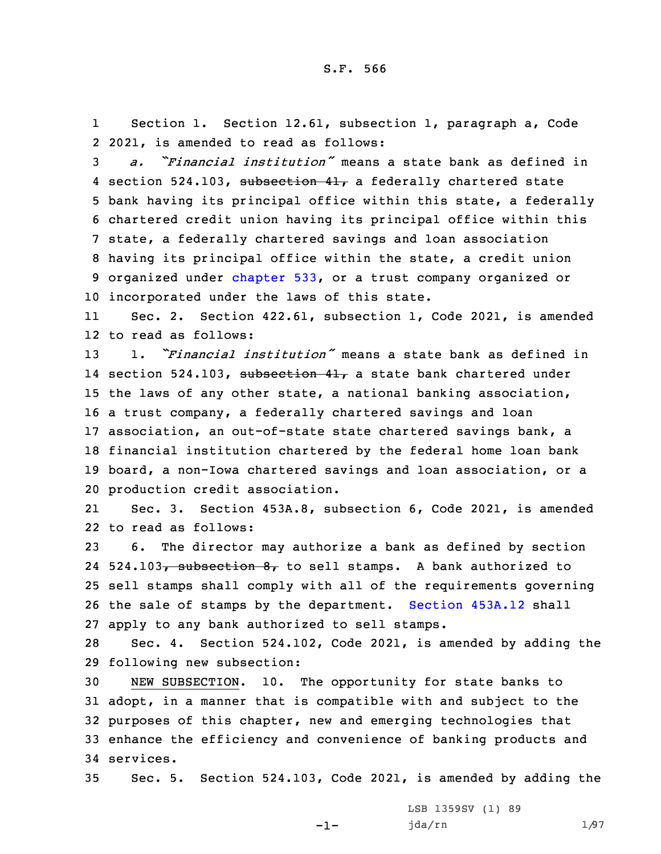1 Section 1. Section 12.61, subsection 1, paragraph a, Code 2 2021, is amended to read as follows:

 *a. "Financial institution"* means <sup>a</sup> state bank as defined in 4 section 524.103, subsection 41, a federally chartered state bank having its principal office within this state, <sup>a</sup> federally chartered credit union having its principal office within this state, <sup>a</sup> federally chartered savings and loan association having its principal office within the state, <sup>a</sup> credit union organized under [chapter](https://www.legis.iowa.gov/docs/code/2021/533.pdf) 533, or <sup>a</sup> trust company organized or incorporated under the laws of this state.

11 Sec. 2. Section 422.61, subsection 1, Code 2021, is amended 12 to read as follows:

 1. *"Financial institution"* means <sup>a</sup> state bank as defined in 14 section 524.103, <del>subsection 41,</del> a state bank chartered under the laws of any other state, <sup>a</sup> national banking association, <sup>a</sup> trust company, <sup>a</sup> federally chartered savings and loan association, an out-of-state state chartered savings bank, <sup>a</sup> financial institution chartered by the federal home loan bank board, <sup>a</sup> non-Iowa chartered savings and loan association, or <sup>a</sup> production credit association.

21 Sec. 3. Section 453A.8, subsection 6, Code 2021, is amended 22 to read as follows:

 6. The director may authorize <sup>a</sup> bank as defined by section 24 524.103<del>, subsection 8,</del> to sell stamps. A bank authorized to sell stamps shall comply with all of the requirements governing the sale of stamps by the department. [Section](https://www.legis.iowa.gov/docs/code/2021/453A.12.pdf) 453A.12 shall apply to any bank authorized to sell stamps.

28 Sec. 4. Section 524.102, Code 2021, is amended by adding the 29 following new subsection:

 NEW SUBSECTION. 10. The opportunity for state banks to adopt, in <sup>a</sup> manner that is compatible with and subject to the purposes of this chapter, new and emerging technologies that enhance the efficiency and convenience of banking products and services.

35 Sec. 5. Section 524.103, Code 2021, is amended by adding the

-1-

LSB 1359SV (1) 89 jda/rn 1/97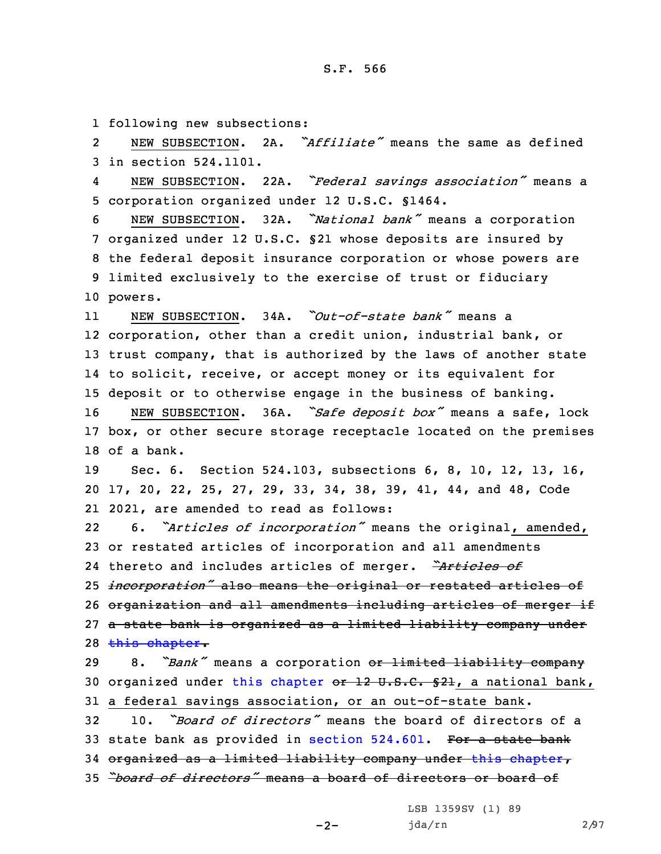1 following new subsections:

2 NEW SUBSECTION. 2A. *"Affiliate"* means the same as defined 3 in section 524.1101.

4 NEW SUBSECTION. 22A. *"Federal savings association"* means <sup>a</sup> 5 corporation organized under 12 U.S.C. §1464.

 NEW SUBSECTION. 32A. *"National bank"* means <sup>a</sup> corporation organized under 12 U.S.C. §21 whose deposits are insured by the federal deposit insurance corporation or whose powers are limited exclusively to the exercise of trust or fiduciary 10 powers.

11 NEW SUBSECTION. 34A. *"Out-of-state bank"* means <sup>a</sup> corporation, other than <sup>a</sup> credit union, industrial bank, or trust company, that is authorized by the laws of another state to solicit, receive, or accept money or its equivalent for deposit or to otherwise engage in the business of banking.

<sup>16</sup> NEW SUBSECTION. 36A. *"Safe deposit box"* means <sup>a</sup> safe, lock 17 box, or other secure storage receptacle located on the premises 18 of a bank.

19 Sec. 6. Section 524.103, subsections 6, 8, 10, 12, 13, 16, 20 17, 20, 22, 25, 27, 29, 33, 34, 38, 39, 41, 44, and 48, Code 21 2021, are amended to read as follows:

22 6. *"Articles of incorporation"* means the original, amended, or restated articles of incorporation and all amendments thereto and includes articles of merger. *"Articles of incorporation"* also means the original or restated articles of organization and all amendments including articles of merger if <sup>a</sup> state bank is organized as <sup>a</sup> limited liability company under 28 this [chapter](https://www.legis.iowa.gov/docs/code/2021/524.pdf).

<sup>29</sup> 8. *"Bank"* means <sup>a</sup> corporation or limited liability company 30 organized under this [chapter](https://www.legis.iowa.gov/docs/code/2021/524.pdf) or 12 U.S.C. §21, a national bank, 31 <sup>a</sup> federal savings association, or an out-of-state bank.

 10. *"Board of directors"* means the board of directors of <sup>a</sup> 33 state bank as provided in section [524.601](https://www.legis.iowa.gov/docs/code/2021/524.601.pdf). For a state bank organized as <sup>a</sup> limited liability company under this [chapter](https://www.legis.iowa.gov/docs/code/2021/524.pdf), *"board of directors"* means <sup>a</sup> board of directors or board of

 $-2-$ 

LSB 1359SV (1) 89 jda/rn 2/97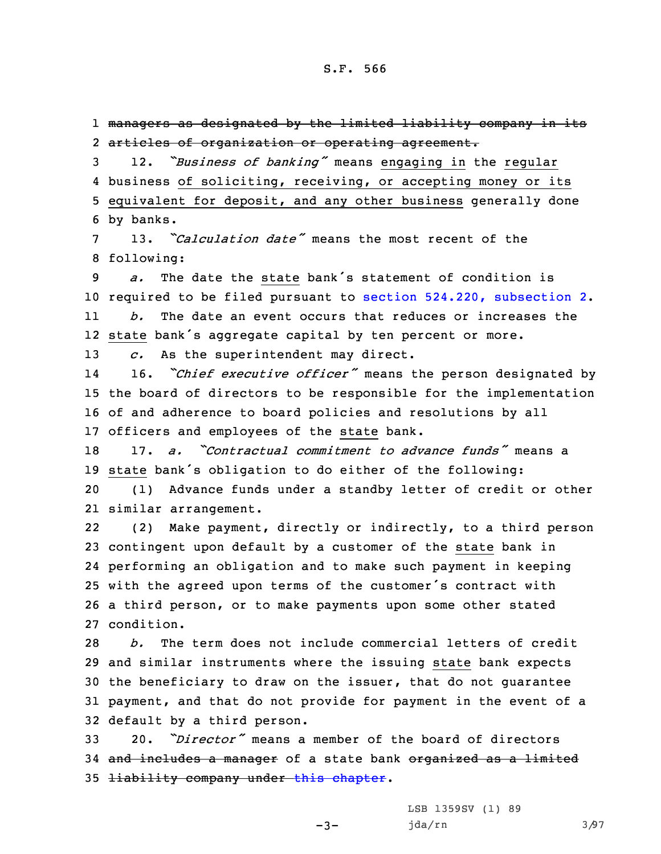1 managers as designated by the limited liability company in its 2 articles of organization or operating agreement.

 12. *"Business of banking"* means engaging in the regular business of soliciting, receiving, or accepting money or its equivalent for deposit, and any other business generally done by banks.

7 13. *"Calculation date"* means the most recent of the 8 following:

9 *a.* The date the state bank's statement of condition is 10 required to be filed pursuant to section 524.220, [subsection](https://www.legis.iowa.gov/docs/code/2021/524.220.pdf) 2. 11*b.* The date an event occurs that reduces or increases the

12 state bank's aggregate capital by ten percent or more.

13 *c.* As the superintendent may direct.

14 16. *"Chief executive officer"* means the person designated by 15 the board of directors to be responsible for the implementation 16 of and adherence to board policies and resolutions by all 17 officers and employees of the state bank.

18 17. *a. "Contractual commitment to advance funds"* means <sup>a</sup> <sup>19</sup> state bank's obligation to do either of the following:

20 (1) Advance funds under <sup>a</sup> standby letter of credit or other 21 similar arrangement.

22 (2) Make payment, directly or indirectly, to <sup>a</sup> third person contingent upon default by <sup>a</sup> customer of the state bank in performing an obligation and to make such payment in keeping with the agreed upon terms of the customer's contract with <sup>a</sup> third person, or to make payments upon some other stated condition.

 *b.* The term does not include commercial letters of credit and similar instruments where the issuing state bank expects the beneficiary to draw on the issuer, that do not guarantee payment, and that do not provide for payment in the event of <sup>a</sup> default by <sup>a</sup> third person.

33 20. *"Director"* means <sup>a</sup> member of the board of directors 34 and includes a manager of a state bank organized as a limited 35 <del>liability company under this [chapter](https://www.legis.iowa.gov/docs/code/2021/524.pdf)</del>.

-3-

LSB 1359SV (1) 89 jda/rn 3/97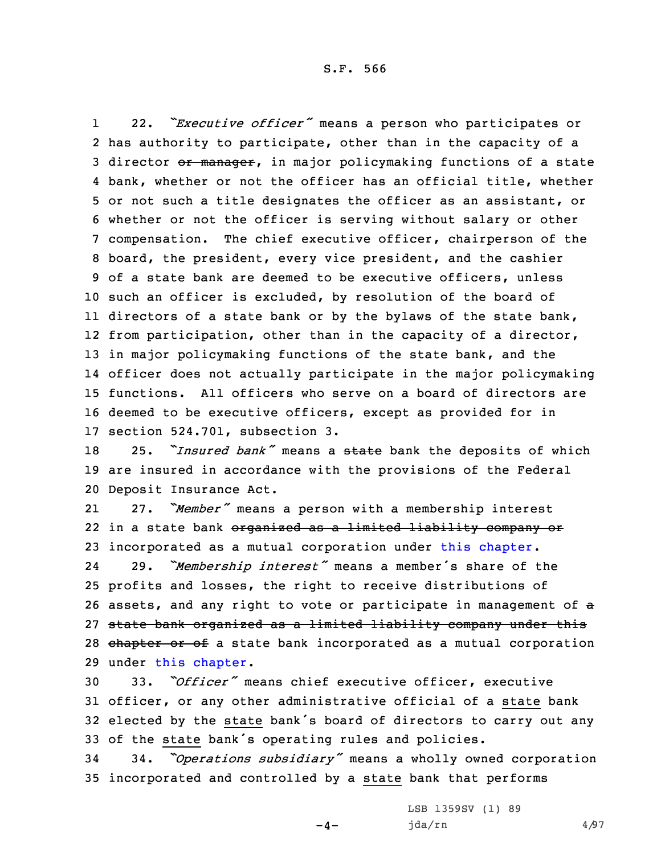1 22. *"Executive officer"* means <sup>a</sup> person who participates or has authority to participate, other than in the capacity of <sup>a</sup> 3 director or manager, in major policymaking functions of a state bank, whether or not the officer has an official title, whether or not such <sup>a</sup> title designates the officer as an assistant, or whether or not the officer is serving without salary or other compensation. The chief executive officer, chairperson of the board, the president, every vice president, and the cashier of <sup>a</sup> state bank are deemed to be executive officers, unless such an officer is excluded, by resolution of the board of 11 directors of a state bank or by the bylaws of the state bank, from participation, other than in the capacity of <sup>a</sup> director, 13 in major policymaking functions of the state bank, and the officer does not actually participate in the major policymaking functions. All officers who serve on <sup>a</sup> board of directors are deemed to be executive officers, except as provided for in section 524.701, subsection 3.

<sup>18</sup> 25. *"Insured bank"* means <sup>a</sup> state bank the deposits of which 19 are insured in accordance with the provisions of the Federal 20 Deposit Insurance Act.

21 27. *"Member"* means <sup>a</sup> person with <sup>a</sup> membership interest 22 in a state bank <del>organized as a limited liability company or</del> 23 incorporated as <sup>a</sup> mutual corporation under this [chapter](https://www.legis.iowa.gov/docs/code/2021/524.pdf).

24 29. *"Membership interest"* means <sup>a</sup> member's share of the 25 profits and losses, the right to receive distributions of 26 assets, and any right to vote or participate in management of <sup>a</sup> 27 state bank organized as <sup>a</sup> limited liability company under this 28 chapter or of a state bank incorporated as a mutual corporation 29 under this [chapter](https://www.legis.iowa.gov/docs/code/2021/524.pdf).

 33. *"Officer"* means chief executive officer, executive officer, or any other administrative official of <sup>a</sup> state bank elected by the state bank's board of directors to carry out any of the state bank's operating rules and policies.

<sup>34</sup> 34. *"Operations subsidiary"* means <sup>a</sup> wholly owned corporation 35 incorporated and controlled by <sup>a</sup> state bank that performs

 $-4-$ 

LSB 1359SV (1) 89  $jda/rn$  4/97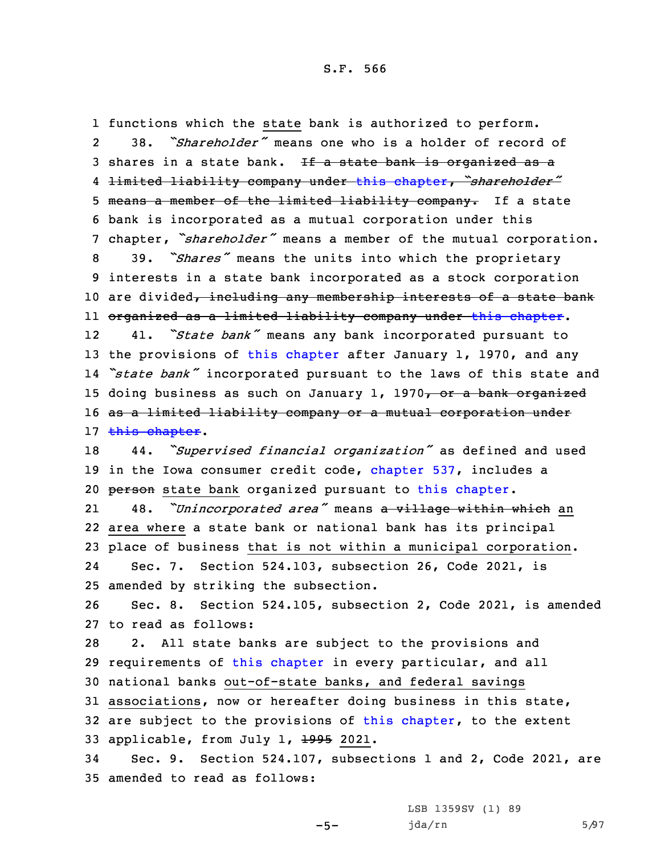1 functions which the state bank is authorized to perform. 2 38. *"Shareholder"* means one who is <sup>a</sup> holder of record of 3 shares in a state bank. If a state bank is organized as a 4 limited liability company under this [chapter](https://www.legis.iowa.gov/docs/code/2021/524.pdf), *"shareholder"* 5 means a member of the limited liability company. If a state 6 bank is incorporated as <sup>a</sup> mutual corporation under this <sup>7</sup> chapter, *"shareholder"* means <sup>a</sup> member of the mutual corporation. <sup>8</sup> 39. *"Shares"* means the units into which the proprietary 9 interests in <sup>a</sup> state bank incorporated as <sup>a</sup> stock corporation 10 are divided, including any membership interests of a state bank 11 organized as <sup>a</sup> limited liability company under this [chapter](https://www.legis.iowa.gov/docs/code/2021/524.pdf). 12 41. *"State bank"* means any bank incorporated pursuant to 13 the provisions of this [chapter](https://www.legis.iowa.gov/docs/code/2021/524.pdf) after January 1, 1970, and any 14 *"state bank"* incorporated pursuant to the laws of this state and 15 doing business as such on January 1, 1970, or a bank organized 16 as a limited liability company or a mutual corporation under 17 this [chapter](https://www.legis.iowa.gov/docs/code/2021/524.pdf). <sup>18</sup> 44. *"Supervised financial organization"* as defined and used 19 in the Iowa consumer credit code, [chapter](https://www.legis.iowa.gov/docs/code/2021/537.pdf) 537, includes <sup>a</sup> 20 person state bank organized pursuant to this [chapter](https://www.legis.iowa.gov/docs/code/2021/524.pdf). 21 48. *"Unincorporated area"* means <sup>a</sup> village within which an 22 area where <sup>a</sup> state bank or national bank has its principal 23 place of business that is not within <sup>a</sup> municipal corporation. 24 Sec. 7. Section 524.103, subsection 26, Code 2021, is 25 amended by striking the subsection. 26 Sec. 8. Section 524.105, subsection 2, Code 2021, is amended 27 to read as follows: 28 2. All state banks are subject to the provisions and 29 requirements of this [chapter](https://www.legis.iowa.gov/docs/code/2021/524.pdf) in every particular, and all 30 national banks out-of-state banks, and federal savings 31 associations, now or hereafter doing business in this state, 32 are subject to the provisions of this [chapter](https://www.legis.iowa.gov/docs/code/2021/524.pdf), to the extent 33 applicable, from July 1, 1995 2021. 34 Sec. 9. Section 524.107, subsections 1 and 2, Code 2021, are 35 amended to read as follows:

-5-

LSB 1359SV (1) 89 jda/rn 5/97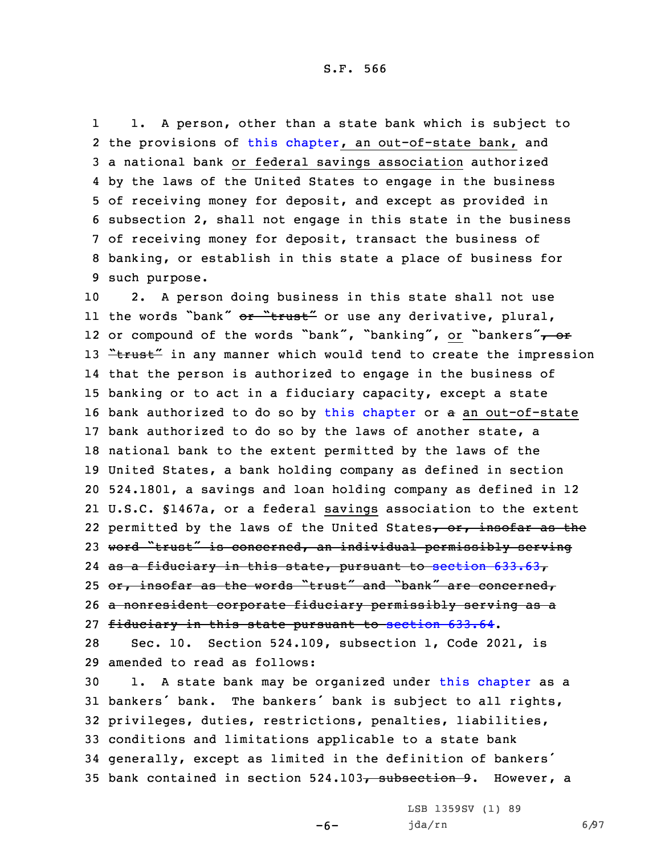S.F. 566

1 1. <sup>A</sup> person, other than <sup>a</sup> state bank which is subject to 2 the provisions of this [chapter](https://www.legis.iowa.gov/docs/code/2021/524.pdf), an out-of-state bank, and <sup>a</sup> national bank or federal savings association authorized by the laws of the United States to engage in the business of receiving money for deposit, and except as provided in subsection 2, shall not engage in this state in the business of receiving money for deposit, transact the business of banking, or establish in this state <sup>a</sup> place of business for such purpose.

 2. <sup>A</sup> person doing business in this state shall not use 11 the words "bank" <del>or "trust"</del> or use any derivative, plural, 12 or compound of the words "bank", "banking", or "bankers"<del>, or</del> 13 "trust" in any manner which would tend to create the impression that the person is authorized to engage in the business of banking or to act in <sup>a</sup> fiduciary capacity, except <sup>a</sup> state bank authorized to do so by this [chapter](https://www.legis.iowa.gov/docs/code/2021/524.pdf) or <sup>a</sup> an out-of-state bank authorized to do so by the laws of another state, <sup>a</sup> national bank to the extent permitted by the laws of the United States, <sup>a</sup> bank holding company as defined in section 524.1801, <sup>a</sup> savings and loan holding company as defined in 12 U.S.C. §1467a, or <sup>a</sup> federal savings association to the extent 22 permitted by the laws of the United States<del>, or, insofar as the</del> 23 word "trust" is concerned, an individual permissibly serving as <sup>a</sup> fiduciary in this state, pursuant to section [633.63](https://www.legis.iowa.gov/docs/code/2021/633.63.pdf), 25 or, insofar as the words "trust" and "bank" are concerned, <sup>a</sup> nonresident corporate fiduciary permissibly serving as <sup>a</sup> fiduciary in this state pursuant to [section](https://www.legis.iowa.gov/docs/code/2021/633.64.pdf) 633.64.

28 Sec. 10. Section 524.109, subsection 1, Code 2021, is 29 amended to read as follows:

 1. <sup>A</sup> state bank may be organized under this [chapter](https://www.legis.iowa.gov/docs/code/2021/524.pdf) as <sup>a</sup> bankers' bank. The bankers' bank is subject to all rights, privileges, duties, restrictions, penalties, liabilities, conditions and limitations applicable to <sup>a</sup> state bank generally, except as limited in the definition of bankers' 35 bank contained in section 524.103, subsection 9. However, a

-6-

LSB 1359SV (1) 89 jda/rn 6/97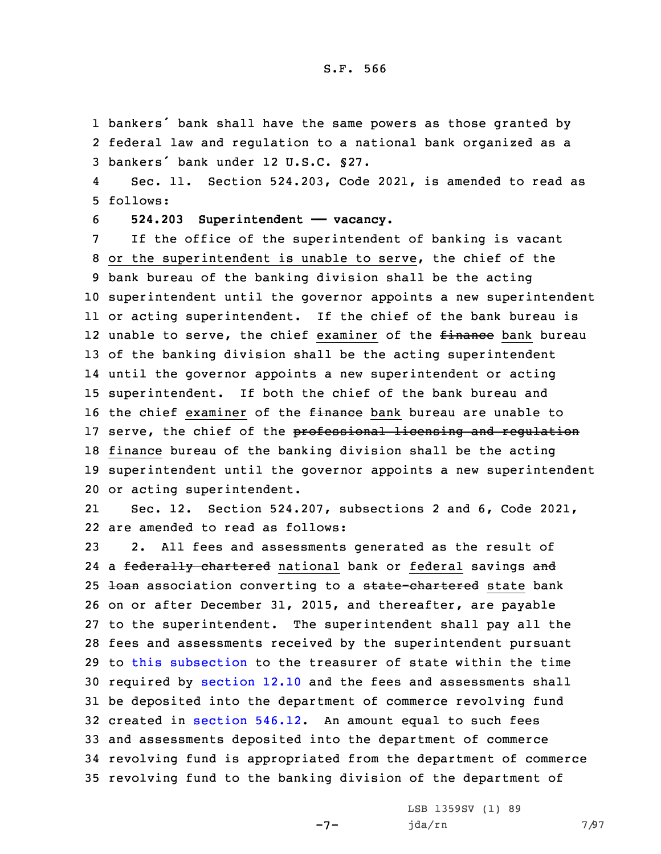## S.F. 566

1 bankers' bank shall have the same powers as those granted by 2 federal law and regulation to <sup>a</sup> national bank organized as <sup>a</sup> 3 bankers' bank under 12 U.S.C. §27.

4 Sec. 11. Section 524.203, Code 2021, is amended to read as 5 follows:

6 **524.203 Superintendent —— vacancy.**

 If the office of the superintendent of banking is vacant or the superintendent is unable to serve, the chief of the bank bureau of the banking division shall be the acting superintendent until the governor appoints <sup>a</sup> new superintendent or acting superintendent. If the chief of the bank bureau is 12 unable to serve, the chief examiner of the <del>finance</del> bank bureau of the banking division shall be the acting superintendent until the governor appoints <sup>a</sup> new superintendent or acting superintendent. If both the chief of the bank bureau and 16 the chief examiner of the *finance* bank bureau are unable to 17 serve, the chief of the professional licensing and regulation finance bureau of the banking division shall be the acting superintendent until the governor appoints <sup>a</sup> new superintendent or acting superintendent.

21 Sec. 12. Section 524.207, subsections 2 and 6, Code 2021, 22 are amended to read as follows:

 2. All fees and assessments generated as the result of 24 a <del>federally chartered</del> national bank or federal savings <del>and</del> 25 <del>loan</del> association converting to a state-chartered state bank on or after December 31, 2015, and thereafter, are payable to the superintendent. The superintendent shall pay all the fees and assessments received by the superintendent pursuant to this [subsection](https://www.legis.iowa.gov/docs/code/2021/524.207.pdf) to the treasurer of state within the time 30 required by [section](https://www.legis.iowa.gov/docs/code/2021/12.10.pdf) 12.10 and the fees and assessments shall be deposited into the department of commerce revolving fund created in [section](https://www.legis.iowa.gov/docs/code/2021/546.12.pdf) 546.12. An amount equal to such fees and assessments deposited into the department of commerce revolving fund is appropriated from the department of commerce revolving fund to the banking division of the department of

 $-7-$ 

LSB 1359SV (1) 89 jda/rn 7/97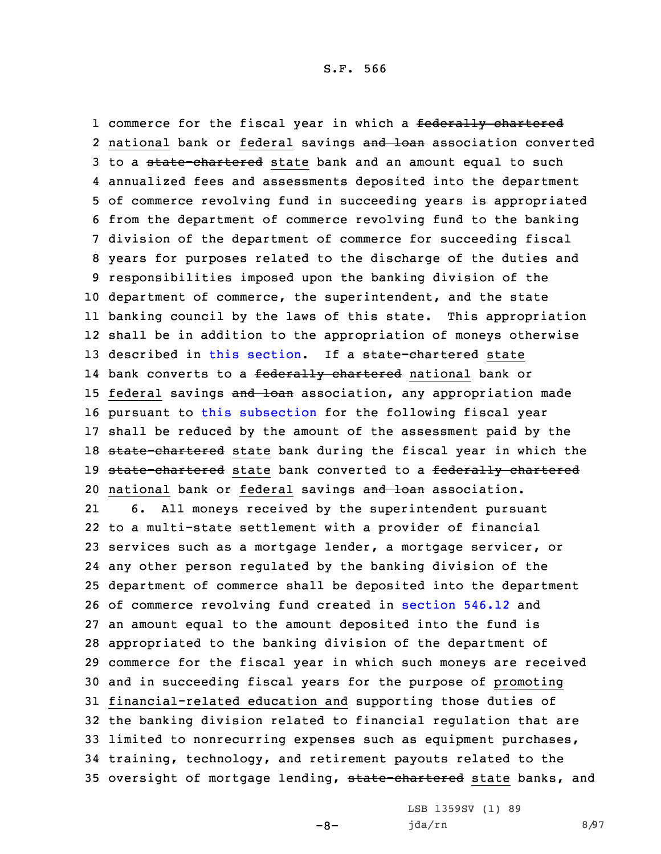1 commerce for the fiscal year in which a <del>federally chartered</del> 2 national bank or federal savings and loan association converted 3 to a state-chartered state bank and an amount equal to such annualized fees and assessments deposited into the department of commerce revolving fund in succeeding years is appropriated from the department of commerce revolving fund to the banking division of the department of commerce for succeeding fiscal years for purposes related to the discharge of the duties and responsibilities imposed upon the banking division of the department of commerce, the superintendent, and the state banking council by the laws of this state. This appropriation shall be in addition to the appropriation of moneys otherwise 13 described in this [section](https://www.legis.iowa.gov/docs/code/2021/524.207.pdf). If a state-chartered state 14 bank converts to a <del>federally chartered</del> national bank or 15 federal savings and loan association, any appropriation made pursuant to this [subsection](https://www.legis.iowa.gov/docs/code/2021/524.207.pdf) for the following fiscal year shall be reduced by the amount of the assessment paid by the 18 state-chartered state bank during the fiscal year in which the 19 state-chartered state bank converted to a federally chartered 20 national bank or federal savings and loan association. 21 6. All moneys received by the superintendent pursuant to <sup>a</sup> multi-state settlement with <sup>a</sup> provider of financial services such as <sup>a</sup> mortgage lender, <sup>a</sup> mortgage servicer, or any other person regulated by the banking division of the department of commerce shall be deposited into the department of commerce revolving fund created in [section](https://www.legis.iowa.gov/docs/code/2021/546.12.pdf) 546.12 and an amount equal to the amount deposited into the fund is appropriated to the banking division of the department of commerce for the fiscal year in which such moneys are received and in succeeding fiscal years for the purpose of promoting financial-related education and supporting those duties of the banking division related to financial regulation that are limited to nonrecurring expenses such as equipment purchases, training, technology, and retirement payouts related to the 35 oversight of mortgage lending, state-chartered state banks, and

-8-

LSB 1359SV (1) 89 jda/rn 8/97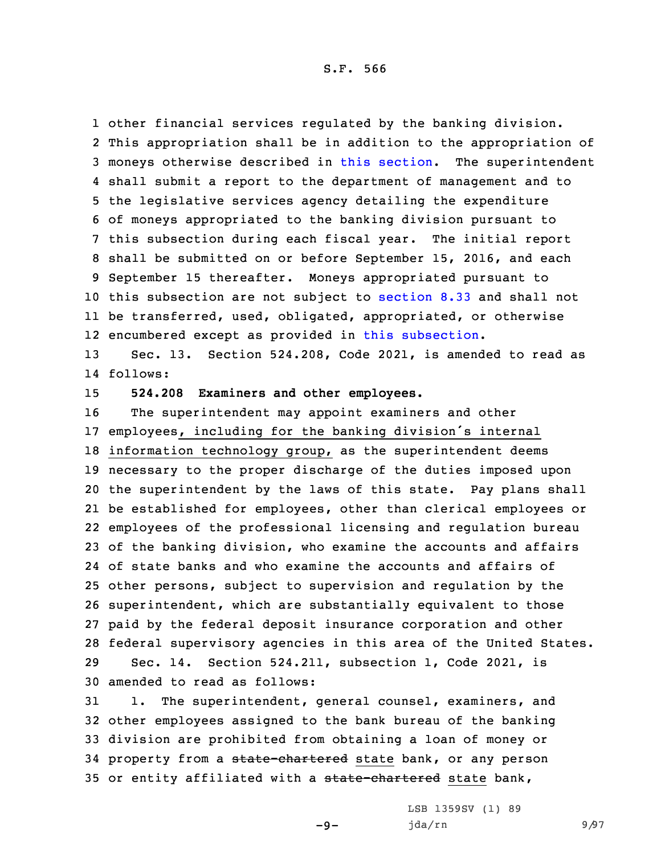S.F. 566

 other financial services regulated by the banking division. This appropriation shall be in addition to the appropriation of moneys otherwise described in this [section](https://www.legis.iowa.gov/docs/code/2021/524.207.pdf). The superintendent shall submit <sup>a</sup> report to the department of management and to the legislative services agency detailing the expenditure of moneys appropriated to the banking division pursuant to this subsection during each fiscal year. The initial report shall be submitted on or before September 15, 2016, and each September 15 thereafter. Moneys appropriated pursuant to this subsection are not subject to [section](https://www.legis.iowa.gov/docs/code/2021/8.33.pdf) 8.33 and shall not be transferred, used, obligated, appropriated, or otherwise encumbered except as provided in this [subsection](https://www.legis.iowa.gov/docs/code/2021/524.207.pdf).

13 Sec. 13. Section 524.208, Code 2021, is amended to read as 14 follows:

15 **524.208 Examiners and other employees.**

 The superintendent may appoint examiners and other employees, including for the banking division's internal information technology group, as the superintendent deems necessary to the proper discharge of the duties imposed upon the superintendent by the laws of this state. Pay plans shall be established for employees, other than clerical employees or employees of the professional licensing and regulation bureau of the banking division, who examine the accounts and affairs of state banks and who examine the accounts and affairs of other persons, subject to supervision and regulation by the superintendent, which are substantially equivalent to those paid by the federal deposit insurance corporation and other federal supervisory agencies in this area of the United States. Sec. 14. Section 524.211, subsection 1, Code 2021, is amended to read as follows:

31 1. The superintendent, general counsel, examiners, and 32 other employees assigned to the bank bureau of the banking 33 division are prohibited from obtaining <sup>a</sup> loan of money or 34 property from a state-chartered state bank, or any person 35 or entity affiliated with a state-chartered state bank,

 $-9-$ 

LSB 1359SV (1) 89 jda/rn 9/97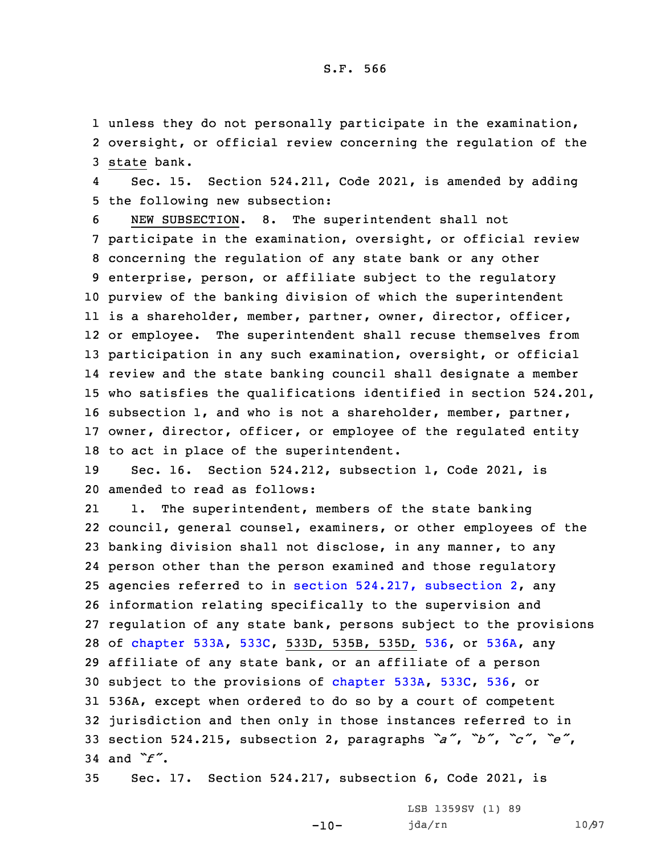1 unless they do not personally participate in the examination, 2 oversight, or official review concerning the regulation of the 3 state bank.

4 Sec. 15. Section 524.211, Code 2021, is amended by adding 5 the following new subsection:

 NEW SUBSECTION. 8. The superintendent shall not participate in the examination, oversight, or official review concerning the regulation of any state bank or any other enterprise, person, or affiliate subject to the regulatory purview of the banking division of which the superintendent is <sup>a</sup> shareholder, member, partner, owner, director, officer, or employee. The superintendent shall recuse themselves from participation in any such examination, oversight, or official review and the state banking council shall designate <sup>a</sup> member who satisfies the qualifications identified in section 524.201, subsection 1, and who is not <sup>a</sup> shareholder, member, partner, owner, director, officer, or employee of the regulated entity to act in place of the superintendent.

19 Sec. 16. Section 524.212, subsection 1, Code 2021, is 20 amended to read as follows:

21 1. The superintendent, members of the state banking council, general counsel, examiners, or other employees of the banking division shall not disclose, in any manner, to any person other than the person examined and those regulatory agencies referred to in section 524.217, [subsection](https://www.legis.iowa.gov/docs/code/2021/524.217.pdf) 2, any information relating specifically to the supervision and regulation of any state bank, persons subject to the provisions of [chapter](https://www.legis.iowa.gov/docs/code/2021/533A.pdf) 533A, [533C](https://www.legis.iowa.gov/docs/code/2021/533C.pdf), 533D, 535B, 535D, [536](https://www.legis.iowa.gov/docs/code/2021/536.pdf), or [536A](https://www.legis.iowa.gov/docs/code/2021/536A.pdf), any affiliate of any state bank, or an affiliate of <sup>a</sup> person subject to the provisions of [chapter](https://www.legis.iowa.gov/docs/code/2021/533A.pdf) 533A, [533C](https://www.legis.iowa.gov/docs/code/2021/533C.pdf), [536](https://www.legis.iowa.gov/docs/code/2021/536.pdf), or 536A, except when ordered to do so by <sup>a</sup> court of competent jurisdiction and then only in those instances referred to in section 524.215, subsection 2, paragraphs *"a"*, *"b"*, *"c"*, *"e"*, 34 and *"f"*.

35 Sec. 17. Section 524.217, subsection 6, Code 2021, is

 $-10-$ 

LSB 1359SV (1) 89 jda/rn 10/97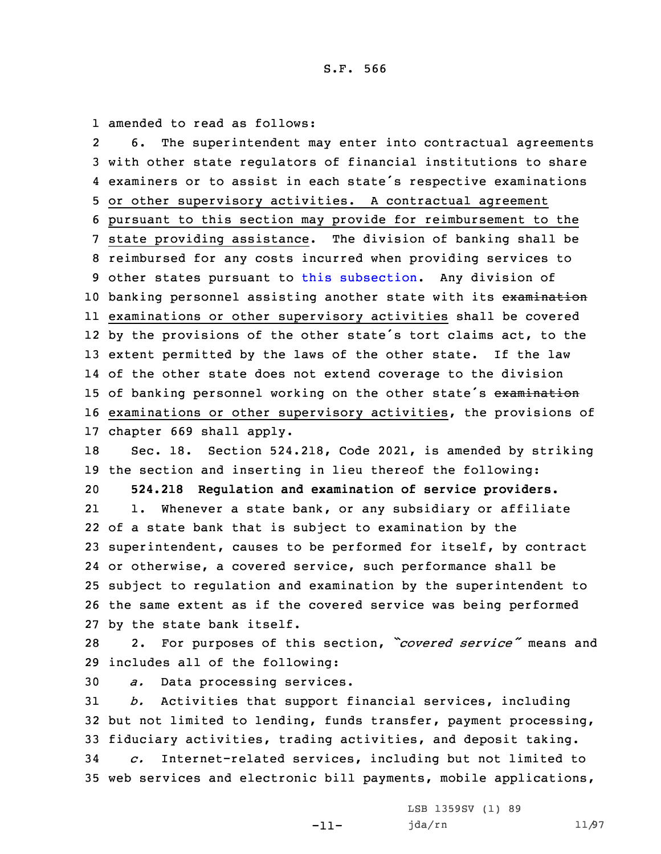1 amended to read as follows:

2 6. The superintendent may enter into contractual agreements with other state regulators of financial institutions to share examiners or to assist in each state's respective examinations or other supervisory activities. <sup>A</sup> contractual agreement pursuant to this section may provide for reimbursement to the state providing assistance. The division of banking shall be reimbursed for any costs incurred when providing services to other states pursuant to this [subsection](https://www.legis.iowa.gov/docs/code/2021/524.217.pdf). Any division of 10 banking personnel assisting another state with its examination examinations or other supervisory activities shall be covered 12 by the provisions of the other state's tort claims act, to the extent permitted by the laws of the other state. If the law of the other state does not extend coverage to the division 15 of banking personnel working on the other state's examination examinations or other supervisory activities, the provisions of chapter 669 shall apply. Sec. 18. Section 524.218, Code 2021, is amended by striking the section and inserting in lieu thereof the following: **524.218 Regulation and examination of service providers.** 21 1. Whenever <sup>a</sup> state bank, or any subsidiary or affiliate of <sup>a</sup> state bank that is subject to examination by the superintendent, causes to be performed for itself, by contract or otherwise, <sup>a</sup> covered service, such performance shall be subject to regulation and examination by the superintendent to the same extent as if the covered service was being performed by the state bank itself. 2. For purposes of this section, *"covered service"* means and includes all of the following:

30 *a.* Data processing services.

31 *b.* Activities that support financial services, including 32 but not limited to lending, funds transfer, payment processing, 33 fiduciary activities, trading activities, and deposit taking.

34 *c.* Internet-related services, including but not limited to 35 web services and electronic bill payments, mobile applications,

-11-

```
LSB 1359SV (1) 89
jda/rn 11/97
```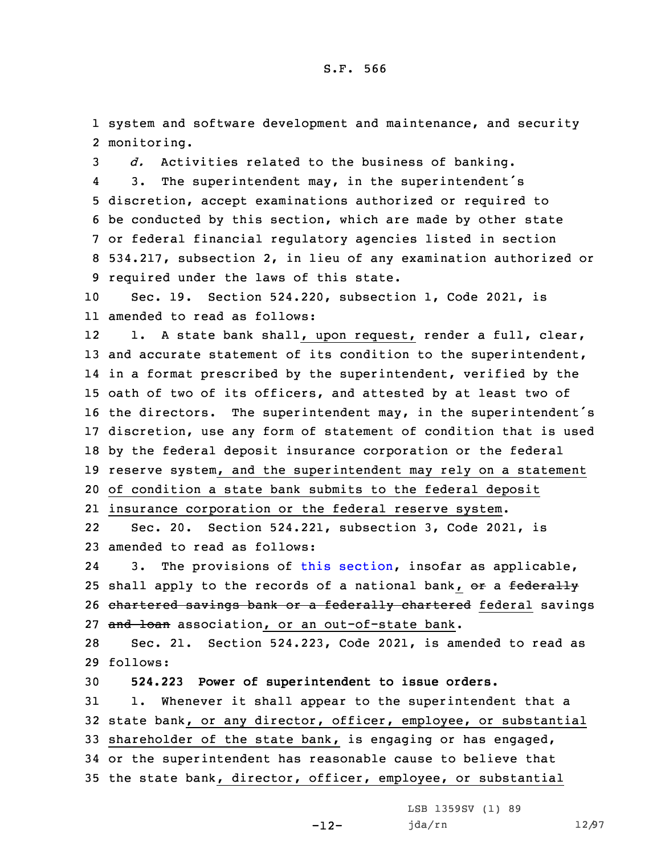1 system and software development and maintenance, and security 2 monitoring.

 *d.* Activities related to the business of banking. 4 3. The superintendent may, in the superintendent's discretion, accept examinations authorized or required to be conducted by this section, which are made by other state or federal financial regulatory agencies listed in section 534.217, subsection 2, in lieu of any examination authorized or required under the laws of this state.

10 Sec. 19. Section 524.220, subsection 1, Code 2021, is 11 amended to read as follows:

12 1. <sup>A</sup> state bank shall, upon request, render <sup>a</sup> full, clear, 13 and accurate statement of its condition to the superintendent, in <sup>a</sup> format prescribed by the superintendent, verified by the oath of two of its officers, and attested by at least two of the directors. The superintendent may, in the superintendent's discretion, use any form of statement of condition that is used by the federal deposit insurance corporation or the federal reserve system, and the superintendent may rely on <sup>a</sup> statement of condition <sup>a</sup> state bank submits to the federal deposit

21 insurance corporation or the federal reserve system.

22 Sec. 20. Section 524.221, subsection 3, Code 2021, is 23 amended to read as follows:

24 3. The provisions of this [section](https://www.legis.iowa.gov/docs/code/2021/524.221.pdf), insofar as applicable, 25 shall apply to the records of a national bank, or a federally 26 chartered savings bank or a federally chartered federal savings 27 and loan association, or an out-of-state bank.

28 Sec. 21. Section 524.223, Code 2021, is amended to read as 29 follows:

30 **524.223 Power of superintendent to issue orders.**

 1. Whenever it shall appear to the superintendent that <sup>a</sup> state bank, or any director, officer, employee, or substantial shareholder of the state bank, is engaging or has engaged, or the superintendent has reasonable cause to believe that the state bank, director, officer, employee, or substantial

-12-

LSB 1359SV (1) 89 jda/rn 12/97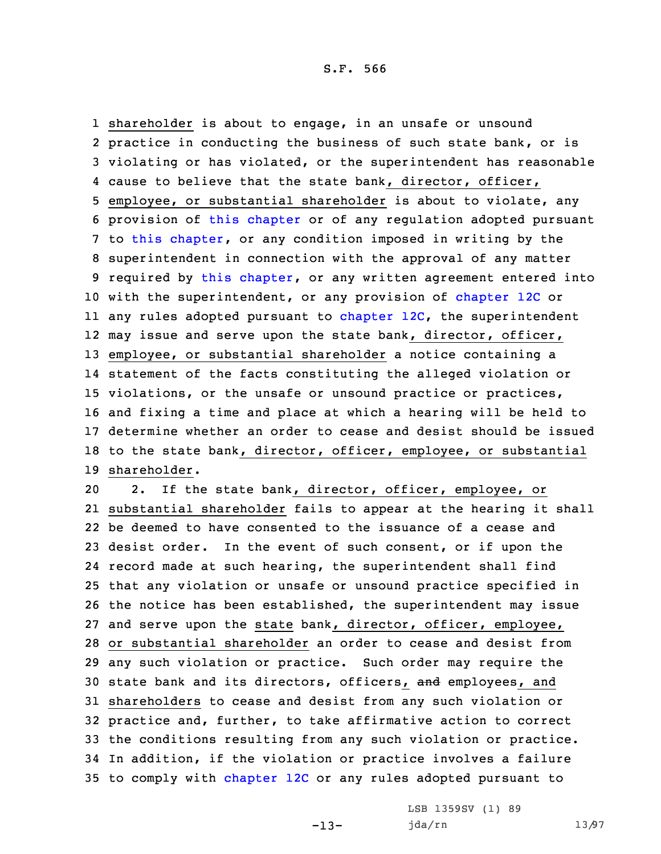shareholder is about to engage, in an unsafe or unsound practice in conducting the business of such state bank, or is violating or has violated, or the superintendent has reasonable cause to believe that the state bank, director, officer, employee, or substantial shareholder is about to violate, any provision of this [chapter](https://www.legis.iowa.gov/docs/code/2021/524.pdf) or of any regulation adopted pursuant to this [chapter](https://www.legis.iowa.gov/docs/code/2021/524.pdf), or any condition imposed in writing by the superintendent in connection with the approval of any matter 9 required by this [chapter](https://www.legis.iowa.gov/docs/code/2021/524.pdf), or any written agreement entered into 10 with the superintendent, or any provision of [chapter](https://www.legis.iowa.gov/docs/code/2021/12C.pdf) 12C or any rules adopted pursuant to [chapter](https://www.legis.iowa.gov/docs/code/2021/12C.pdf) 12C, the superintendent may issue and serve upon the state bank, director, officer, employee, or substantial shareholder <sup>a</sup> notice containing <sup>a</sup> statement of the facts constituting the alleged violation or violations, or the unsafe or unsound practice or practices, and fixing <sup>a</sup> time and place at which <sup>a</sup> hearing will be held to determine whether an order to cease and desist should be issued to the state bank, director, officer, employee, or substantial shareholder.

 2. If the state bank, director, officer, employee, or substantial shareholder fails to appear at the hearing it shall be deemed to have consented to the issuance of <sup>a</sup> cease and desist order. In the event of such consent, or if upon the record made at such hearing, the superintendent shall find that any violation or unsafe or unsound practice specified in the notice has been established, the superintendent may issue and serve upon the state bank, director, officer, employee, or substantial shareholder an order to cease and desist from any such violation or practice. Such order may require the 30 state bank and its directors, officers, and employees, and shareholders to cease and desist from any such violation or practice and, further, to take affirmative action to correct the conditions resulting from any such violation or practice. In addition, if the violation or practice involves <sup>a</sup> failure to comply with [chapter](https://www.legis.iowa.gov/docs/code/2021/12C.pdf) 12C or any rules adopted pursuant to

-13-

LSB 1359SV (1) 89 jda/rn 13/97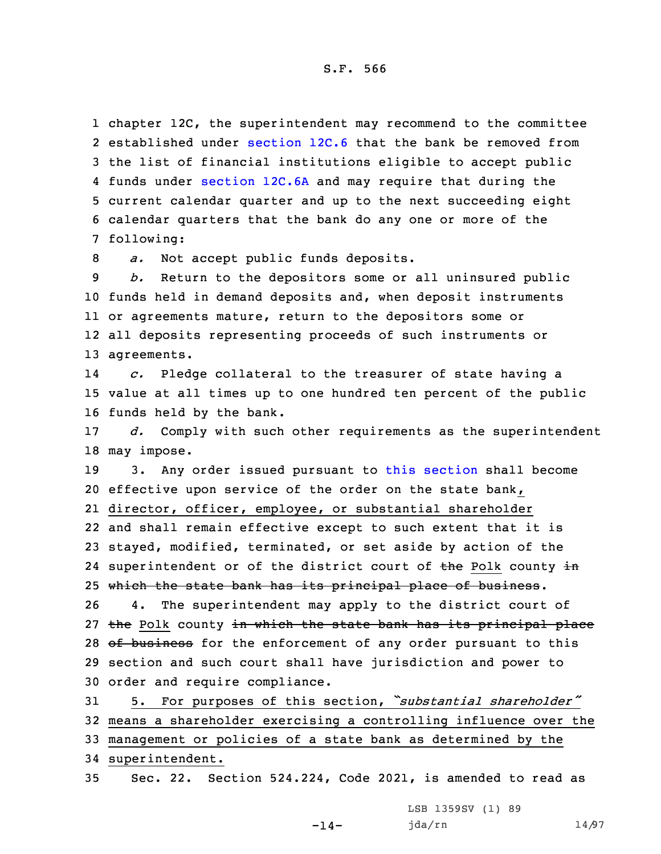chapter 12C, the superintendent may recommend to the committee 2 established under [section](https://www.legis.iowa.gov/docs/code/2021/12C.6.pdf) 12C.6 that the bank be removed from the list of financial institutions eligible to accept public funds under [section](https://www.legis.iowa.gov/docs/code/2021/12C.6A.pdf) 12C.6A and may require that during the current calendar quarter and up to the next succeeding eight calendar quarters that the bank do any one or more of the following:

8 *a.* Not accept public funds deposits.

 *b.* Return to the depositors some or all uninsured public funds held in demand deposits and, when deposit instruments or agreements mature, return to the depositors some or all deposits representing proceeds of such instruments or agreements.

14 *c.* Pledge collateral to the treasurer of state having <sup>a</sup> 15 value at all times up to one hundred ten percent of the public 16 funds held by the bank.

17 *d.* Comply with such other requirements as the superintendent 18 may impose.

19 3. Any order issued pursuant to this [section](https://www.legis.iowa.gov/docs/code/2021/524.223.pdf) shall become 20 effective upon service of the order on the state bank, 21 director, officer, employee, or substantial shareholder 22 and shall remain effective except to such extent that it is 23 stayed, modified, terminated, or set aside by action of the 24 superintendent or of the district court of <del>the</del> Polk county in 25 which the state bank has its principal place of business. 26 4. The superintendent may apply to the district court of 27 the Polk county in which the state bank has its principal place 28 of business for the enforcement of any order pursuant to this

29 section and such court shall have jurisdiction and power to 30 order and require compliance.

 5. For purposes of this section, *"substantial shareholder"* means <sup>a</sup> shareholder exercising <sup>a</sup> controlling influence over the management or policies of <sup>a</sup> state bank as determined by the superintendent.

35 Sec. 22. Section 524.224, Code 2021, is amended to read as

 $-14-$ 

LSB 1359SV (1) 89 jda/rn 14/97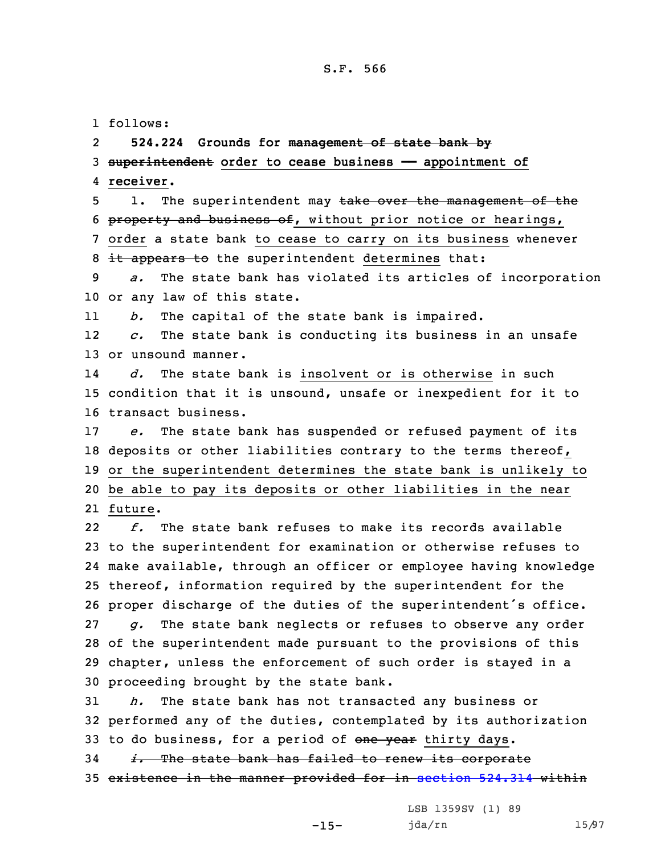## S.F. 566

1 follows:

2**524.224 Grounds for management of state bank by**

3 **superintendent order to cease business —— appointment of** 4 **receiver.**

5 1. The superintendent may take over the management of the 6 property and business of, without prior notice or hearings, 7 order <sup>a</sup> state bank to cease to carry on its business whenever 8 it appears to the superintendent determines that:

9 *a.* The state bank has violated its articles of incorporation 10 or any law of this state.

11*b.* The capital of the state bank is impaired.

12 *c.* The state bank is conducting its business in an unsafe 13 or unsound manner.

14 *d.* The state bank is insolvent or is otherwise in such 15 condition that it is unsound, unsafe or inexpedient for it to 16 transact business.

17 *e.* The state bank has suspended or refused payment of its 18 deposits or other liabilities contrary to the terms thereof, 19 or the superintendent determines the state bank is unlikely to 20 be able to pay its deposits or other liabilities in the near 21 future.

22 *f.* The state bank refuses to make its records available to the superintendent for examination or otherwise refuses to make available, through an officer or employee having knowledge thereof, information required by the superintendent for the proper discharge of the duties of the superintendent's office. *g.* The state bank neglects or refuses to observe any order of the superintendent made pursuant to the provisions of this chapter, unless the enforcement of such order is stayed in <sup>a</sup> proceeding brought by the state bank.

31 *h.* The state bank has not transacted any business or 32 performed any of the duties, contemplated by its authorization 33 to do business, for a period of one year thirty days.

34 *i.* The state bank has failed to renew its corporate 35 existence in the manner provided for in [section](https://www.legis.iowa.gov/docs/code/2021/524.314.pdf) 524.314 within

-15-

LSB 1359SV (1) 89 jda/rn 15/97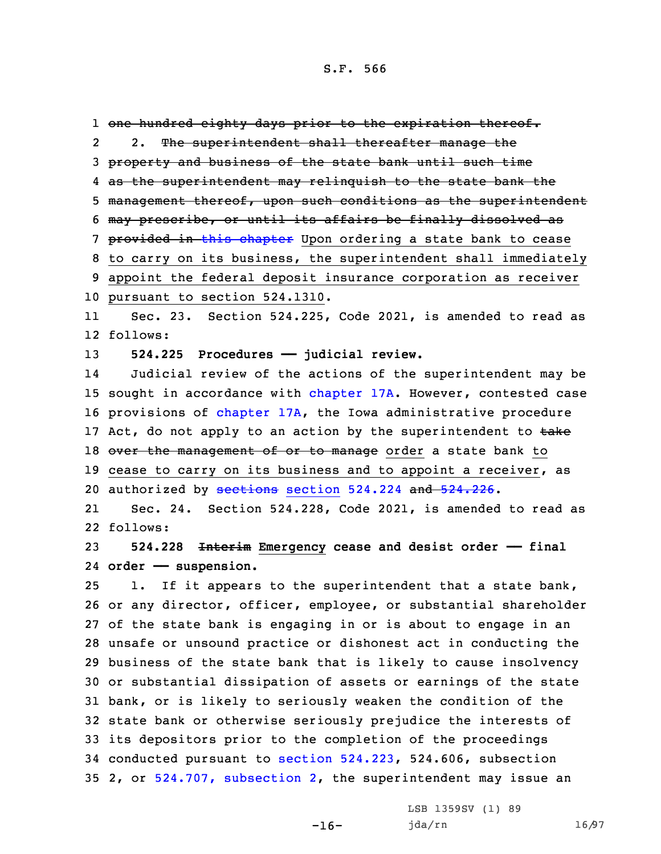one hundred eighty days prior to the expiration thereof. 2 2. The superintendent shall thereafter manage the property and business of the state bank until such time as the superintendent may relinquish to the state bank the management thereof, upon such conditions as the superintendent may prescribe, or until its affairs be finally dissolved as 7 provided in this [chapter](https://www.legis.iowa.gov/docs/code/2021/524.pdf) Upon ordering a state bank to cease to carry on its business, the superintendent shall immediately appoint the federal deposit insurance corporation as receiver pursuant to section 524.1310. 11Sec. 23. Section 524.225, Code 2021, is amended to read as

12 follows:

13 **524.225 Procedures —— judicial review.**

14 Judicial review of the actions of the superintendent may be 15 sought in accordance with [chapter](https://www.legis.iowa.gov/docs/code/2021/17A.pdf) 17A. However, contested case 16 provisions of [chapter](https://www.legis.iowa.gov/docs/code/2021/17A.pdf) 17A, the Iowa administrative procedure 17 Act, do not apply to an action by the superintendent to  $\frac{1}{k}$ 18 over the management of or to manage order a state bank to 19 cease to carry on its business and to appoint a receiver, as 20 authorized by [sections](https://www.legis.iowa.gov/docs/code/2021/524.224.pdf) section 524.224 and [524.226](https://www.legis.iowa.gov/docs/code/2021/524.226.pdf).

21 Sec. 24. Section 524.228, Code 2021, is amended to read as 22 follows:

23 **524.228 Interim Emergency cease and desist order —— final** 24 **order —— suspension.**

 1. If it appears to the superintendent that <sup>a</sup> state bank, or any director, officer, employee, or substantial shareholder of the state bank is engaging in or is about to engage in an unsafe or unsound practice or dishonest act in conducting the business of the state bank that is likely to cause insolvency or substantial dissipation of assets or earnings of the state bank, or is likely to seriously weaken the condition of the state bank or otherwise seriously prejudice the interests of its depositors prior to the completion of the proceedings conducted pursuant to section [524.223](https://www.legis.iowa.gov/docs/code/2021/524.223.pdf), 524.606, subsection 2, or 524.707, [subsection](https://www.legis.iowa.gov/docs/code/2021/524.707.pdf) 2, the superintendent may issue an

 $-16-$ 

LSB 1359SV (1) 89 jda/rn 16/97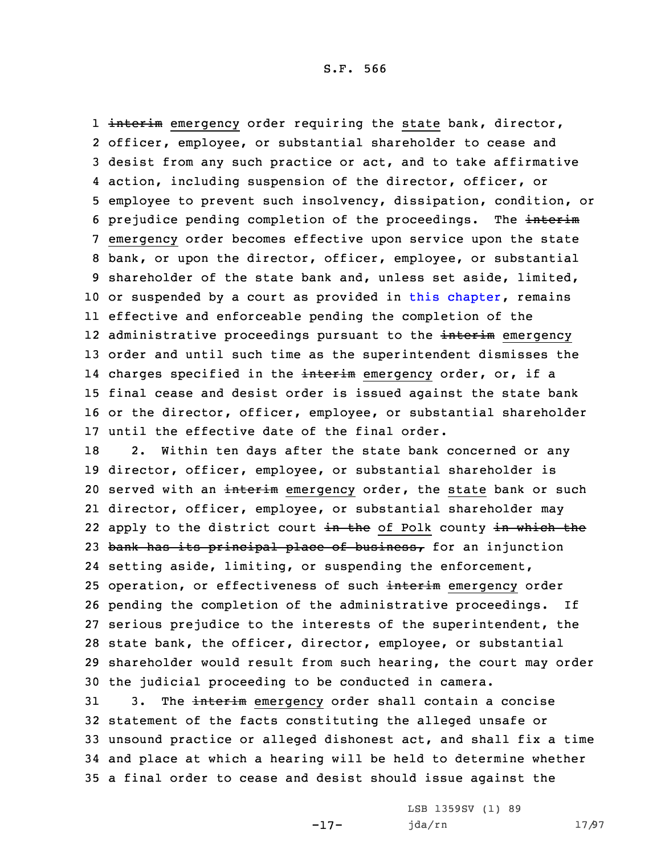1 <del>interim</del> emergency order requiring the state bank, director, officer, employee, or substantial shareholder to cease and desist from any such practice or act, and to take affirmative action, including suspension of the director, officer, or employee to prevent such insolvency, dissipation, condition, or 6 prejudice pending completion of the proceedings. The interim emergency order becomes effective upon service upon the state bank, or upon the director, officer, employee, or substantial shareholder of the state bank and, unless set aside, limited, 10 or suspended by a court as provided in this [chapter](https://www.legis.iowa.gov/docs/code/2021/524.pdf), remains effective and enforceable pending the completion of the 12 administrative proceedings pursuant to the <del>interim</del> emergency order and until such time as the superintendent dismisses the 14 charges specified in the <del>interim</del> emergency order, or, if a final cease and desist order is issued against the state bank or the director, officer, employee, or substantial shareholder until the effective date of the final order.

 2. Within ten days after the state bank concerned or any director, officer, employee, or substantial shareholder is 20 served with an interim emergency order, the state bank or such director, officer, employee, or substantial shareholder may 22 apply to the district court <del>in the</del> of Polk county <del>in which the</del> 23 bank has its principal place of business, for an injunction setting aside, limiting, or suspending the enforcement, 25 operation, or effectiveness of such interim emergency order pending the completion of the administrative proceedings. If serious prejudice to the interests of the superintendent, the state bank, the officer, director, employee, or substantial shareholder would result from such hearing, the court may order the judicial proceeding to be conducted in camera.

31 3. The interim emergency order shall contain a concise statement of the facts constituting the alleged unsafe or unsound practice or alleged dishonest act, and shall fix <sup>a</sup> time and place at which <sup>a</sup> hearing will be held to determine whether <sup>a</sup> final order to cease and desist should issue against the

-17-

LSB 1359SV (1) 89 jda/rn 17/97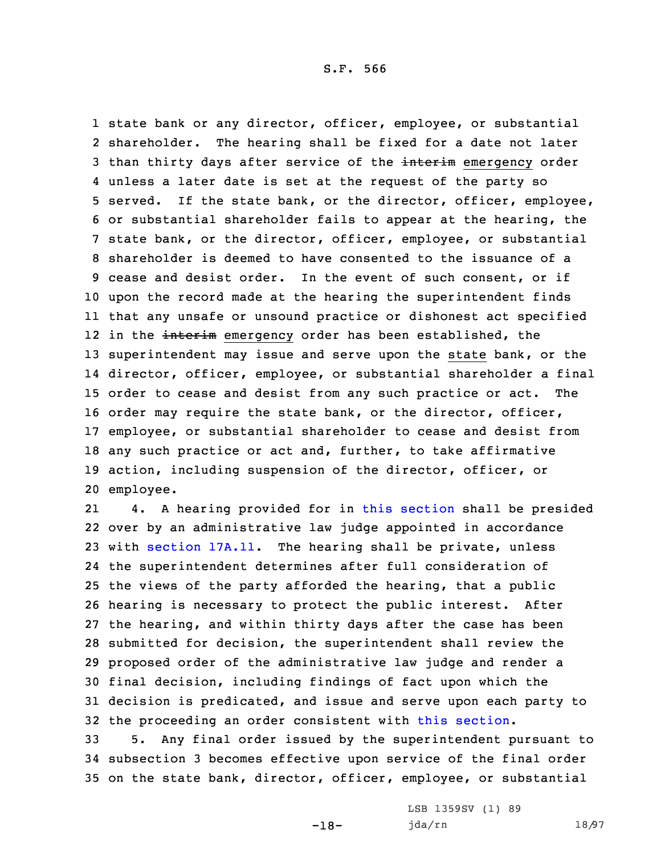S.F. 566

 state bank or any director, officer, employee, or substantial shareholder. The hearing shall be fixed for <sup>a</sup> date not later 3 than thirty days after service of the interim emergency order unless <sup>a</sup> later date is set at the request of the party so served. If the state bank, or the director, officer, employee, or substantial shareholder fails to appear at the hearing, the state bank, or the director, officer, employee, or substantial shareholder is deemed to have consented to the issuance of <sup>a</sup> cease and desist order. In the event of such consent, or if upon the record made at the hearing the superintendent finds that any unsafe or unsound practice or dishonest act specified 12 in the <del>interim</del> emergency order has been established, the superintendent may issue and serve upon the state bank, or the director, officer, employee, or substantial shareholder <sup>a</sup> final order to cease and desist from any such practice or act. The order may require the state bank, or the director, officer, employee, or substantial shareholder to cease and desist from any such practice or act and, further, to take affirmative action, including suspension of the director, officer, or employee.

21 4. <sup>A</sup> hearing provided for in this [section](https://www.legis.iowa.gov/docs/code/2021/524.228.pdf) shall be presided over by an administrative law judge appointed in accordance with [section](https://www.legis.iowa.gov/docs/code/2021/17A.11.pdf) 17A.11. The hearing shall be private, unless the superintendent determines after full consideration of the views of the party afforded the hearing, that <sup>a</sup> public hearing is necessary to protect the public interest. After the hearing, and within thirty days after the case has been submitted for decision, the superintendent shall review the proposed order of the administrative law judge and render <sup>a</sup> final decision, including findings of fact upon which the decision is predicated, and issue and serve upon each party to the proceeding an order consistent with this [section](https://www.legis.iowa.gov/docs/code/2021/524.228.pdf).

33 5. Any final order issued by the superintendent pursuant to 34 subsection 3 becomes effective upon service of the final order 35 on the state bank, director, officer, employee, or substantial

-18-

LSB 1359SV (1) 89 jda/rn 18/97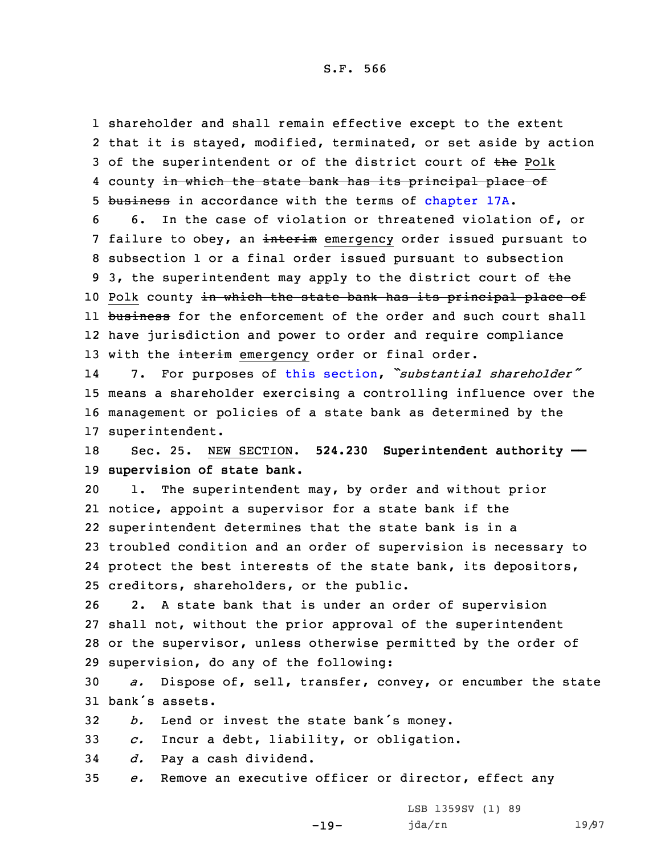1 shareholder and shall remain effective except to the extent 2 that it is stayed, modified, terminated, or set aside by action 3 of the superintendent or of the district court of the Polk 4 county <del>in which the state bank has its principal place of</del> 5 business in accordance with the terms of [chapter](https://www.legis.iowa.gov/docs/code/2021/17A.pdf) 17A.

6 6. In the case of violation or threatened violation of, or 7 failure to obey, an interim emergency order issued pursuant to 8 subsection 1 or <sup>a</sup> final order issued pursuant to subsection 9 3, the superintendent may apply to the district court of the 10 Polk county in which the state bank has its principal place of 11 <del>business</del> for the enforcement of the order and such court shall 12 have jurisdiction and power to order and require compliance 13 with the interim emergency order or final order.

14 7. For purposes of this [section](https://www.legis.iowa.gov/docs/code/2021/524.228.pdf), *"substantial shareholder"* 15 means <sup>a</sup> shareholder exercising <sup>a</sup> controlling influence over the 16 management or policies of <sup>a</sup> state bank as determined by the 17 superintendent.

18 Sec. 25. NEW SECTION. **524.230 Superintendent authority ——** 19 **supervision of state bank.**

 1. The superintendent may, by order and without prior notice, appoint <sup>a</sup> supervisor for <sup>a</sup> state bank if the superintendent determines that the state bank is in <sup>a</sup> troubled condition and an order of supervision is necessary to protect the best interests of the state bank, its depositors, creditors, shareholders, or the public.

 2. <sup>A</sup> state bank that is under an order of supervision shall not, without the prior approval of the superintendent or the supervisor, unless otherwise permitted by the order of supervision, do any of the following:

30 *a.* Dispose of, sell, transfer, convey, or encumber the state 31 bank's assets.

<sup>32</sup> *b.* Lend or invest the state bank's money.

33 *c.* Incur <sup>a</sup> debt, liability, or obligation.

34 *d.* Pay <sup>a</sup> cash dividend.

35 *e.* Remove an executive officer or director, effect any

-19-

LSB 1359SV (1) 89 jda/rn 19/97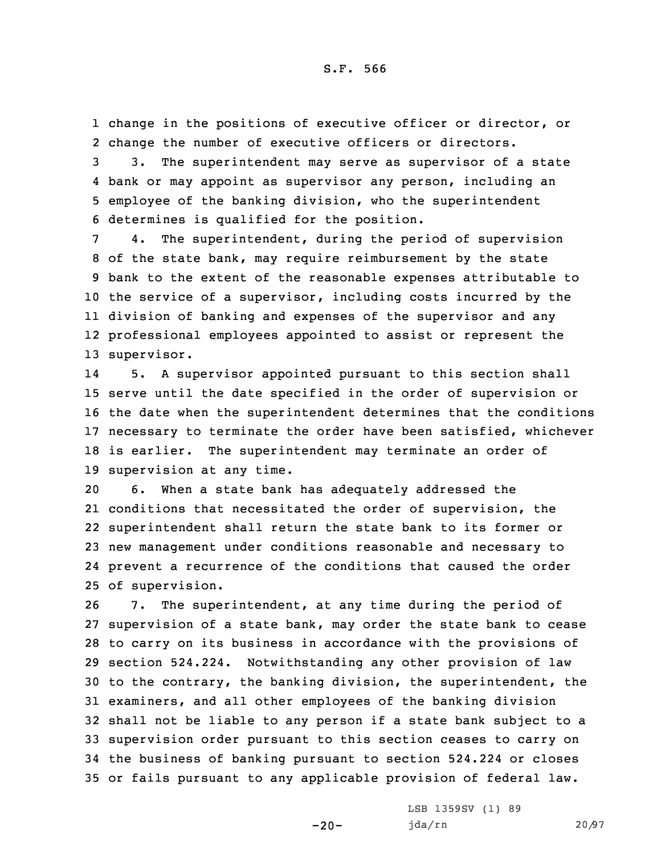1 change in the positions of executive officer or director, or 2 change the number of executive officers or directors.

 3. The superintendent may serve as supervisor of <sup>a</sup> state bank or may appoint as supervisor any person, including an employee of the banking division, who the superintendent determines is qualified for the position.

 4. The superintendent, during the period of supervision of the state bank, may require reimbursement by the state bank to the extent of the reasonable expenses attributable to the service of <sup>a</sup> supervisor, including costs incurred by the division of banking and expenses of the supervisor and any professional employees appointed to assist or represent the supervisor.

14 5. <sup>A</sup> supervisor appointed pursuant to this section shall serve until the date specified in the order of supervision or the date when the superintendent determines that the conditions necessary to terminate the order have been satisfied, whichever is earlier. The superintendent may terminate an order of supervision at any time.

 6. When <sup>a</sup> state bank has adequately addressed the conditions that necessitated the order of supervision, the superintendent shall return the state bank to its former or new management under conditions reasonable and necessary to prevent <sup>a</sup> recurrence of the conditions that caused the order of supervision.

 7. The superintendent, at any time during the period of supervision of <sup>a</sup> state bank, may order the state bank to cease to carry on its business in accordance with the provisions of section 524.224. Notwithstanding any other provision of law to the contrary, the banking division, the superintendent, the examiners, and all other employees of the banking division shall not be liable to any person if <sup>a</sup> state bank subject to <sup>a</sup> supervision order pursuant to this section ceases to carry on the business of banking pursuant to section 524.224 or closes or fails pursuant to any applicable provision of federal law.

 $-20-$ 

LSB 1359SV (1) 89 jda/rn 20/97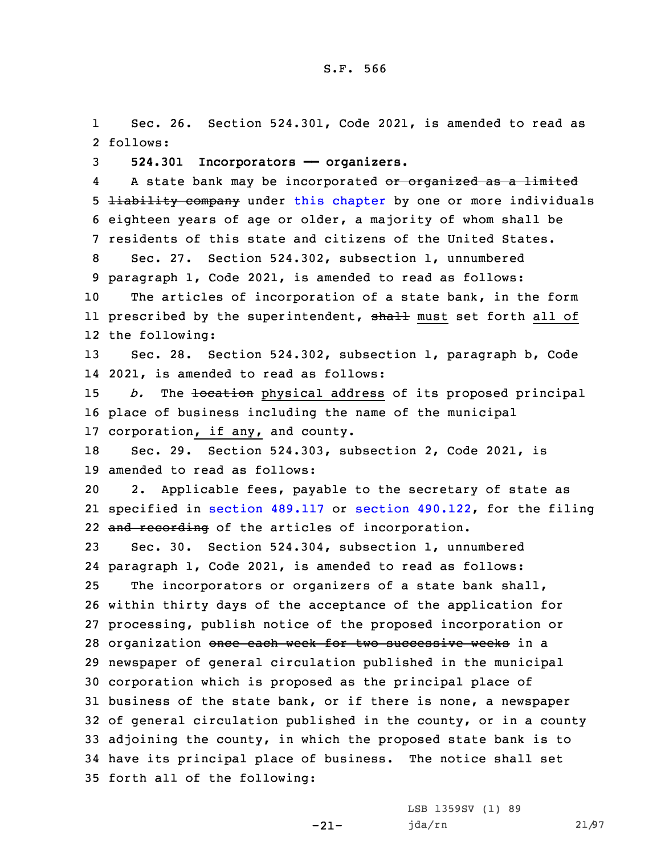1 Sec. 26. Section 524.301, Code 2021, is amended to read as 2 follows:

3 **524.301 Incorporators —— organizers.**

4A state bank may be incorporated or organized as a limited 5 **liability company** under this [chapter](https://www.legis.iowa.gov/docs/code/2021/524.pdf) by one or more individuals 6 eighteen years of age or older, <sup>a</sup> majority of whom shall be 7 residents of this state and citizens of the United States.

 Sec. 27. Section 524.302, subsection 1, unnumbered paragraph 1, Code 2021, is amended to read as follows: The articles of incorporation of <sup>a</sup> state bank, in the form ll prescribed by the superintendent, <del>shall</del> must set forth all of

12 the following:

13 Sec. 28. Section 524.302, subsection 1, paragraph b, Code 14 2021, is amended to read as follows:

15 *b.* The <del>location</del> physical address of its proposed principal 16 place of business including the name of the municipal 17 corporation, if any, and county.

18 Sec. 29. Section 524.303, subsection 2, Code 2021, is 19 amended to read as follows:

20 2. Applicable fees, payable to the secretary of state as 21 specified in section [489.117](https://www.legis.iowa.gov/docs/code/2021/489.117.pdf) or section [490.122](https://www.legis.iowa.gov/docs/code/2021/490.122.pdf), for the filing 22 and recording of the articles of incorporation.

 Sec. 30. Section 524.304, subsection 1, unnumbered paragraph 1, Code 2021, is amended to read as follows: The incorporators or organizers of <sup>a</sup> state bank shall, within thirty days of the acceptance of the application for processing, publish notice of the proposed incorporation or 28 organization once each week for two successive weeks in a newspaper of general circulation published in the municipal corporation which is proposed as the principal place of business of the state bank, or if there is none, <sup>a</sup> newspaper of general circulation published in the county, or in <sup>a</sup> county adjoining the county, in which the proposed state bank is to have its principal place of business. The notice shall set

-21-

35 forth all of the following:

LSB 1359SV (1) 89 jda/rn 21/97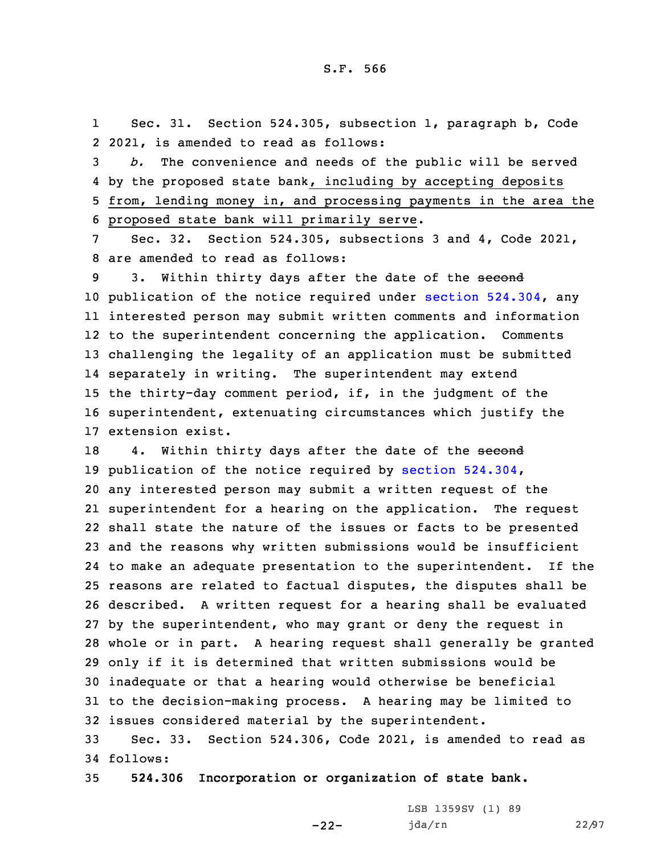1 Sec. 31. Section 524.305, subsection 1, paragraph b, Code 2 2021, is amended to read as follows:

 *b.* The convenience and needs of the public will be served by the proposed state bank, including by accepting deposits from, lending money in, and processing payments in the area the proposed state bank will primarily serve.

7 Sec. 32. Section 524.305, subsections 3 and 4, Code 2021, 8 are amended to read as follows:

9 3. Within thirty days after the date of the second publication of the notice required under section [524.304](https://www.legis.iowa.gov/docs/code/2021/524.304.pdf), any interested person may submit written comments and information to the superintendent concerning the application. Comments challenging the legality of an application must be submitted separately in writing. The superintendent may extend the thirty-day comment period, if, in the judgment of the superintendent, extenuating circumstances which justify the extension exist.

18 4. Within thirty days after the date of the second publication of the notice required by section [524.304](https://www.legis.iowa.gov/docs/code/2021/524.304.pdf), any interested person may submit <sup>a</sup> written request of the superintendent for <sup>a</sup> hearing on the application. The request shall state the nature of the issues or facts to be presented and the reasons why written submissions would be insufficient to make an adequate presentation to the superintendent. If the reasons are related to factual disputes, the disputes shall be described. <sup>A</sup> written request for <sup>a</sup> hearing shall be evaluated by the superintendent, who may grant or deny the request in whole or in part. <sup>A</sup> hearing request shall generally be granted only if it is determined that written submissions would be inadequate or that <sup>a</sup> hearing would otherwise be beneficial to the decision-making process. <sup>A</sup> hearing may be limited to issues considered material by the superintendent.

33 Sec. 33. Section 524.306, Code 2021, is amended to read as 34 follows:

-22-

35 **524.306 Incorporation or organization of state bank.**

LSB 1359SV (1) 89 jda/rn 22/97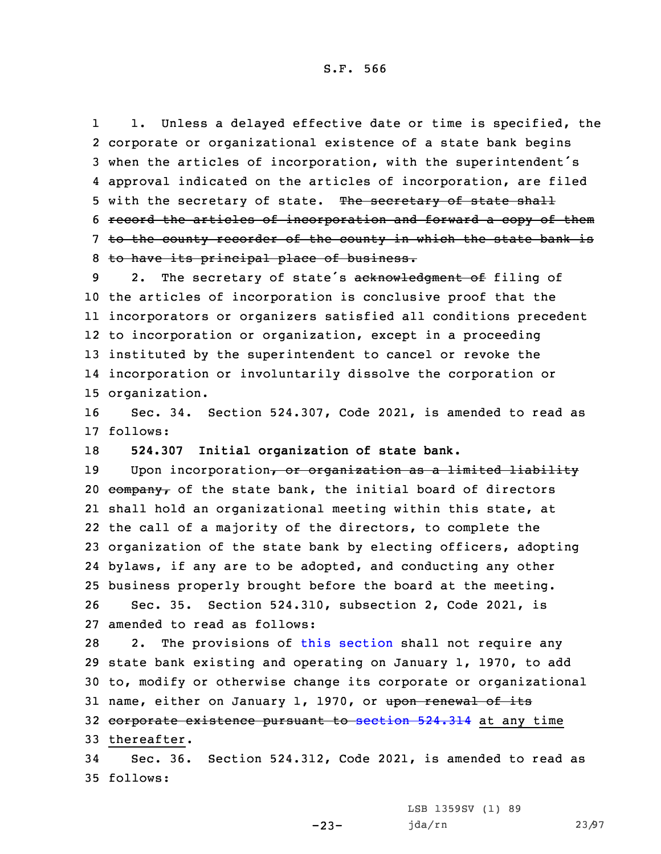S.F. 566

1 1. Unless <sup>a</sup> delayed effective date or time is specified, the corporate or organizational existence of <sup>a</sup> state bank begins when the articles of incorporation, with the superintendent's approval indicated on the articles of incorporation, are filed 5 with the secretary of state. The secretary of state shall record the articles of incorporation and forward <sup>a</sup> copy of them to the county recorder of the county in which the state bank is to have its principal place of business.

9 2. The secretary of state's acknowledgment of filing of the articles of incorporation is conclusive proof that the incorporators or organizers satisfied all conditions precedent to incorporation or organization, except in <sup>a</sup> proceeding instituted by the superintendent to cancel or revoke the incorporation or involuntarily dissolve the corporation or organization.

16 Sec. 34. Section 524.307, Code 2021, is amended to read as 17 follows:

18 **524.307 Initial organization of state bank.**

19 Upon incorporation, or organization as a limited liability  $\epsilon$ ompany, of the state bank, the initial board of directors shall hold an organizational meeting within this state, at the call of <sup>a</sup> majority of the directors, to complete the organization of the state bank by electing officers, adopting bylaws, if any are to be adopted, and conducting any other business properly brought before the board at the meeting. Sec. 35. Section 524.310, subsection 2, Code 2021, is amended to read as follows:

 2. The provisions of this [section](https://www.legis.iowa.gov/docs/code/2021/524.310.pdf) shall not require any state bank existing and operating on January 1, 1970, to add to, modify or otherwise change its corporate or organizational 31 name, either on January 1, 1970, or upon renewal of its 32 corporate existence pursuant to [section](https://www.legis.iowa.gov/docs/code/2021/524.314.pdf) 524.314 at any time thereafter.

34 Sec. 36. Section 524.312, Code 2021, is amended to read as 35 follows:

 $-23-$ 

LSB 1359SV (1) 89 jda/rn 23/97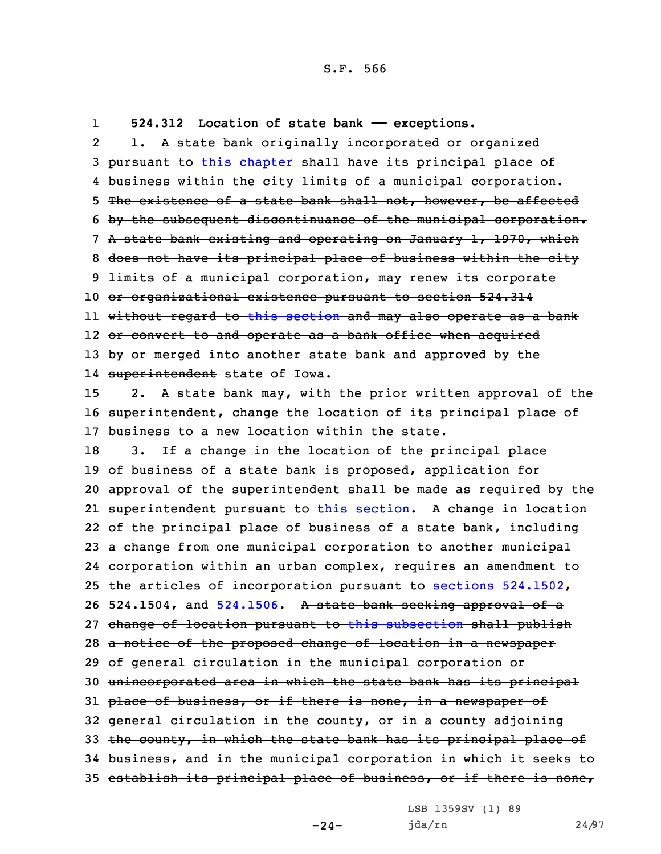1**524.312 Location of state bank —— exceptions.**

2 1. <sup>A</sup> state bank originally incorporated or organized pursuant to this [chapter](https://www.legis.iowa.gov/docs/code/2021/524.pdf) shall have its principal place of 4 business within the <del>city limits of a municipal corporation.</del> The existence of <sup>a</sup> state bank shall not, however, be affected by the subsequent discontinuance of the municipal corporation. <sup>A</sup> state bank existing and operating on January 1, 1970, which does not have its principal place of business within the city 9 <del>limits of a municipal corporation, may renew its corporate</del> or organizational existence pursuant to section 524.314 without regard to this [section](https://www.legis.iowa.gov/docs/code/2021/524.312.pdf) and may also operate as <sup>a</sup> bank 12 <del>or convert to and operate as a bank office when acquired</del> 13 by or merged into another state bank and approved by the 14 <del>superintendent</del> state of Iowa. 2. <sup>A</sup> state bank may, with the prior written approval of the superintendent, change the location of its principal place of business to <sup>a</sup> new location within the state. 3. If <sup>a</sup> change in the location of the principal place of business of <sup>a</sup> state bank is proposed, application for approval of the superintendent shall be made as required by the superintendent pursuant to this [section](https://www.legis.iowa.gov/docs/code/2021/524.312.pdf). <sup>A</sup> change in location of the principal place of business of <sup>a</sup> state bank, including <sup>a</sup> change from one municipal corporation to another municipal corporation within an urban complex, requires an amendment to the articles of incorporation pursuant to sections [524.1502](https://www.legis.iowa.gov/docs/code/2021/524.1502.pdf), 26 524.1504, and [524.1506](https://www.legis.iowa.gov/docs/code/2021/524.1506.pdf). A state bank seeking approval of a change of location pursuant to this [subsection](https://www.legis.iowa.gov/docs/code/2021/524.312.pdf) shall publish 28 a notice of the proposed change of location in a newspaper of general circulation in the municipal corporation or unincorporated area in which the state bank has its principal 31 place of business, or if there is none, in a newspaper of general circulation in the county, or in <sup>a</sup> county adjoining 33 the county, in which the state bank has its principal place of business, and in the municipal corporation in which it seeks to 35 establish its principal place of business, or if there is none,

LSB 1359SV (1) 89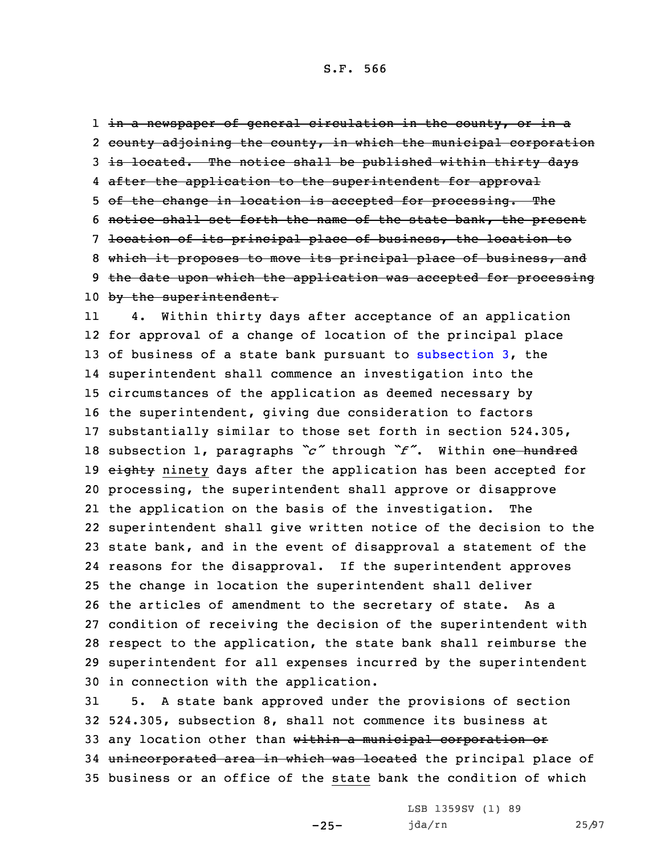## S.F. 566

1 <del>in a newspaper of general circulation in the county, or in a</del> 2 county adjoining the county, in which the municipal corporation 3 is located. The notice shall be published within thirty days 4 after the application to the superintendent for approval 5 of the change in location is accepted for processing. The 6 notice shall set forth the name of the state bank, the present 7 location of its principal place of business, the location to 8 which it proposes to move its principal place of business, and 9 the date upon which the application was accepted for processing 10 by the superintendent.

11 4. Within thirty days after acceptance of an application for approval of <sup>a</sup> change of location of the principal place of business of <sup>a</sup> state bank pursuant to [subsection](https://www.legis.iowa.gov/docs/code/2021/524.312.pdf) 3, the superintendent shall commence an investigation into the circumstances of the application as deemed necessary by the superintendent, giving due consideration to factors substantially similar to those set forth in section 524.305, subsection 1, paragraphs *"c"* through *"f"*. Within one hundred 19 eighty ninety days after the application has been accepted for processing, the superintendent shall approve or disapprove the application on the basis of the investigation. The superintendent shall give written notice of the decision to the state bank, and in the event of disapproval <sup>a</sup> statement of the reasons for the disapproval. If the superintendent approves the change in location the superintendent shall deliver the articles of amendment to the secretary of state. As <sup>a</sup> condition of receiving the decision of the superintendent with respect to the application, the state bank shall reimburse the superintendent for all expenses incurred by the superintendent in connection with the application.

31 5. <sup>A</sup> state bank approved under the provisions of section 32 524.305, subsection 8, shall not commence its business at 33 any location other than within a municipal corporation or 34 unincorporated area in which was located the principal place of 35 business or an office of the state bank the condition of which

-25-

LSB 1359SV (1) 89 jda/rn 25/97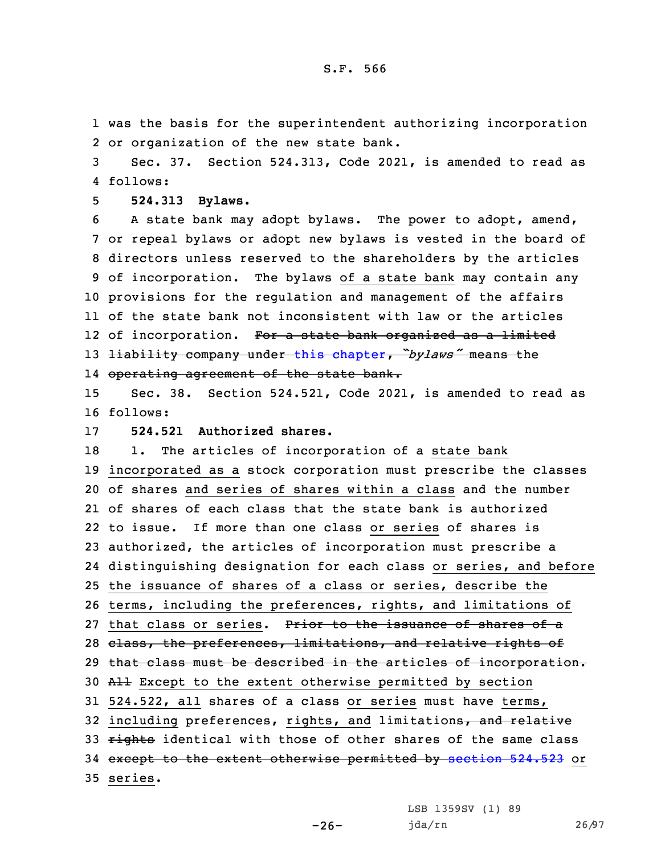1 was the basis for the superintendent authorizing incorporation 2 or organization of the new state bank.

3 Sec. 37. Section 524.313, Code 2021, is amended to read as 4 follows:

5 **524.313 Bylaws.**

 <sup>A</sup> state bank may adopt bylaws. The power to adopt, amend, or repeal bylaws or adopt new bylaws is vested in the board of directors unless reserved to the shareholders by the articles of incorporation. The bylaws of <sup>a</sup> state bank may contain any provisions for the regulation and management of the affairs of the state bank not inconsistent with law or the articles 12 of incorporation. <del>For a state bank organized as a limited</del> liability company under this [chapter](https://www.legis.iowa.gov/docs/code/2021/524.pdf), *"bylaws"* means the operating agreement of the state bank.

15 Sec. 38. Section 524.521, Code 2021, is amended to read as 16 follows:

17 **524.521 Authorized shares.**

18 1. The articles of incorporation of a state bank 19 incorporated as <sup>a</sup> stock corporation must prescribe the classes 20 of shares and series of shares within <sup>a</sup> class and the number 21 of shares of each class that the state bank is authorized 22 to issue. If more than one class or series of shares is 23 authorized, the articles of incorporation must prescribe <sup>a</sup> 24 distinguishing designation for each class or series, and before 25 the issuance of shares of <sup>a</sup> class or series, describe the 26 terms, including the preferences, rights, and limitations of 27 that class or series. Prior to the issuance of shares of a 28 class, the preferences, limitations, and relative rights of 29 that class must be described in the articles of incorporation. 30 All Except to the extent otherwise permitted by section 31 524.522, all shares of <sup>a</sup> class or series must have terms, 32 including preferences, rights, and limitations, and relative 33 rights identical with those of other shares of the same class 34 except to the extent otherwise permitted by [section](https://www.legis.iowa.gov/docs/code/2021/524.523.pdf) 524.523 or 35 series.

 $-26-$ 

LSB 1359SV (1) 89 jda/rn 26/97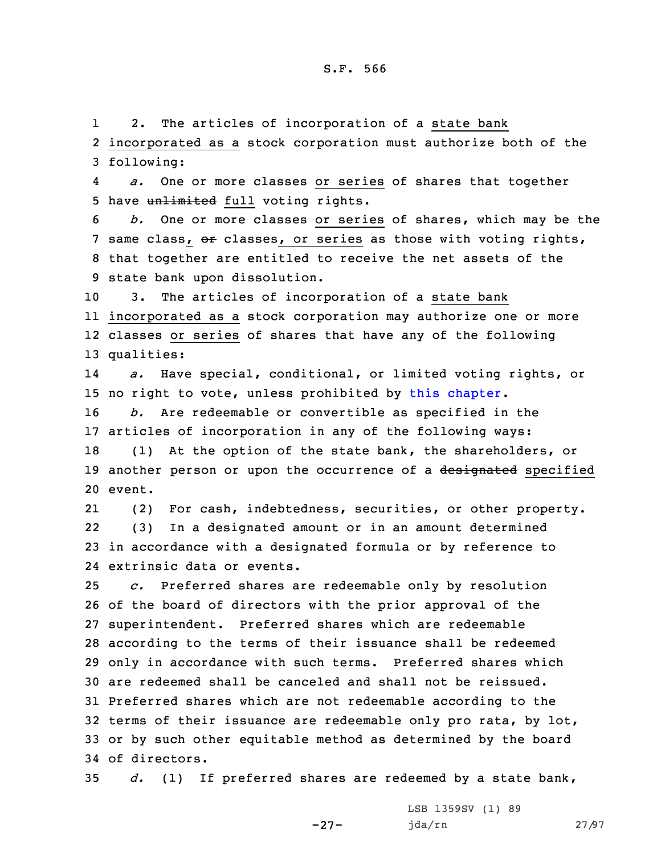1 2. The articles of incorporation of <sup>a</sup> state bank 2 incorporated as <sup>a</sup> stock corporation must authorize both of the 3 following:

4 *a.* One or more classes or series of shares that together 5 have unlimited full voting rights.

 *b.* One or more classes or series of shares, which may be the 7 same class, or classes, or series as those with voting rights, that together are entitled to receive the net assets of the state bank upon dissolution.

 3. The articles of incorporation of <sup>a</sup> state bank incorporated as <sup>a</sup> stock corporation may authorize one or more classes or series of shares that have any of the following qualities:

14 *a.* Have special, conditional, or limited voting rights, or 15 no right to vote, unless prohibited by this [chapter](https://www.legis.iowa.gov/docs/code/2021/524.pdf).

16 *b.* Are redeemable or convertible as specified in the 17 articles of incorporation in any of the following ways:

18 (1) At the option of the state bank, the shareholders, or 19 another person or upon the occurrence of a designated specified 20 event.

21 (2) For cash, indebtedness, securities, or other property. 22 (3) In <sup>a</sup> designated amount or in an amount determined 23 in accordance with <sup>a</sup> designated formula or by reference to 24 extrinsic data or events.

 *c.* Preferred shares are redeemable only by resolution of the board of directors with the prior approval of the superintendent. Preferred shares which are redeemable according to the terms of their issuance shall be redeemed only in accordance with such terms. Preferred shares which are redeemed shall be canceled and shall not be reissued. Preferred shares which are not redeemable according to the terms of their issuance are redeemable only pro rata, by lot, or by such other equitable method as determined by the board of directors.

35 *d.* (1) If preferred shares are redeemed by <sup>a</sup> state bank,

-27-

LSB 1359SV (1) 89 jda/rn 27/97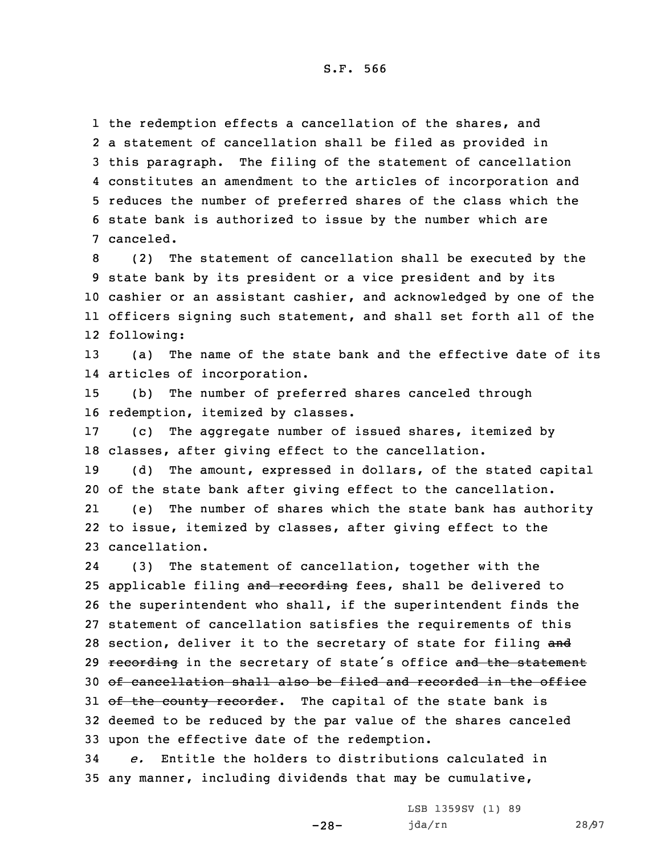the redemption effects <sup>a</sup> cancellation of the shares, and <sup>a</sup> statement of cancellation shall be filed as provided in this paragraph. The filing of the statement of cancellation constitutes an amendment to the articles of incorporation and reduces the number of preferred shares of the class which the state bank is authorized to issue by the number which are canceled.

 (2) The statement of cancellation shall be executed by the state bank by its president or <sup>a</sup> vice president and by its cashier or an assistant cashier, and acknowledged by one of the officers signing such statement, and shall set forth all of the following:

13 (a) The name of the state bank and the effective date of its 14 articles of incorporation.

15 (b) The number of preferred shares canceled through 16 redemption, itemized by classes.

17 (c) The aggregate number of issued shares, itemized by 18 classes, after giving effect to the cancellation.

19 (d) The amount, expressed in dollars, of the stated capital 20 of the state bank after giving effect to the cancellation.

21 (e) The number of shares which the state bank has authority 22 to issue, itemized by classes, after giving effect to the 23 cancellation.

24 (3) The statement of cancellation, together with the 25 applicable filing and recording fees, shall be delivered to 26 the superintendent who shall, if the superintendent finds the 27 statement of cancellation satisfies the requirements of this 28 section, deliver it to the secretary of state for filing and 29 recording in the secretary of state's office and the statement 30 of cancellation shall also be filed and recorded in the office 31 of the county recorder. The capital of the state bank is 32 deemed to be reduced by the par value of the shares canceled 33 upon the effective date of the redemption.

34 *e.* Entitle the holders to distributions calculated in 35 any manner, including dividends that may be cumulative,

-28-

LSB 1359SV (1) 89 jda/rn 28/97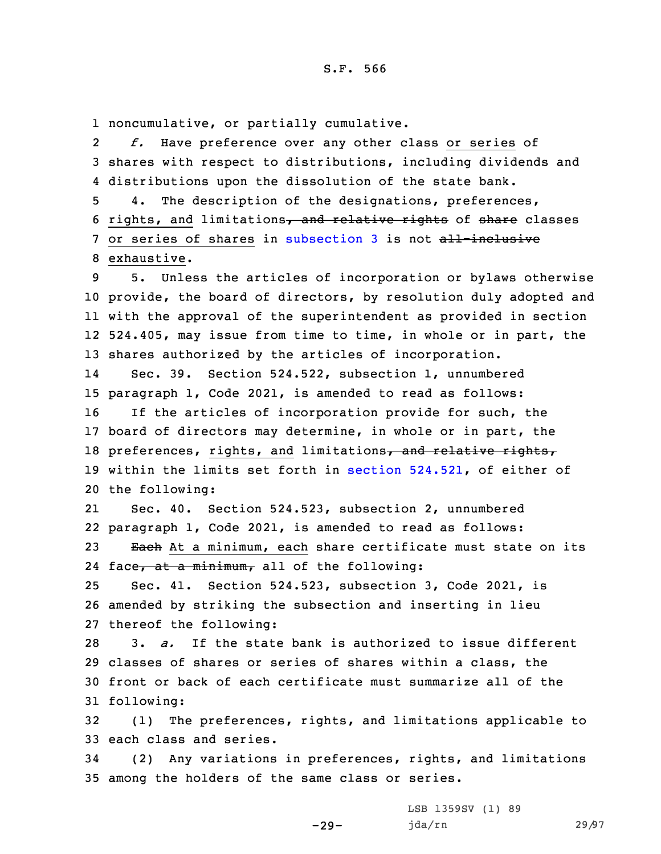1 noncumulative, or partially cumulative.

2 *f.* Have preference over any other class or series of 3 shares with respect to distributions, including dividends and 4 distributions upon the dissolution of the state bank.

5 4. The description of the designations, preferences, 6 rights, and limitations, and relative rights of share classes 7 or series of shares in [subsection](https://www.legis.iowa.gov/docs/code/2021/524.521.pdf) 3 is not all-inclusive 8 exhaustive.

 5. Unless the articles of incorporation or bylaws otherwise provide, the board of directors, by resolution duly adopted and with the approval of the superintendent as provided in section 524.405, may issue from time to time, in whole or in part, the shares authorized by the articles of incorporation.

14 Sec. 39. Section 524.522, subsection 1, unnumbered 15 paragraph 1, Code 2021, is amended to read as follows: 16 If the articles of incorporation provide for such, the 17 board of directors may determine, in whole or in part, the 18 preferences, rights, and limitations, and relative rights, 19 within the limits set forth in section [524.521](https://www.legis.iowa.gov/docs/code/2021/524.521.pdf), of either of

20 the following:

21 Sec. 40. Section 524.523, subsection 2, unnumbered 22 paragraph 1, Code 2021, is amended to read as follows: 23 Each At a minimum, each share certificate must state on its

24 face<del>, at a minimum,</del> all of the following:

25 Sec. 41. Section 524.523, subsection 3, Code 2021, is 26 amended by striking the subsection and inserting in lieu 27 thereof the following:

 3. *a.* If the state bank is authorized to issue different classes of shares or series of shares within <sup>a</sup> class, the front or back of each certificate must summarize all of the following:

32 (1) The preferences, rights, and limitations applicable to 33 each class and series.

34 (2) Any variations in preferences, rights, and limitations 35 among the holders of the same class or series.

-29-

LSB 1359SV (1) 89 jda/rn 29/97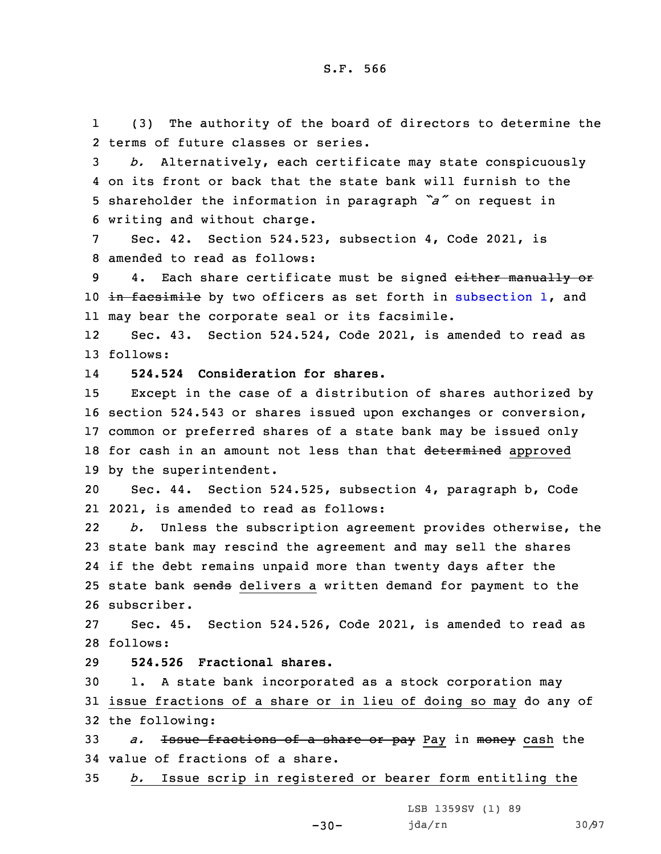1 (3) The authority of the board of directors to determine the 2 terms of future classes or series.

 *b.* Alternatively, each certificate may state conspicuously on its front or back that the state bank will furnish to the shareholder the information in paragraph *"a"* on request in writing and without charge.

7 Sec. 42. Section 524.523, subsection 4, Code 2021, is 8 amended to read as follows:

9 4. Each share certificate must be signed either manually or 10 in facsimile by two officers as set forth in [subsection](https://www.legis.iowa.gov/docs/code/2021/524.523.pdf) 1, and 11 may bear the corporate seal or its facsimile.

12 Sec. 43. Section 524.524, Code 2021, is amended to read as 13 follows:

14**524.524 Consideration for shares.**

 Except in the case of <sup>a</sup> distribution of shares authorized by section 524.543 or shares issued upon exchanges or conversion, common or preferred shares of <sup>a</sup> state bank may be issued only 18 for cash in an amount not less than that determined approved by the superintendent.

20 Sec. 44. Section 524.525, subsection 4, paragraph b, Code 21 2021, is amended to read as follows:

22 *b.* Unless the subscription agreement provides otherwise, the 23 state bank may rescind the agreement and may sell the shares 24 if the debt remains unpaid more than twenty days after the 25 state bank sends delivers a written demand for payment to the 26 subscriber.

27 Sec. 45. Section 524.526, Code 2021, is amended to read as 28 follows:

29 **524.526 Fractional shares.**

30 1. <sup>A</sup> state bank incorporated as <sup>a</sup> stock corporation may 31 issue fractions of <sup>a</sup> share or in lieu of doing so may do any of 32 the following:

33 *a.* Issue fractions of <sup>a</sup> share or pay Pay in money cash the 34 value of fractions of <sup>a</sup> share.

35 *b.* Issue scrip in registered or bearer form entitling the

 $-30-$ 

LSB 1359SV (1) 89 jda/rn 30/97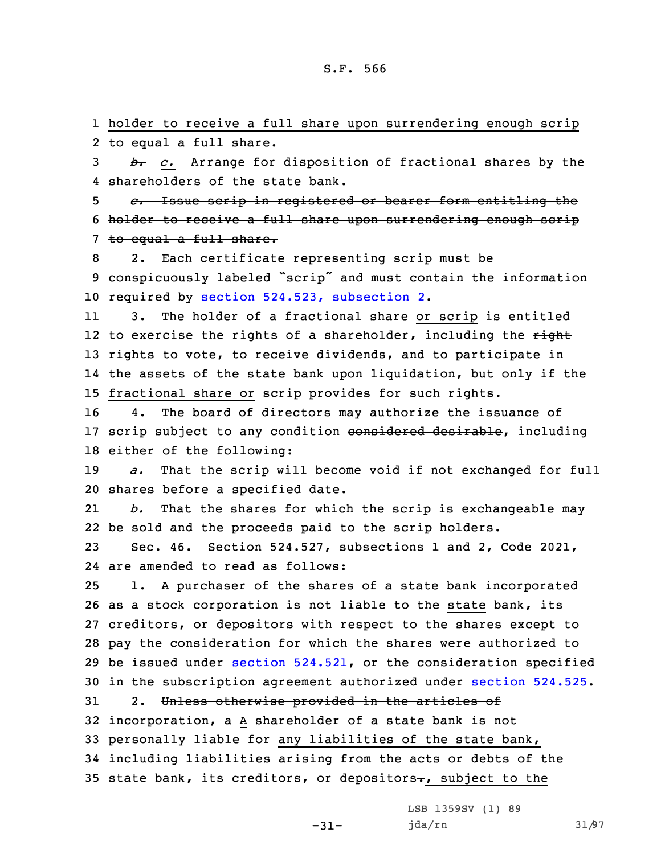1 holder to receive <sup>a</sup> full share upon surrendering enough scrip 2 to equal <sup>a</sup> full share.

3 *b. c.* Arrange for disposition of fractional shares by the 4 shareholders of the state bank.

5 *c.* Issue scrip in registered or bearer form entitling the 6 holder to receive a full share upon surrendering enough scrip 7 to equal a full share.

8 2. Each certificate representing scrip must be <sup>9</sup> conspicuously labeled "scrip" and must contain the information 10 required by section 524.523, [subsection](https://www.legis.iowa.gov/docs/code/2021/524.523.pdf) 2.

11 3. The holder of <sup>a</sup> fractional share or scrip is entitled 12 to exercise the rights of a shareholder, including the <del>right</del> 13 rights to vote, to receive dividends, and to participate in 14 the assets of the state bank upon liquidation, but only if the 15 fractional share or scrip provides for such rights.

16 4. The board of directors may authorize the issuance of 17 scrip subject to any condition considered desirable, including 18 either of the following:

19 *a.* That the scrip will become void if not exchanged for full 20 shares before <sup>a</sup> specified date.

21 *b.* That the shares for which the scrip is exchangeable may 22 be sold and the proceeds paid to the scrip holders.

23 Sec. 46. Section 524.527, subsections 1 and 2, Code 2021, 24 are amended to read as follows:

 1. <sup>A</sup> purchaser of the shares of <sup>a</sup> state bank incorporated as <sup>a</sup> stock corporation is not liable to the state bank, its creditors, or depositors with respect to the shares except to pay the consideration for which the shares were authorized to be issued under section [524.521](https://www.legis.iowa.gov/docs/code/2021/524.521.pdf), or the consideration specified in the subscription agreement authorized under [section](https://www.legis.iowa.gov/docs/code/2021/524.525.pdf) 524.525. 31 2. Unless otherwise provided in the articles of

32 incorporation, a A shareholder of a state bank is not 33 personally liable for any liabilities of the state bank, 34 including liabilities arising from the acts or debts of the 35 state bank, its creditors, or depositors $-$ , subject to the

-31-

LSB 1359SV (1) 89 jda/rn 31/97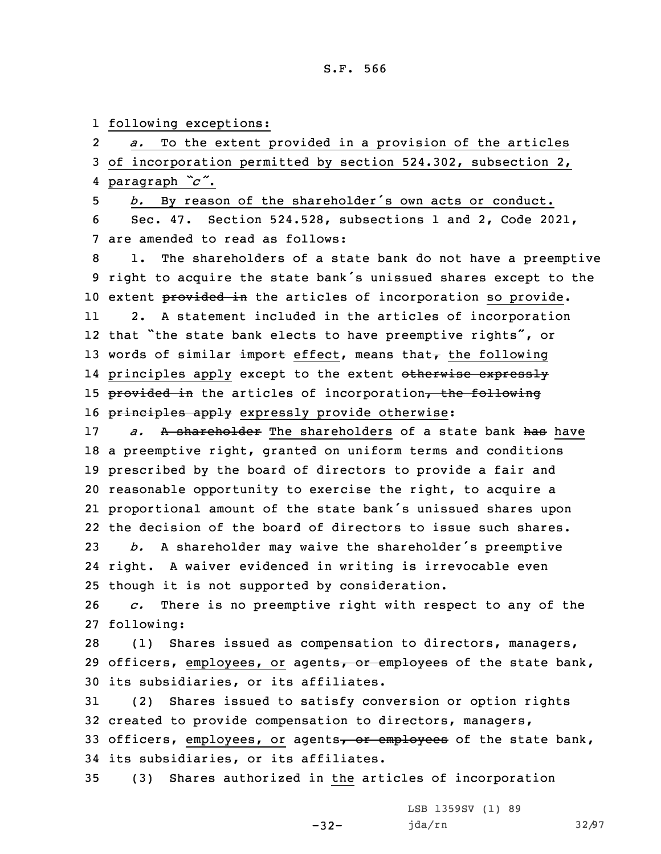1 following exceptions:

2 *a.* To the extent provided in <sup>a</sup> provision of the articles of incorporation permitted by section 524.302, subsection 2, paragraph *"c"*. *b.* By reason of the shareholder's own acts or conduct. Sec. 47. Section 524.528, subsections 1 and 2, Code 2021, are amended to read as follows: 1. The shareholders of <sup>a</sup> state bank do not have <sup>a</sup> preemptive right to acquire the state bank's unissued shares except to the 10 extent provided in the articles of incorporation so provide. 11 2. <sup>A</sup> statement included in the articles of incorporation that "the state bank elects to have preemptive rights", or 13 words of similar import effect, means that $\tau$  the following 14 principles apply except to the extent <del>otherwise expressly</del> 15 provided in the articles of incorporation, the following 16 principles apply expressly provide otherwise: *a.* A shareholder The shareholders of a state bank has have <sup>a</sup> preemptive right, granted on uniform terms and conditions prescribed by the board of directors to provide <sup>a</sup> fair and reasonable opportunity to exercise the right, to acquire <sup>a</sup> proportional amount of the state bank's unissued shares upon the decision of the board of directors to issue such shares. *b.* <sup>A</sup> shareholder may waive the shareholder's preemptive right. <sup>A</sup> waiver evidenced in writing is irrevocable even though it is not supported by consideration. *c.* There is no preemptive right with respect to any of the following: (1) Shares issued as compensation to directors, managers, 29 officers, employees, or agents, or employees of the state bank, its subsidiaries, or its affiliates. (2) Shares issued to satisfy conversion or option rights created to provide compensation to directors, managers, 33 officers, employees, or agents, or employees of the state bank, its subsidiaries, or its affiliates.

35 (3) Shares authorized in the articles of incorporation

-32-

LSB 1359SV (1) 89 jda/rn 32/97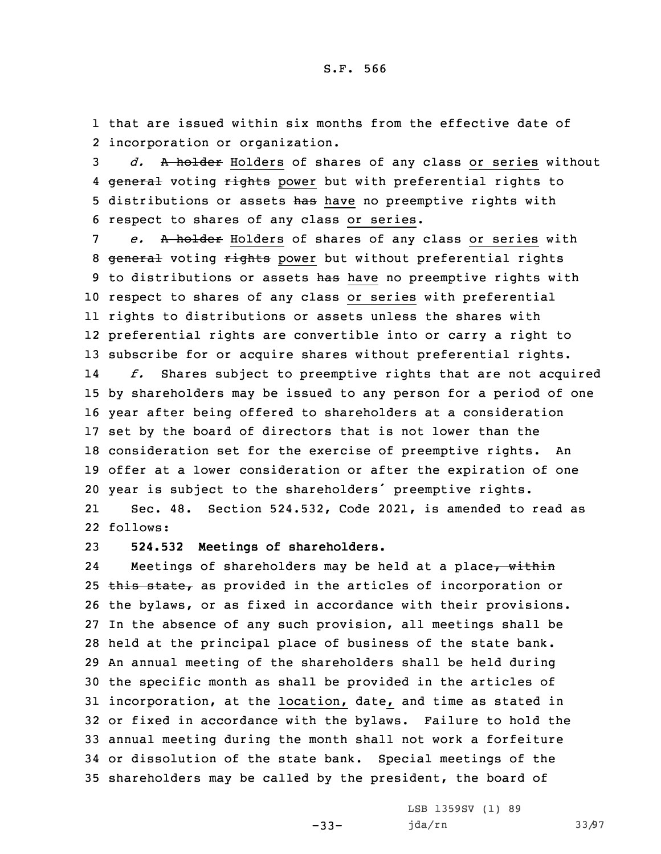1 that are issued within six months from the effective date of 2 incorporation or organization.

3 *d.* <sup>A</sup> holder Holders of shares of any class or series without 4 <del>general</del> voting rights power but with preferential rights to 5 distributions or assets has have no preemptive rights with 6 respect to shares of any class or series.

 *e.* <sup>A</sup> holder Holders of shares of any class or series with 8 general voting rights power but without preferential rights 9 to distributions or assets has have no preemptive rights with respect to shares of any class or series with preferential rights to distributions or assets unless the shares with preferential rights are convertible into or carry <sup>a</sup> right to subscribe for or acquire shares without preferential rights. 14 *f.* Shares subject to preemptive rights that are not acquired by shareholders may be issued to any person for <sup>a</sup> period of one year after being offered to shareholders at <sup>a</sup> consideration set by the board of directors that is not lower than the consideration set for the exercise of preemptive rights. An offer at <sup>a</sup> lower consideration or after the expiration of one

21 Sec. 48. Section 524.532, Code 2021, is amended to read as 22 follows:

<sup>20</sup> year is subject to the shareholders' preemptive rights.

23 **524.532 Meetings of shareholders.**

24Meetings of shareholders may be held at a place, within 25 this state, as provided in the articles of incorporation or the bylaws, or as fixed in accordance with their provisions. In the absence of any such provision, all meetings shall be held at the principal place of business of the state bank. An annual meeting of the shareholders shall be held during the specific month as shall be provided in the articles of incorporation, at the location, date, and time as stated in or fixed in accordance with the bylaws. Failure to hold the annual meeting during the month shall not work <sup>a</sup> forfeiture or dissolution of the state bank. Special meetings of the shareholders may be called by the president, the board of

-33-

LSB 1359SV (1) 89 jda/rn 33/97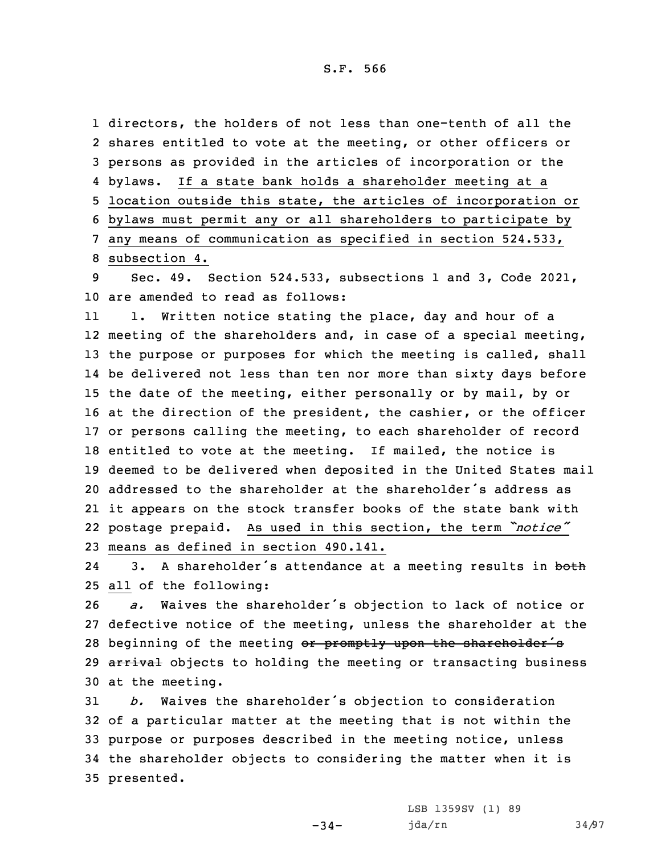directors, the holders of not less than one-tenth of all the shares entitled to vote at the meeting, or other officers or persons as provided in the articles of incorporation or the 4 bylaws. If a state bank holds a shareholder meeting at a location outside this state, the articles of incorporation or bylaws must permit any or all shareholders to participate by any means of communication as specified in section 524.533, subsection 4.

9 Sec. 49. Section 524.533, subsections 1 and 3, Code 2021, 10 are amended to read as follows:

11 1. Written notice stating the place, day and hour of <sup>a</sup> meeting of the shareholders and, in case of <sup>a</sup> special meeting, the purpose or purposes for which the meeting is called, shall be delivered not less than ten nor more than sixty days before the date of the meeting, either personally or by mail, by or at the direction of the president, the cashier, or the officer or persons calling the meeting, to each shareholder of record entitled to vote at the meeting. If mailed, the notice is deemed to be delivered when deposited in the United States mail addressed to the shareholder at the shareholder's address as it appears on the stock transfer books of the state bank with postage prepaid. As used in this section, the term *"notice"* means as defined in section 490.141.

243. A shareholder's attendance at a meeting results in both 25 all of the following:

<sup>26</sup> *a.* Waives the shareholder's objection to lack of notice or 27 defective notice of the meeting, unless the shareholder at the 28 beginning of the meeting or promptly upon the shareholder's 29 arrival objects to holding the meeting or transacting business 30 at the meeting.

 *b.* Waives the shareholder's objection to consideration of <sup>a</sup> particular matter at the meeting that is not within the purpose or purposes described in the meeting notice, unless the shareholder objects to considering the matter when it is presented.

 $-34-$ 

LSB 1359SV (1) 89 jda/rn 34/97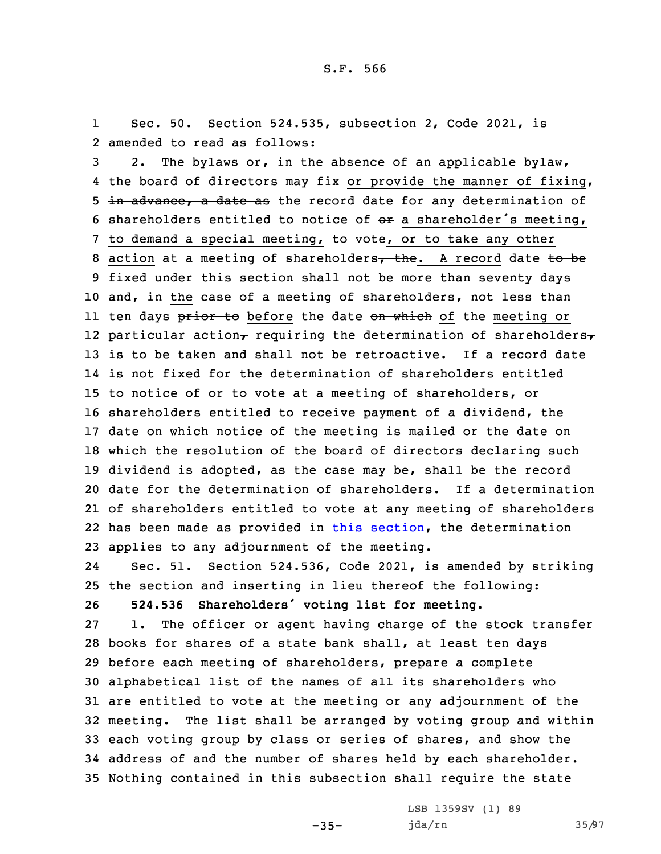1 Sec. 50. Section 524.535, subsection 2, Code 2021, is 2 amended to read as follows:

 2. The bylaws or, in the absence of an applicable bylaw, the board of directors may fix or provide the manner of fixing, 5 in advance, a date as the record date for any determination of 6 shareholders entitled to notice of  $e^{i\theta}$  a shareholder's meeting, to demand <sup>a</sup> special meeting, to vote, or to take any other 8 action at a meeting of shareholders, the. A record date to be fixed under this section shall not be more than seventy days and, in the case of <sup>a</sup> meeting of shareholders, not less than ll ten days <del>prior to</del> before the date <del>on which</del> of the meeting or 12 particular action $_{\mathcal{T}}$  requiring the determination of shareholders $_{\mathcal{T}}$ 13 is to be taken and shall not be retroactive. If a record date is not fixed for the determination of shareholders entitled to notice of or to vote at <sup>a</sup> meeting of shareholders, or shareholders entitled to receive payment of <sup>a</sup> dividend, the date on which notice of the meeting is mailed or the date on which the resolution of the board of directors declaring such dividend is adopted, as the case may be, shall be the record date for the determination of shareholders. If <sup>a</sup> determination of shareholders entitled to vote at any meeting of shareholders has been made as provided in this [section](https://www.legis.iowa.gov/docs/code/2021/524.535.pdf), the determination applies to any adjournment of the meeting.

24 Sec. 51. Section 524.536, Code 2021, is amended by striking 25 the section and inserting in lieu thereof the following: <sup>26</sup> **524.536 Shareholders' voting list for meeting.**

 1. The officer or agent having charge of the stock transfer books for shares of <sup>a</sup> state bank shall, at least ten days before each meeting of shareholders, prepare <sup>a</sup> complete alphabetical list of the names of all its shareholders who are entitled to vote at the meeting or any adjournment of the meeting. The list shall be arranged by voting group and within each voting group by class or series of shares, and show the address of and the number of shares held by each shareholder. Nothing contained in this subsection shall require the state

-35-

LSB 1359SV (1) 89 jda/rn 35/97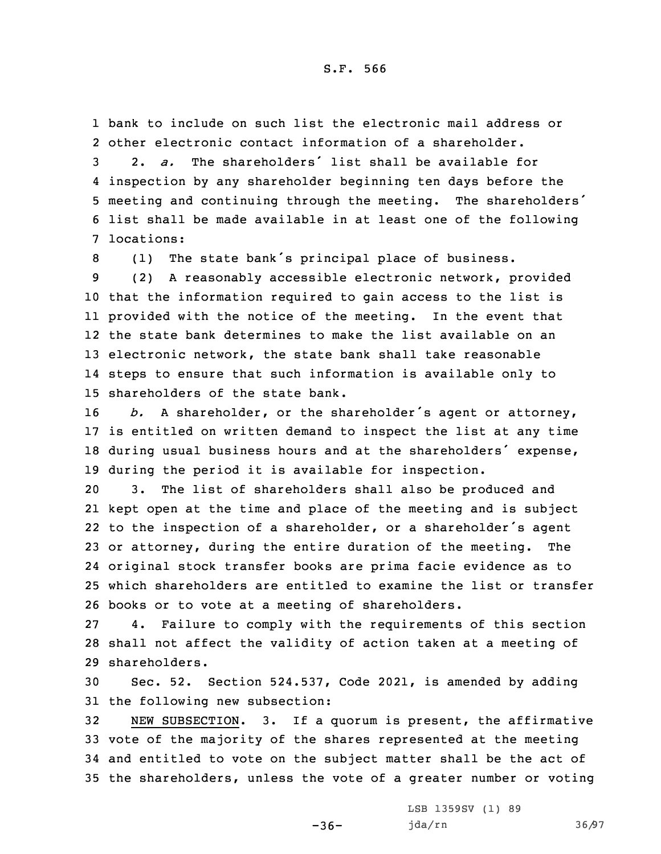1 bank to include on such list the electronic mail address or 2 other electronic contact information of <sup>a</sup> shareholder.

 2. *a.* The shareholders' list shall be available for inspection by any shareholder beginning ten days before the meeting and continuing through the meeting. The shareholders' list shall be made available in at least one of the following locations:

<sup>8</sup> (1) The state bank's principal place of business.

 (2) <sup>A</sup> reasonably accessible electronic network, provided that the information required to gain access to the list is provided with the notice of the meeting. In the event that the state bank determines to make the list available on an electronic network, the state bank shall take reasonable steps to ensure that such information is available only to shareholders of the state bank.

 *b.* <sup>A</sup> shareholder, or the shareholder's agent or attorney, is entitled on written demand to inspect the list at any time during usual business hours and at the shareholders' expense, during the period it is available for inspection.

 3. The list of shareholders shall also be produced and kept open at the time and place of the meeting and is subject to the inspection of <sup>a</sup> shareholder, or <sup>a</sup> shareholder's agent or attorney, during the entire duration of the meeting. The original stock transfer books are prima facie evidence as to which shareholders are entitled to examine the list or transfer books or to vote at <sup>a</sup> meeting of shareholders.

27 4. Failure to comply with the requirements of this section 28 shall not affect the validity of action taken at <sup>a</sup> meeting of 29 shareholders.

30 Sec. 52. Section 524.537, Code 2021, is amended by adding 31 the following new subsection:

 NEW SUBSECTION. 3. If <sup>a</sup> quorum is present, the affirmative vote of the majority of the shares represented at the meeting and entitled to vote on the subject matter shall be the act of the shareholders, unless the vote of <sup>a</sup> greater number or voting

 $-36-$ 

LSB 1359SV (1) 89 jda/rn 36/97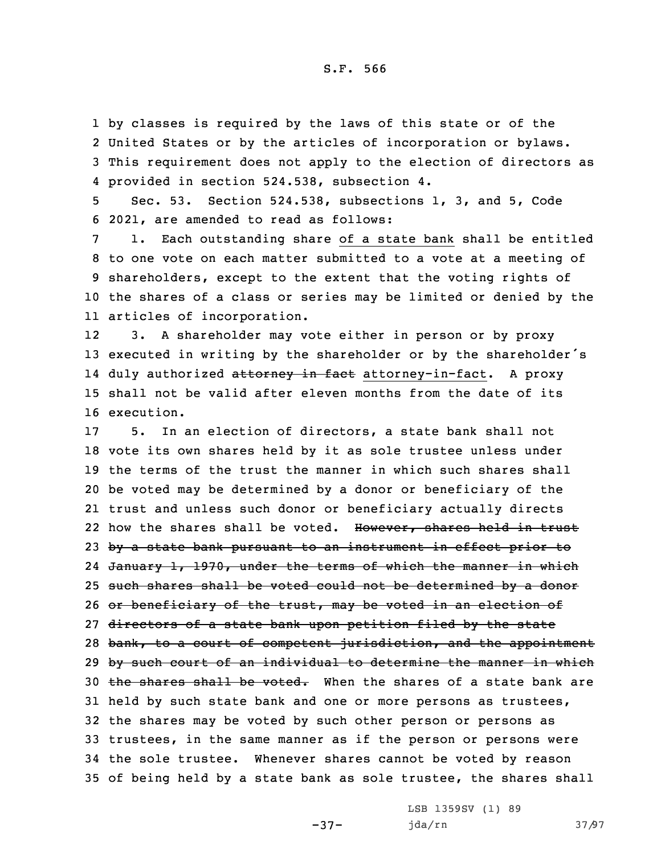by classes is required by the laws of this state or of the United States or by the articles of incorporation or bylaws. This requirement does not apply to the election of directors as provided in section 524.538, subsection 4.

5 Sec. 53. Section 524.538, subsections 1, 3, and 5, Code 6 2021, are amended to read as follows:

 1. Each outstanding share of <sup>a</sup> state bank shall be entitled to one vote on each matter submitted to <sup>a</sup> vote at <sup>a</sup> meeting of shareholders, except to the extent that the voting rights of the shares of <sup>a</sup> class or series may be limited or denied by the articles of incorporation.

12 3. <sup>A</sup> shareholder may vote either in person or by proxy <sup>13</sup> executed in writing by the shareholder or by the shareholder's 14 duly authorized <del>attorney in fact</del> attorney-in-fact. A proxy 15 shall not be valid after eleven months from the date of its 16 execution.

 5. In an election of directors, <sup>a</sup> state bank shall not vote its own shares held by it as sole trustee unless under the terms of the trust the manner in which such shares shall be voted may be determined by <sup>a</sup> donor or beneficiary of the trust and unless such donor or beneficiary actually directs 22 how the shares shall be voted. However, shares held in trust 23 by a state bank pursuant to an instrument in effect prior to January 1, 1970, under the terms of which the manner in which such shares shall be voted could not be determined by <sup>a</sup> donor 26 or beneficiary of the trust, may be voted in an election of 27 directors of a state bank upon petition filed by the state 28 bank, to a court of competent jurisdiction, and the appointment 29 by such court of an individual to determine the manner in which 30 the shares shall be voted. When the shares of a state bank are held by such state bank and one or more persons as trustees, the shares may be voted by such other person or persons as trustees, in the same manner as if the person or persons were the sole trustee. Whenever shares cannot be voted by reason of being held by <sup>a</sup> state bank as sole trustee, the shares shall

-37-

LSB 1359SV (1) 89 jda/rn 37/97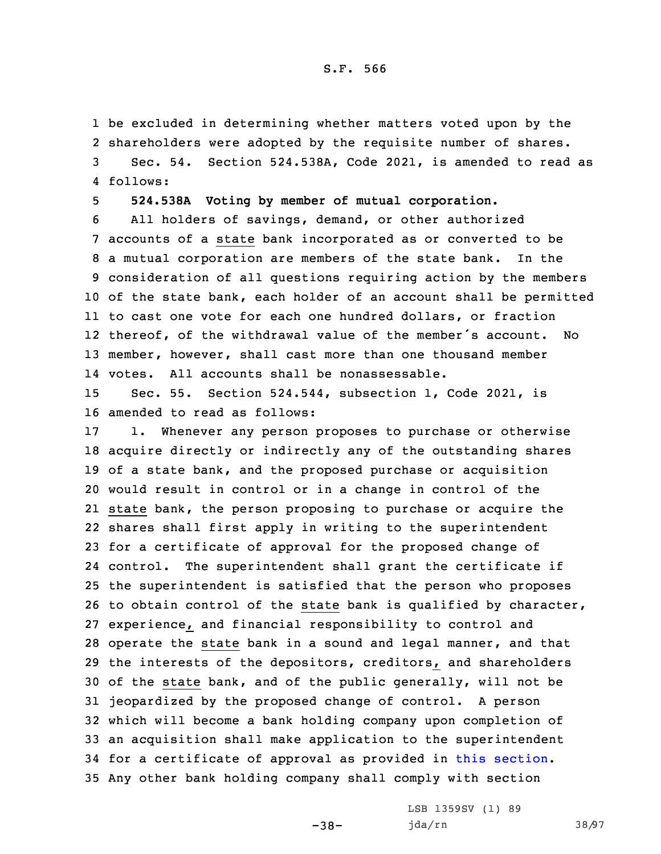be excluded in determining whether matters voted upon by the shareholders were adopted by the requisite number of shares. Sec. 54. Section 524.538A, Code 2021, is amended to read as 4 follows:

5 **524.538A Voting by member of mutual corporation.**

 All holders of savings, demand, or other authorized accounts of <sup>a</sup> state bank incorporated as or converted to be <sup>a</sup> mutual corporation are members of the state bank. In the consideration of all questions requiring action by the members of the state bank, each holder of an account shall be permitted to cast one vote for each one hundred dollars, or fraction thereof, of the withdrawal value of the member's account. No member, however, shall cast more than one thousand member votes. All accounts shall be nonassessable.

15 Sec. 55. Section 524.544, subsection 1, Code 2021, is 16 amended to read as follows:

 1. Whenever any person proposes to purchase or otherwise acquire directly or indirectly any of the outstanding shares of <sup>a</sup> state bank, and the proposed purchase or acquisition would result in control or in <sup>a</sup> change in control of the state bank, the person proposing to purchase or acquire the shares shall first apply in writing to the superintendent for <sup>a</sup> certificate of approval for the proposed change of control. The superintendent shall grant the certificate if the superintendent is satisfied that the person who proposes to obtain control of the state bank is qualified by character, experience, and financial responsibility to control and operate the state bank in <sup>a</sup> sound and legal manner, and that the interests of the depositors, creditors, and shareholders of the state bank, and of the public generally, will not be jeopardized by the proposed change of control. <sup>A</sup> person which will become <sup>a</sup> bank holding company upon completion of an acquisition shall make application to the superintendent for <sup>a</sup> certificate of approval as provided in this [section](https://www.legis.iowa.gov/docs/code/2021/524.544.pdf). Any other bank holding company shall comply with section

-38-

LSB 1359SV (1) 89 jda/rn 38/97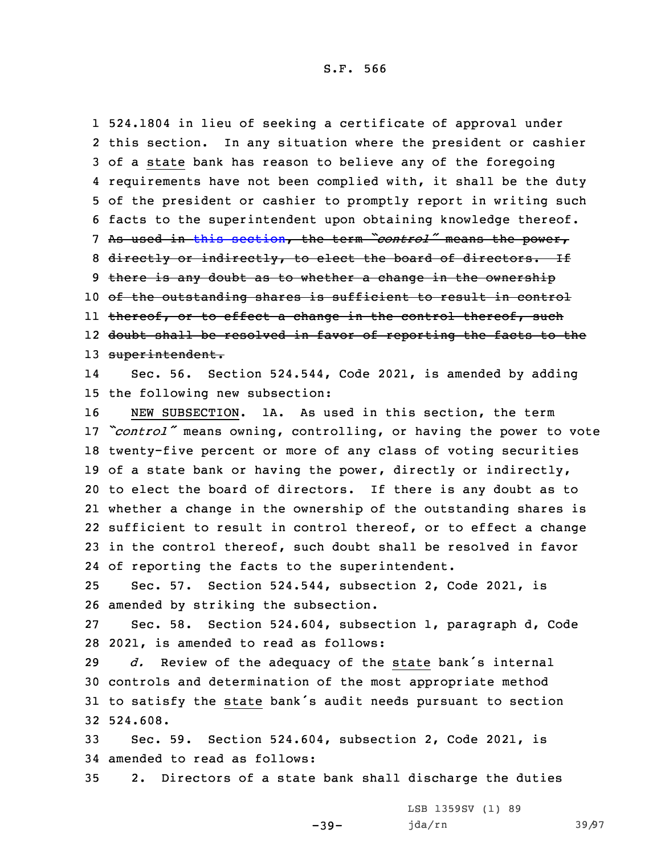524.1804 in lieu of seeking <sup>a</sup> certificate of approval under this section. In any situation where the president or cashier of <sup>a</sup> state bank has reason to believe any of the foregoing requirements have not been complied with, it shall be the duty of the president or cashier to promptly report in writing such facts to the superintendent upon obtaining knowledge thereof. As used in this [section](https://www.legis.iowa.gov/docs/code/2021/524.544.pdf), the term *"control"* means the power, 8 directly or indirectly, to elect the board of directors. If 9 there is any doubt as to whether a change in the ownership of the outstanding shares is sufficient to result in control ll <del>thereof, or to effect a change in the control thereof, such</del> doubt shall be resolved in favor of reporting the facts to the 13 superintendent. 14 Sec. 56. Section 524.544, Code 2021, is amended by adding the following new subsection: NEW SUBSECTION. 1A. As used in this section, the term

 *"control"* means owning, controlling, or having the power to vote twenty-five percent or more of any class of voting securities of <sup>a</sup> state bank or having the power, directly or indirectly, to elect the board of directors. If there is any doubt as to whether <sup>a</sup> change in the ownership of the outstanding shares is sufficient to result in control thereof, or to effect <sup>a</sup> change in the control thereof, such doubt shall be resolved in favor of reporting the facts to the superintendent.

25 Sec. 57. Section 524.544, subsection 2, Code 2021, is 26 amended by striking the subsection.

27 Sec. 58. Section 524.604, subsection 1, paragraph d, Code 28 2021, is amended to read as follows:

 *d.* Review of the adequacy of the state bank's internal controls and determination of the most appropriate method to satisfy the state bank's audit needs pursuant to section 32 524.608.

33 Sec. 59. Section 524.604, subsection 2, Code 2021, is 34 amended to read as follows:

35 2. Directors of <sup>a</sup> state bank shall discharge the duties

-39-

LSB 1359SV (1) 89 jda/rn 39/97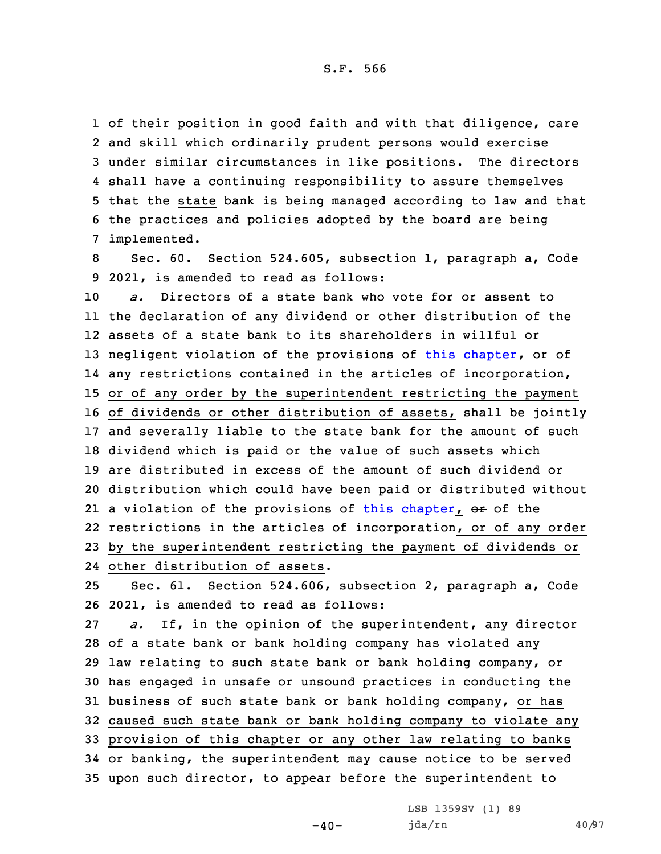of their position in good faith and with that diligence, care and skill which ordinarily prudent persons would exercise under similar circumstances in like positions. The directors shall have <sup>a</sup> continuing responsibility to assure themselves that the state bank is being managed according to law and that the practices and policies adopted by the board are being implemented.

8 Sec. 60. Section 524.605, subsection 1, paragraph a, Code 9 2021, is amended to read as follows:

 *a.* Directors of <sup>a</sup> state bank who vote for or assent to the declaration of any dividend or other distribution of the assets of <sup>a</sup> state bank to its shareholders in willful or 13 negligent violation of the provisions of this [chapter](https://www.legis.iowa.gov/docs/code/2021/524.pdf), or of any restrictions contained in the articles of incorporation, or of any order by the superintendent restricting the payment of dividends or other distribution of assets, shall be jointly and severally liable to the state bank for the amount of such dividend which is paid or the value of such assets which are distributed in excess of the amount of such dividend or distribution which could have been paid or distributed without 21 a violation of the provisions of this [chapter](https://www.legis.iowa.gov/docs/code/2021/524.pdf), <del>or</del> of the restrictions in the articles of incorporation, or of any order by the superintendent restricting the payment of dividends or

24 other distribution of assets.

25 Sec. 61. Section 524.606, subsection 2, paragraph a, Code 26 2021, is amended to read as follows:

 *a.* If, in the opinion of the superintendent, any director of <sup>a</sup> state bank or bank holding company has violated any 29 law relating to such state bank or bank holding company,  $\Theta$ <sup>+</sup> has engaged in unsafe or unsound practices in conducting the business of such state bank or bank holding company, or has caused such state bank or bank holding company to violate any provision of this chapter or any other law relating to banks or banking, the superintendent may cause notice to be served upon such director, to appear before the superintendent to

 $-40-$ 

LSB 1359SV (1) 89 jda/rn 40/97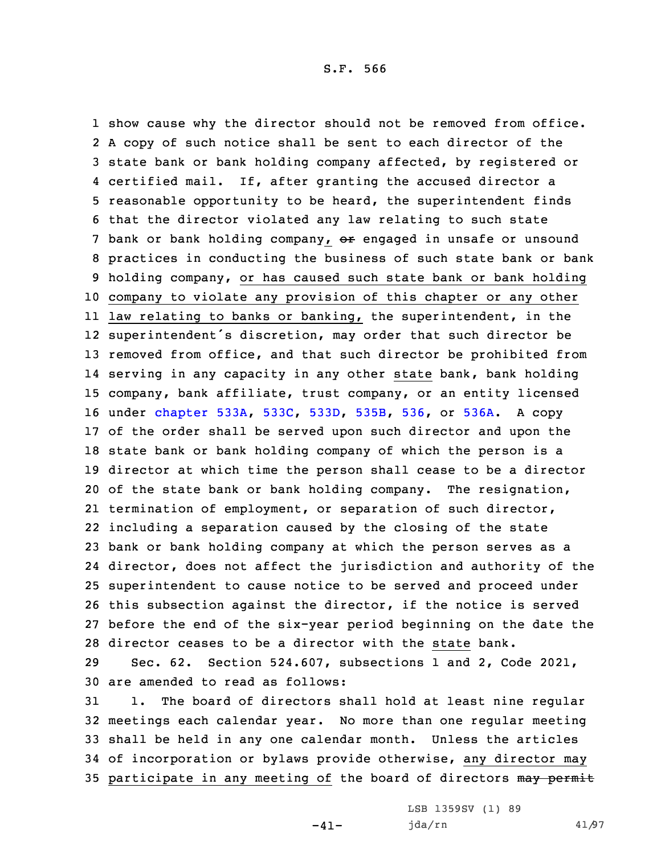show cause why the director should not be removed from office. <sup>A</sup> copy of such notice shall be sent to each director of the state bank or bank holding company affected, by registered or certified mail. If, after granting the accused director <sup>a</sup> reasonable opportunity to be heard, the superintendent finds that the director violated any law relating to such state 7 bank or bank holding company, or engaged in unsafe or unsound practices in conducting the business of such state bank or bank holding company, or has caused such state bank or bank holding company to violate any provision of this chapter or any other law relating to banks or banking, the superintendent, in the superintendent's discretion, may order that such director be removed from office, and that such director be prohibited from serving in any capacity in any other state bank, bank holding company, bank affiliate, trust company, or an entity licensed under [chapter](https://www.legis.iowa.gov/docs/code/2021/533A.pdf) 533A, [533C](https://www.legis.iowa.gov/docs/code/2021/533C.pdf), [533D](https://www.legis.iowa.gov/docs/code/2021/533D.pdf), [535B](https://www.legis.iowa.gov/docs/code/2021/535B.pdf), [536](https://www.legis.iowa.gov/docs/code/2021/536.pdf), or [536A](https://www.legis.iowa.gov/docs/code/2021/536A.pdf). <sup>A</sup> copy of the order shall be served upon such director and upon the state bank or bank holding company of which the person is <sup>a</sup> director at which time the person shall cease to be <sup>a</sup> director of the state bank or bank holding company. The resignation, termination of employment, or separation of such director, including <sup>a</sup> separation caused by the closing of the state bank or bank holding company at which the person serves as <sup>a</sup> director, does not affect the jurisdiction and authority of the superintendent to cause notice to be served and proceed under this subsection against the director, if the notice is served before the end of the six-year period beginning on the date the director ceases to be <sup>a</sup> director with the state bank.

29 Sec. 62. Section 524.607, subsections 1 and 2, Code 2021, 30 are amended to read as follows:

 1. The board of directors shall hold at least nine regular meetings each calendar year. No more than one regular meeting shall be held in any one calendar month. Unless the articles of incorporation or bylaws provide otherwise, any director may 35 participate in any meeting of the board of directors may permit

 $-41-$ 

LSB 1359SV (1) 89 jda/rn 41/97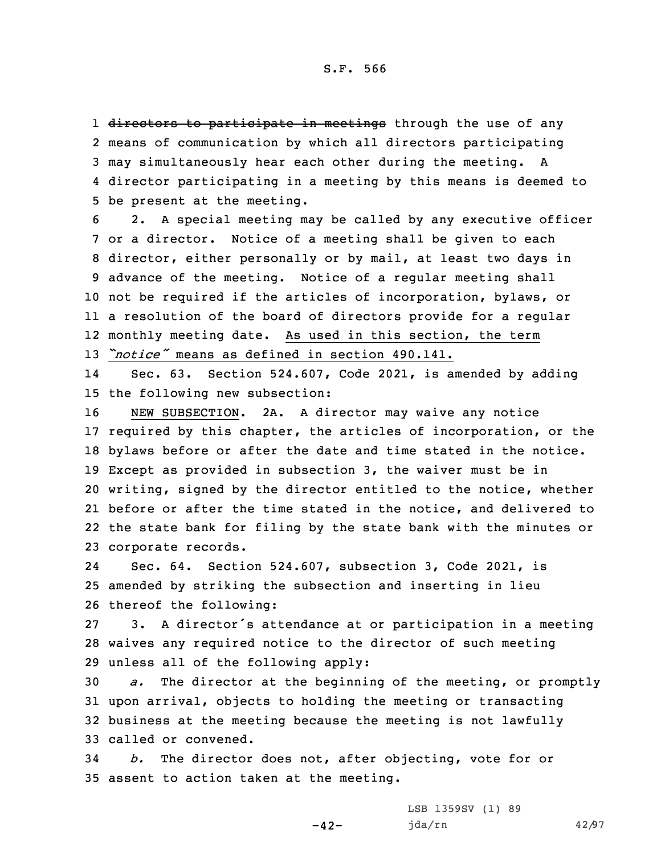1 <del>directors to participate in meetings</del> through the use of any means of communication by which all directors participating may simultaneously hear each other during the meeting. <sup>A</sup> director participating in <sup>a</sup> meeting by this means is deemed to be present at the meeting.

 2. <sup>A</sup> special meeting may be called by any executive officer or <sup>a</sup> director. Notice of <sup>a</sup> meeting shall be given to each director, either personally or by mail, at least two days in advance of the meeting. Notice of <sup>a</sup> regular meeting shall not be required if the articles of incorporation, bylaws, or <sup>a</sup> resolution of the board of directors provide for <sup>a</sup> regular monthly meeting date. As used in this section, the term *"notice"* means as defined in section 490.141.

14 Sec. 63. Section 524.607, Code 2021, is amended by adding 15 the following new subsection:

 NEW SUBSECTION. 2A. <sup>A</sup> director may waive any notice required by this chapter, the articles of incorporation, or the bylaws before or after the date and time stated in the notice. Except as provided in subsection 3, the waiver must be in writing, signed by the director entitled to the notice, whether before or after the time stated in the notice, and delivered to the state bank for filing by the state bank with the minutes or corporate records.

24 Sec. 64. Section 524.607, subsection 3, Code 2021, is 25 amended by striking the subsection and inserting in lieu 26 thereof the following:

27 3. <sup>A</sup> director's attendance at or participation in <sup>a</sup> meeting 28 waives any required notice to the director of such meeting 29 unless all of the following apply:

 *a.* The director at the beginning of the meeting, or promptly upon arrival, objects to holding the meeting or transacting business at the meeting because the meeting is not lawfully called or convened.

34 *b.* The director does not, after objecting, vote for or 35 assent to action taken at the meeting.

 $-42-$ 

LSB 1359SV (1) 89 jda/rn 42/97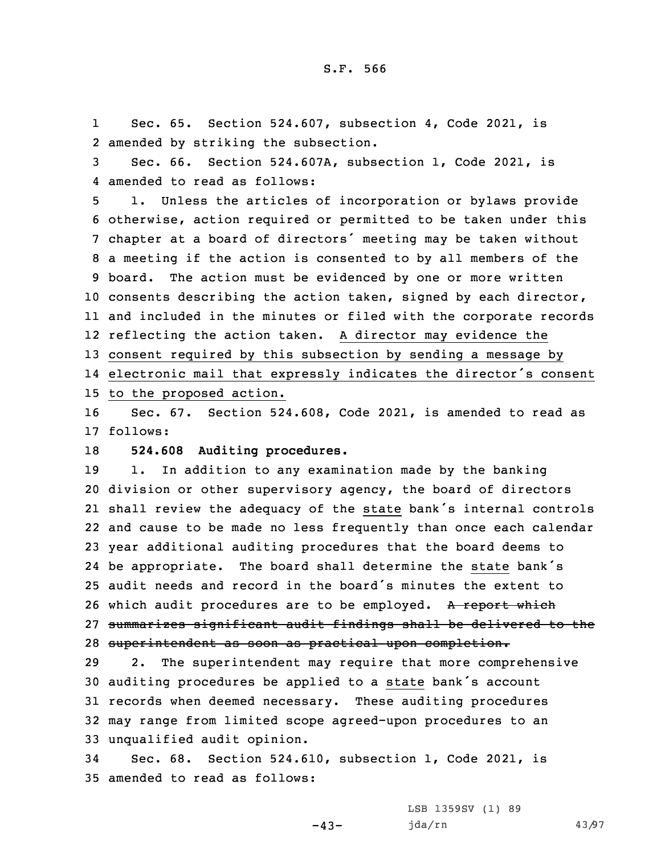1 Sec. 65. Section 524.607, subsection 4, Code 2021, is 2 amended by striking the subsection.

3 Sec. 66. Section 524.607A, subsection 1, Code 2021, is 4 amended to read as follows:

 1. Unless the articles of incorporation or bylaws provide otherwise, action required or permitted to be taken under this chapter at <sup>a</sup> board of directors' meeting may be taken without <sup>a</sup> meeting if the action is consented to by all members of the board. The action must be evidenced by one or more written consents describing the action taken, signed by each director, and included in the minutes or filed with the corporate records reflecting the action taken. <sup>A</sup> director may evidence the consent required by this subsection by sending <sup>a</sup> message by electronic mail that expressly indicates the director's consent to the proposed action.

16 Sec. 67. Section 524.608, Code 2021, is amended to read as 17 follows:

18 **524.608 Auditing procedures.**

 1. In addition to any examination made by the banking division or other supervisory agency, the board of directors shall review the adequacy of the state bank's internal controls and cause to be made no less frequently than once each calendar year additional auditing procedures that the board deems to be appropriate. The board shall determine the state bank's audit needs and record in the board's minutes the extent to 26 which audit procedures are to be employed. A report which summarizes significant audit findings shall be delivered to the superintendent as soon as practical upon completion.

 2. The superintendent may require that more comprehensive auditing procedures be applied to <sup>a</sup> state bank's account records when deemed necessary. These auditing procedures may range from limited scope agreed-upon procedures to an unqualified audit opinion.

34 Sec. 68. Section 524.610, subsection 1, Code 2021, is 35 amended to read as follows:

 $-43-$ 

LSB 1359SV (1) 89 jda/rn 43/97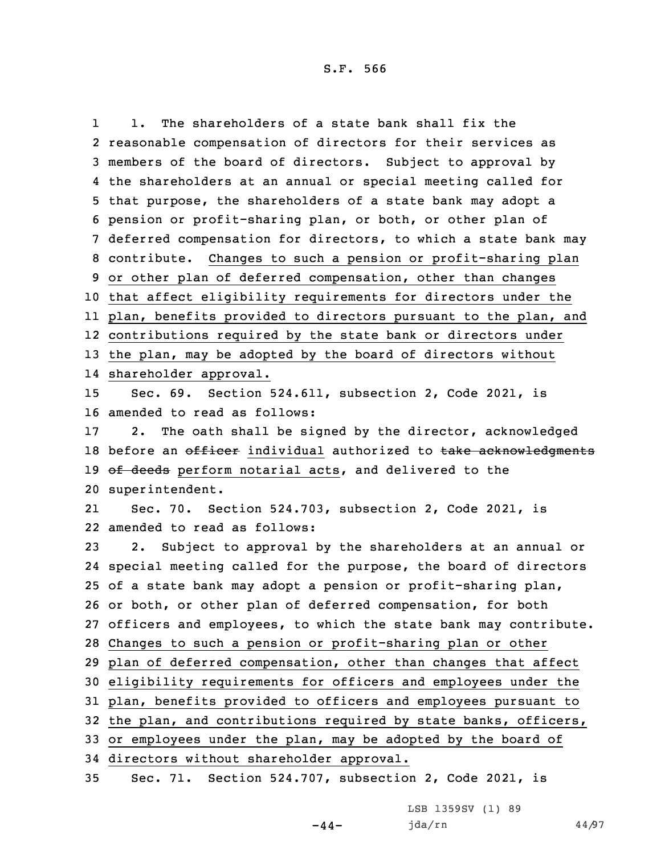1 1. The shareholders of <sup>a</sup> state bank shall fix the reasonable compensation of directors for their services as members of the board of directors. Subject to approval by the shareholders at an annual or special meeting called for that purpose, the shareholders of <sup>a</sup> state bank may adopt <sup>a</sup> pension or profit-sharing plan, or both, or other plan of deferred compensation for directors, to which <sup>a</sup> state bank may contribute. Changes to such <sup>a</sup> pension or profit-sharing plan or other plan of deferred compensation, other than changes that affect eligibility requirements for directors under the plan, benefits provided to directors pursuant to the plan, and contributions required by the state bank or directors under the plan, may be adopted by the board of directors without shareholder approval. Sec. 69. Section 524.611, subsection 2, Code 2021, is amended to read as follows: 2. The oath shall be signed by the director, acknowledged 18 before an officer individual authorized to take acknowledgments 19 of deeds perform notarial acts, and delivered to the superintendent. 21 Sec. 70. Section 524.703, subsection 2, Code 2021, is amended to read as follows: 2. Subject to approval by the shareholders at an annual or special meeting called for the purpose, the board of directors of <sup>a</sup> state bank may adopt <sup>a</sup> pension or profit-sharing plan, or both, or other plan of deferred compensation, for both officers and employees, to which the state bank may contribute. Changes to such <sup>a</sup> pension or profit-sharing plan or other plan of deferred compensation, other than changes that affect eligibility requirements for officers and employees under the plan, benefits provided to officers and employees pursuant to the plan, and contributions required by state banks, officers, or employees under the plan, may be adopted by the board of directors without shareholder approval.

35 Sec. 71. Section 524.707, subsection 2, Code 2021, is

LSB 1359SV (1) 89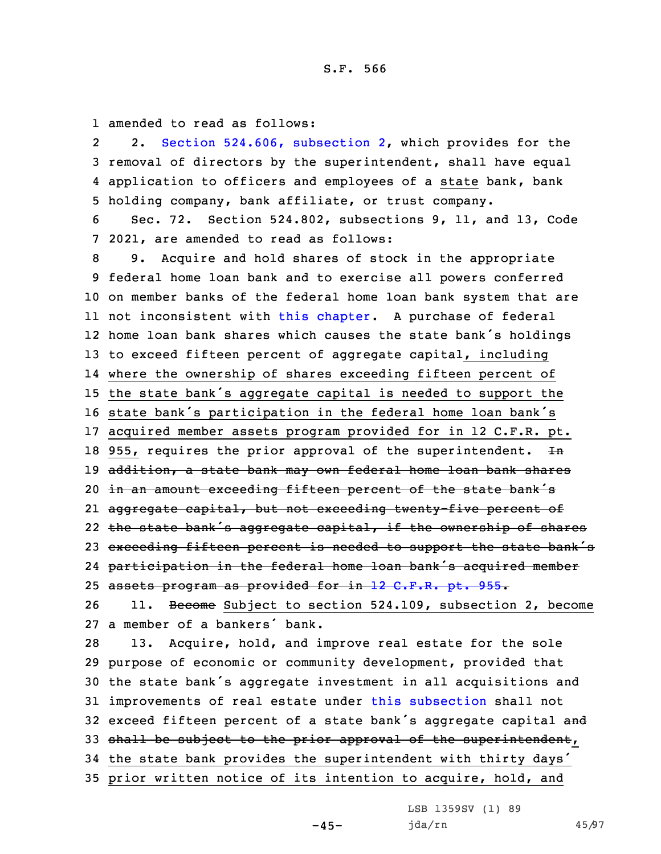1 amended to read as follows:

2 2. Section 524.606, [subsection](https://www.legis.iowa.gov/docs/code/2021/524.606.pdf) 2, which provides for the 3 removal of directors by the superintendent, shall have equal 4 application to officers and employees of <sup>a</sup> state bank, bank 5 holding company, bank affiliate, or trust company.

6 Sec. 72. Section 524.802, subsections 9, 11, and 13, Code 7 2021, are amended to read as follows:

 9. Acquire and hold shares of stock in the appropriate federal home loan bank and to exercise all powers conferred on member banks of the federal home loan bank system that are not inconsistent with this [chapter](https://www.legis.iowa.gov/docs/code/2021/524.pdf). <sup>A</sup> purchase of federal home loan bank shares which causes the state bank's holdings to exceed fifteen percent of aggregate capital, including where the ownership of shares exceeding fifteen percent of the state bank's aggregate capital is needed to support the state bank's participation in the federal home loan bank's acquired member assets program provided for in 12 C.F.R. pt. 18 955, requires the prior approval of the superintendent.  $In$ 19 addition, a state bank may own federal home loan bank shares 20 in an amount exceeding fifteen percent of the state bank's aggregate capital, but not exceeding twenty-five percent of the state bank's aggregate capital, if the ownership of shares 23 exceeding fifteen percent is needed to support the state bank's participation in the federal home loan bank's acquired member 25 assets program as provided for in 12 C.F.R. pt. 955. 26 11. Become Subject to section 524.109, subsection 2, become <sup>a</sup> member of <sup>a</sup> bankers' bank. 13. Acquire, hold, and improve real estate for the sole purpose of economic or community development, provided that the state bank's aggregate investment in all acquisitions and improvements of real estate under this [subsection](https://www.legis.iowa.gov/docs/code/2021/524.802.pdf) shall not 32 exceed fifteen percent of a state bank's aggregate capital and 33 shall be subject to the prior approval of the superintendent, the state bank provides the superintendent with thirty days' prior written notice of its intention to acquire, hold, and

 $-45-$ 

LSB 1359SV (1) 89 jda/rn 45/97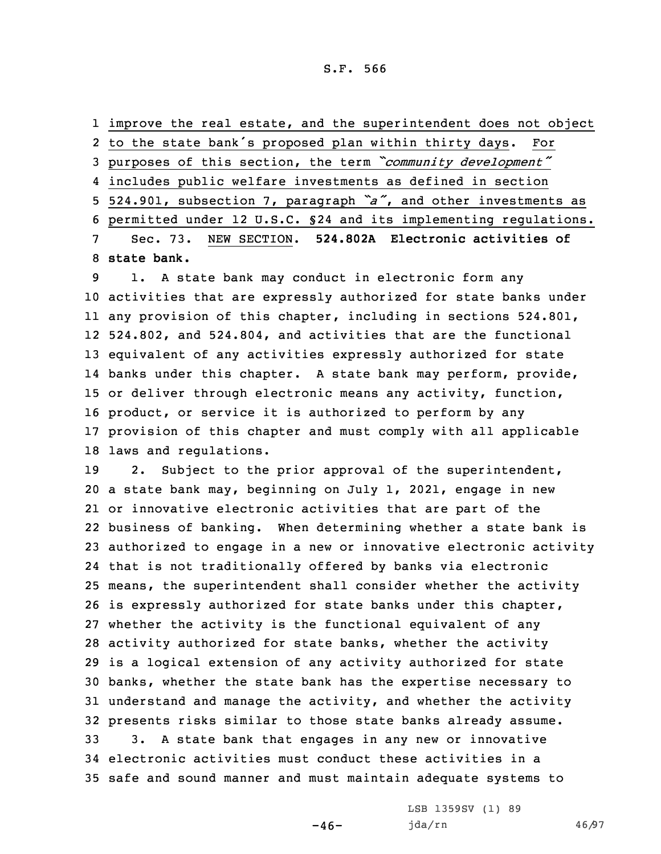improve the real estate, and the superintendent does not object to the state bank's proposed plan within thirty days. For purposes of this section, the term *"community development"* includes public welfare investments as defined in section 524.901, subsection 7, paragraph *"a"*, and other investments as permitted under 12 U.S.C. §24 and its implementing regulations. Sec. 73. NEW SECTION. **524.802A Electronic activities of state bank.**

 1. <sup>A</sup> state bank may conduct in electronic form any activities that are expressly authorized for state banks under any provision of this chapter, including in sections 524.801, 524.802, and 524.804, and activities that are the functional equivalent of any activities expressly authorized for state banks under this chapter. <sup>A</sup> state bank may perform, provide, or deliver through electronic means any activity, function, product, or service it is authorized to perform by any provision of this chapter and must comply with all applicable laws and regulations.

 2. Subject to the prior approval of the superintendent, <sup>a</sup> state bank may, beginning on July 1, 2021, engage in new or innovative electronic activities that are part of the business of banking. When determining whether <sup>a</sup> state bank is authorized to engage in <sup>a</sup> new or innovative electronic activity that is not traditionally offered by banks via electronic means, the superintendent shall consider whether the activity is expressly authorized for state banks under this chapter, whether the activity is the functional equivalent of any activity authorized for state banks, whether the activity is <sup>a</sup> logical extension of any activity authorized for state banks, whether the state bank has the expertise necessary to understand and manage the activity, and whether the activity presents risks similar to those state banks already assume. 3. <sup>A</sup> state bank that engages in any new or innovative electronic activities must conduct these activities in <sup>a</sup> safe and sound manner and must maintain adequate systems to

 $-46-$ 

LSB 1359SV (1) 89 jda/rn 46/97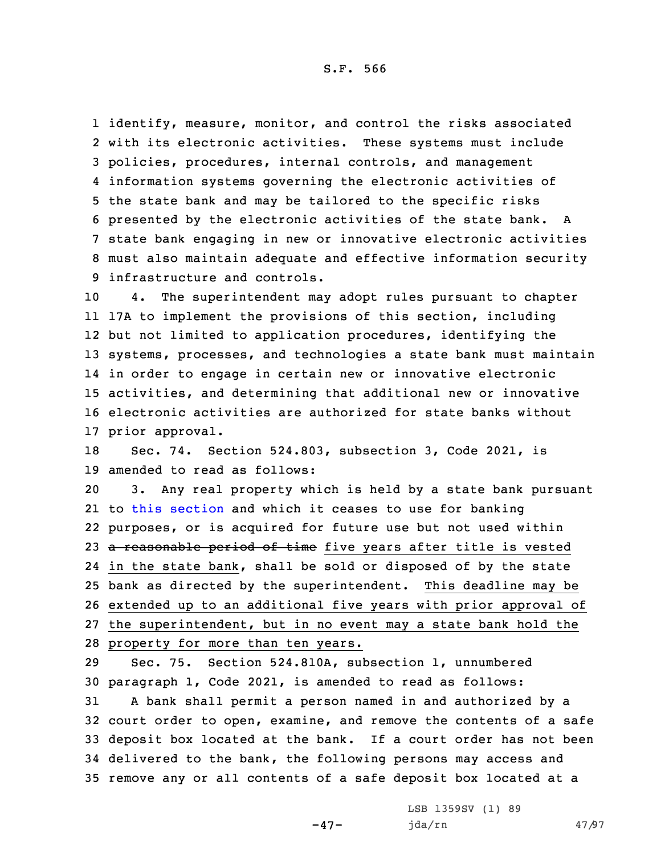identify, measure, monitor, and control the risks associated with its electronic activities. These systems must include policies, procedures, internal controls, and management information systems governing the electronic activities of the state bank and may be tailored to the specific risks presented by the electronic activities of the state bank. <sup>A</sup> state bank engaging in new or innovative electronic activities must also maintain adequate and effective information security infrastructure and controls.

 4. The superintendent may adopt rules pursuant to chapter 17A to implement the provisions of this section, including but not limited to application procedures, identifying the systems, processes, and technologies <sup>a</sup> state bank must maintain in order to engage in certain new or innovative electronic activities, and determining that additional new or innovative electronic activities are authorized for state banks without prior approval.

18 Sec. 74. Section 524.803, subsection 3, Code 2021, is 19 amended to read as follows:

 3. Any real property which is held by <sup>a</sup> state bank pursuant to this [section](https://www.legis.iowa.gov/docs/code/2021/524.803.pdf) and which it ceases to use for banking purposes, or is acquired for future use but not used within 23 a reasonable period of time five years after title is vested in the state bank, shall be sold or disposed of by the state bank as directed by the superintendent. This deadline may be extended up to an additional five years with prior approval of the superintendent, but in no event may <sup>a</sup> state bank hold the property for more than ten years.

 Sec. 75. Section 524.810A, subsection 1, unnumbered paragraph 1, Code 2021, is amended to read as follows: <sup>A</sup> bank shall permit <sup>a</sup> person named in and authorized by <sup>a</sup> court order to open, examine, and remove the contents of <sup>a</sup> safe deposit box located at the bank. If <sup>a</sup> court order has not been delivered to the bank, the following persons may access and remove any or all contents of <sup>a</sup> safe deposit box located at <sup>a</sup>

 $-47-$ 

LSB 1359SV (1) 89 jda/rn 47/97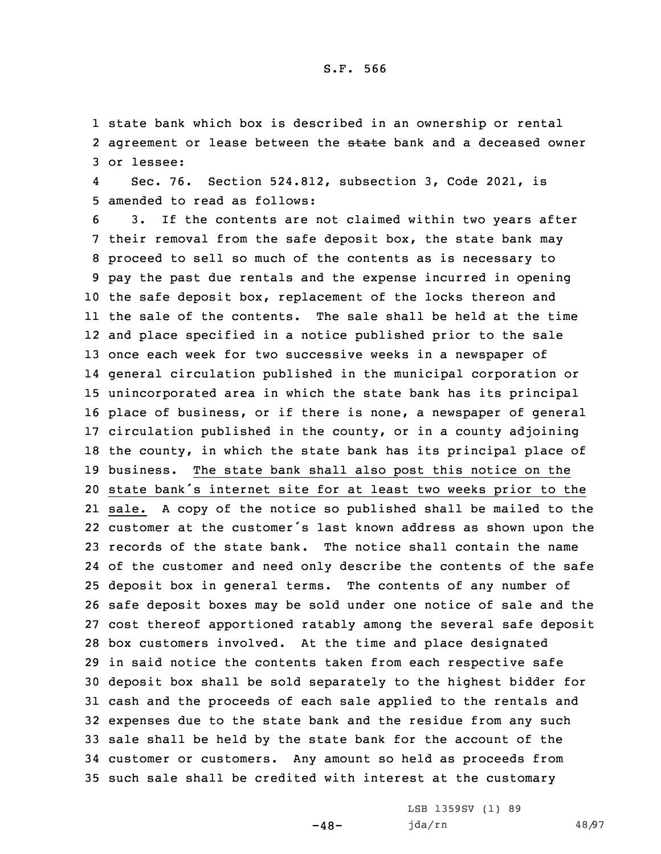1 state bank which box is described in an ownership or rental 2 agreement or lease between the <del>state</del> bank and a deceased owner 3 or lessee:

4 Sec. 76. Section 524.812, subsection 3, Code 2021, is 5 amended to read as follows:

 3. If the contents are not claimed within two years after their removal from the safe deposit box, the state bank may proceed to sell so much of the contents as is necessary to pay the past due rentals and the expense incurred in opening the safe deposit box, replacement of the locks thereon and the sale of the contents. The sale shall be held at the time and place specified in <sup>a</sup> notice published prior to the sale once each week for two successive weeks in <sup>a</sup> newspaper of general circulation published in the municipal corporation or unincorporated area in which the state bank has its principal place of business, or if there is none, <sup>a</sup> newspaper of general circulation published in the county, or in <sup>a</sup> county adjoining the county, in which the state bank has its principal place of business. The state bank shall also post this notice on the state bank's internet site for at least two weeks prior to the sale. <sup>A</sup> copy of the notice so published shall be mailed to the customer at the customer's last known address as shown upon the records of the state bank. The notice shall contain the name of the customer and need only describe the contents of the safe deposit box in general terms. The contents of any number of safe deposit boxes may be sold under one notice of sale and the cost thereof apportioned ratably among the several safe deposit box customers involved. At the time and place designated in said notice the contents taken from each respective safe deposit box shall be sold separately to the highest bidder for cash and the proceeds of each sale applied to the rentals and expenses due to the state bank and the residue from any such sale shall be held by the state bank for the account of the customer or customers. Any amount so held as proceeds from such sale shall be credited with interest at the customary

 $-48-$ 

LSB 1359SV (1) 89 jda/rn 48/97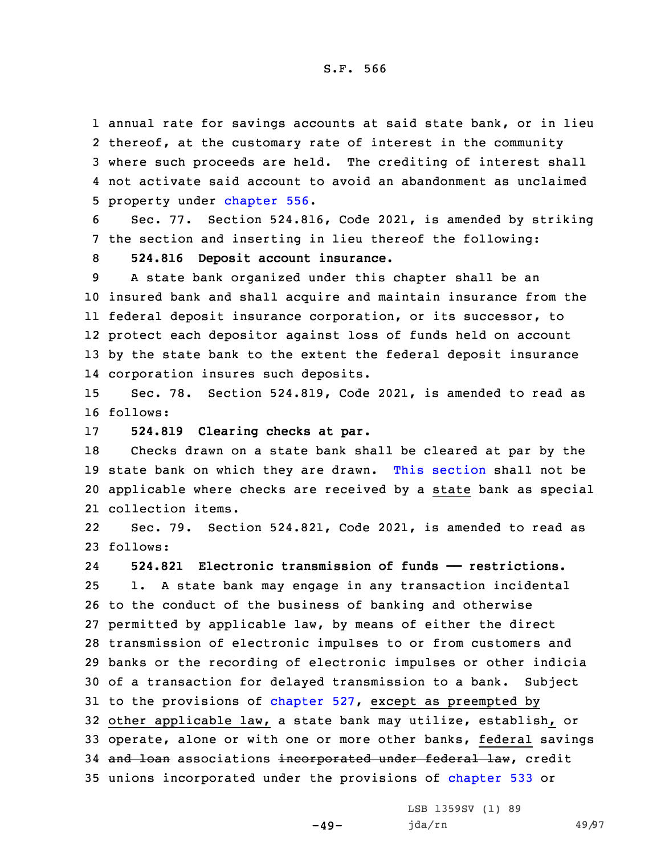annual rate for savings accounts at said state bank, or in lieu thereof, at the customary rate of interest in the community where such proceeds are held. The crediting of interest shall not activate said account to avoid an abandonment as unclaimed property under [chapter](https://www.legis.iowa.gov/docs/code/2021/556.pdf) 556.

6 Sec. 77. Section 524.816, Code 2021, is amended by striking 7 the section and inserting in lieu thereof the following:

8 **524.816 Deposit account insurance.**

 <sup>A</sup> state bank organized under this chapter shall be an insured bank and shall acquire and maintain insurance from the federal deposit insurance corporation, or its successor, to protect each depositor against loss of funds held on account by the state bank to the extent the federal deposit insurance corporation insures such deposits.

15 Sec. 78. Section 524.819, Code 2021, is amended to read as 16 follows:

17 **524.819 Clearing checks at par.**

 Checks drawn on <sup>a</sup> state bank shall be cleared at par by the state bank on which they are drawn. This [section](https://www.legis.iowa.gov/docs/code/2021/524.819.pdf) shall not be applicable where checks are received by <sup>a</sup> state bank as special collection items.

22 Sec. 79. Section 524.821, Code 2021, is amended to read as 23 follows:

24 **524.821 Electronic transmission of funds —— restrictions.** 1. <sup>A</sup> state bank may engage in any transaction incidental to the conduct of the business of banking and otherwise permitted by applicable law, by means of either the direct transmission of electronic impulses to or from customers and banks or the recording of electronic impulses or other indicia of <sup>a</sup> transaction for delayed transmission to <sup>a</sup> bank. Subject to the provisions of [chapter](https://www.legis.iowa.gov/docs/code/2021/527.pdf) 527, except as preempted by other applicable law, <sup>a</sup> state bank may utilize, establish, or operate, alone or with one or more other banks, federal savings 34 and loan associations incorporated under federal law, credit unions incorporated under the provisions of [chapter](https://www.legis.iowa.gov/docs/code/2021/533.pdf) 533 or

 $-49-$ 

LSB 1359SV (1) 89 jda/rn 49/97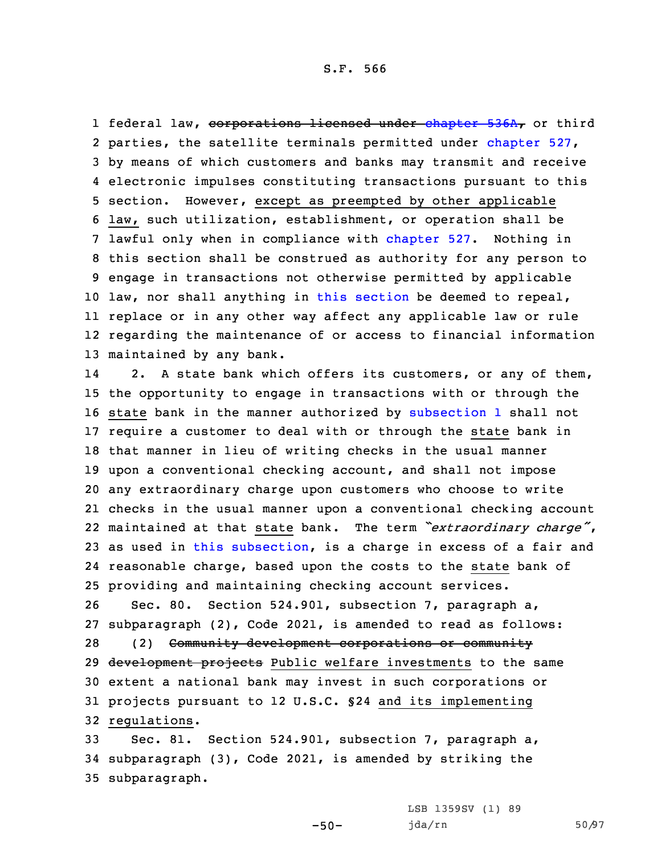1 federal law, <del>corporations licensed under [chapter](https://www.legis.iowa.gov/docs/code/2021/536A.pdf) 536A,</del> or third parties, the satellite terminals permitted under [chapter](https://www.legis.iowa.gov/docs/code/2021/527.pdf) 527, by means of which customers and banks may transmit and receive electronic impulses constituting transactions pursuant to this section. However, except as preempted by other applicable law, such utilization, establishment, or operation shall be lawful only when in compliance with [chapter](https://www.legis.iowa.gov/docs/code/2021/527.pdf) 527. Nothing in this section shall be construed as authority for any person to engage in transactions not otherwise permitted by applicable law, nor shall anything in this [section](https://www.legis.iowa.gov/docs/code/2021/524.821.pdf) be deemed to repeal, replace or in any other way affect any applicable law or rule regarding the maintenance of or access to financial information maintained by any bank.

14 2. <sup>A</sup> state bank which offers its customers, or any of them, the opportunity to engage in transactions with or through the state bank in the manner authorized by [subsection](https://www.legis.iowa.gov/docs/code/2021/524.821.pdf) 1 shall not require <sup>a</sup> customer to deal with or through the state bank in that manner in lieu of writing checks in the usual manner upon <sup>a</sup> conventional checking account, and shall not impose any extraordinary charge upon customers who choose to write checks in the usual manner upon <sup>a</sup> conventional checking account maintained at that state bank. The term *"extraordinary charge"*, as used in this [subsection](https://www.legis.iowa.gov/docs/code/2021/524.821.pdf), is <sup>a</sup> charge in excess of <sup>a</sup> fair and reasonable charge, based upon the costs to the state bank of providing and maintaining checking account services.

 Sec. 80. Section 524.901, subsection 7, paragraph a, subparagraph (2), Code 2021, is amended to read as follows: (2) Community development corporations or community 29 <del>development projects</del> Public welfare investments to the same extent <sup>a</sup> national bank may invest in such corporations or projects pursuant to 12 U.S.C. §24 and its implementing regulations.

33 Sec. 81. Section 524.901, subsection 7, paragraph a, 34 subparagraph (3), Code 2021, is amended by striking the 35 subparagraph.

-50-

LSB 1359SV (1) 89 jda/rn 50/97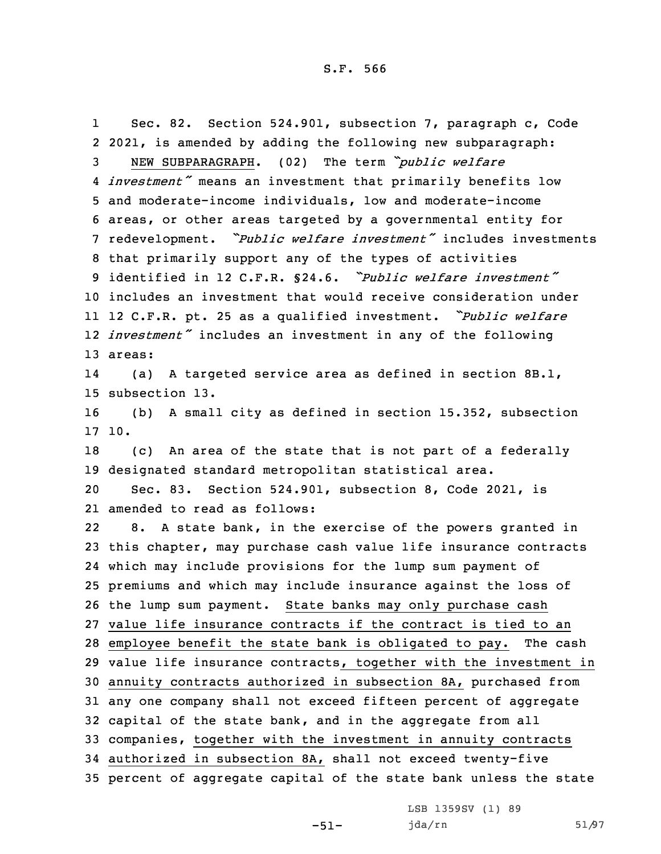1 Sec. 82. Section 524.901, subsection 7, paragraph c, Code 2021, is amended by adding the following new subparagraph: NEW SUBPARAGRAPH. (02) The term *"public welfare investment"* means an investment that primarily benefits low and moderate-income individuals, low and moderate-income areas, or other areas targeted by <sup>a</sup> governmental entity for redevelopment. *"Public welfare investment"* includes investments that primarily support any of the types of activities identified in 12 C.F.R. §24.6. *"Public welfare investment"* includes an investment that would receive consideration under <sup>12</sup> C.F.R. pt. <sup>25</sup> as <sup>a</sup> qualified investment. *"Public welfare investment"* includes an investment in any of the following 13 areas: 14 (a) <sup>A</sup> targeted service area as defined in section 8B.1, subsection 13. (b) <sup>A</sup> small city as defined in section 15.352, subsection 17 10. (c) An area of the state that is not part of <sup>a</sup> federally designated standard metropolitan statistical area. Sec. 83. Section 524.901, subsection 8, Code 2021, is amended to read as follows: 22 8. <sup>A</sup> state bank, in the exercise of the powers granted in this chapter, may purchase cash value life insurance contracts which may include provisions for the lump sum payment of premiums and which may include insurance against the loss of the lump sum payment. State banks may only purchase cash value life insurance contracts if the contract is tied to an employee benefit the state bank is obligated to pay. The cash value life insurance contracts, together with the investment in annuity contracts authorized in subsection 8A, purchased from any one company shall not exceed fifteen percent of aggregate capital of the state bank, and in the aggregate from all companies, together with the investment in annuity contracts authorized in subsection 8A, shall not exceed twenty-five percent of aggregate capital of the state bank unless the state

-51-

LSB 1359SV (1) 89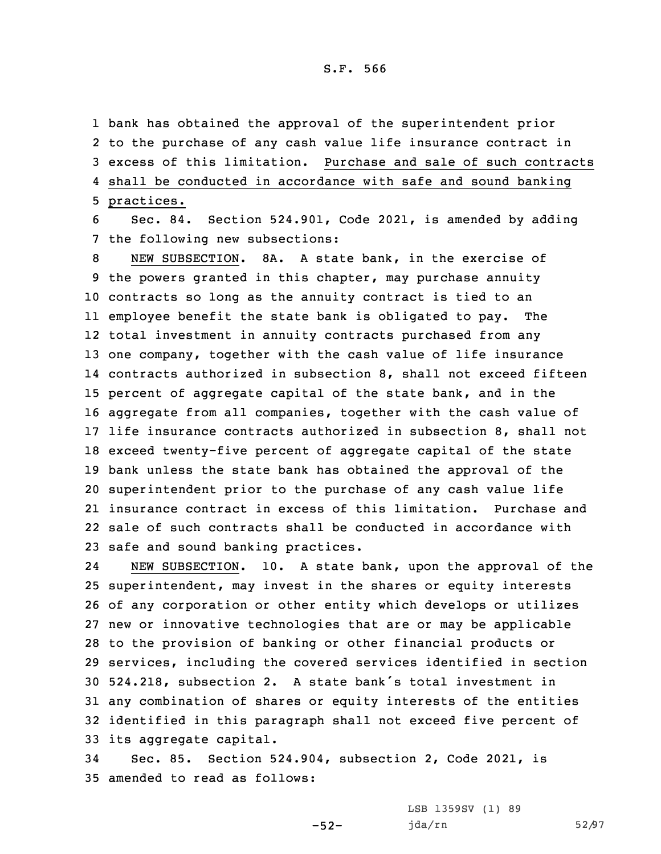bank has obtained the approval of the superintendent prior to the purchase of any cash value life insurance contract in excess of this limitation. Purchase and sale of such contracts shall be conducted in accordance with safe and sound banking practices.

6 Sec. 84. Section 524.901, Code 2021, is amended by adding 7 the following new subsections:

 NEW SUBSECTION. 8A. A state bank, in the exercise of the powers granted in this chapter, may purchase annuity contracts so long as the annuity contract is tied to an employee benefit the state bank is obligated to pay. The total investment in annuity contracts purchased from any one company, together with the cash value of life insurance contracts authorized in subsection 8, shall not exceed fifteen percent of aggregate capital of the state bank, and in the aggregate from all companies, together with the cash value of life insurance contracts authorized in subsection 8, shall not exceed twenty-five percent of aggregate capital of the state bank unless the state bank has obtained the approval of the superintendent prior to the purchase of any cash value life insurance contract in excess of this limitation. Purchase and sale of such contracts shall be conducted in accordance with safe and sound banking practices.

24 NEW SUBSECTION. 10. <sup>A</sup> state bank, upon the approval of the superintendent, may invest in the shares or equity interests of any corporation or other entity which develops or utilizes new or innovative technologies that are or may be applicable to the provision of banking or other financial products or services, including the covered services identified in section 524.218, subsection 2. <sup>A</sup> state bank's total investment in any combination of shares or equity interests of the entities identified in this paragraph shall not exceed five percent of its aggregate capital.

34 Sec. 85. Section 524.904, subsection 2, Code 2021, is 35 amended to read as follows:

-52-

LSB 1359SV (1) 89 jda/rn 52/97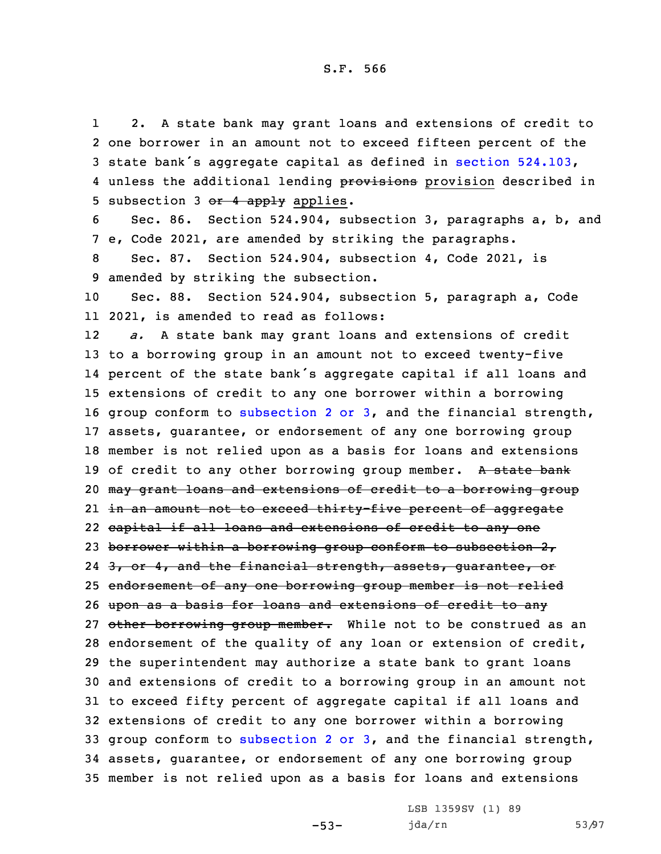1 2. <sup>A</sup> state bank may grant loans and extensions of credit to 2 one borrower in an amount not to exceed fifteen percent of the <sup>3</sup> state bank's aggregate capital as defined in section [524.103](https://www.legis.iowa.gov/docs/code/2021/524.103.pdf), 4 unless the additional lending provisions provision described in 5 subsection 3  $or$  4 apply applies.

6 Sec. 86. Section 524.904, subsection 3, paragraphs a, b, and 7 e, Code 2021, are amended by striking the paragraphs.

8 Sec. 87. Section 524.904, subsection 4, Code 2021, is 9 amended by striking the subsection.

10 Sec. 88. Section 524.904, subsection 5, paragraph a, Code 11 2021, is amended to read as follows:

12 *a.* <sup>A</sup> state bank may grant loans and extensions of credit to <sup>a</sup> borrowing group in an amount not to exceed twenty-five percent of the state bank's aggregate capital if all loans and extensions of credit to any one borrower within <sup>a</sup> borrowing group conform to [subsection](https://www.legis.iowa.gov/docs/code/2021/524.904.pdf) 2 or 3, and the financial strength, assets, guarantee, or endorsement of any one borrowing group member is not relied upon as <sup>a</sup> basis for loans and extensions 19 of credit to any other borrowing group member. A state bank may grant loans and extensions of credit to <sup>a</sup> borrowing group in an amount not to exceed thirty-five percent of aggregate capital if all loans and extensions of credit to any one 23 borrower within a borrowing group conform to subsection 2, 24 <del>3, or 4, and the financial strength, assets, guarantee, or</del> endorsement of any one borrowing group member is not relied upon as <sup>a</sup> basis for loans and extensions of credit to any 27 other borrowing group member. While not to be construed as an endorsement of the quality of any loan or extension of credit, the superintendent may authorize <sup>a</sup> state bank to grant loans and extensions of credit to <sup>a</sup> borrowing group in an amount not to exceed fifty percent of aggregate capital if all loans and extensions of credit to any one borrower within <sup>a</sup> borrowing group conform to [subsection](https://www.legis.iowa.gov/docs/code/2021/524.904.pdf) 2 or 3, and the financial strength, assets, guarantee, or endorsement of any one borrowing group member is not relied upon as <sup>a</sup> basis for loans and extensions

-53-

LSB 1359SV (1) 89 jda/rn 53/97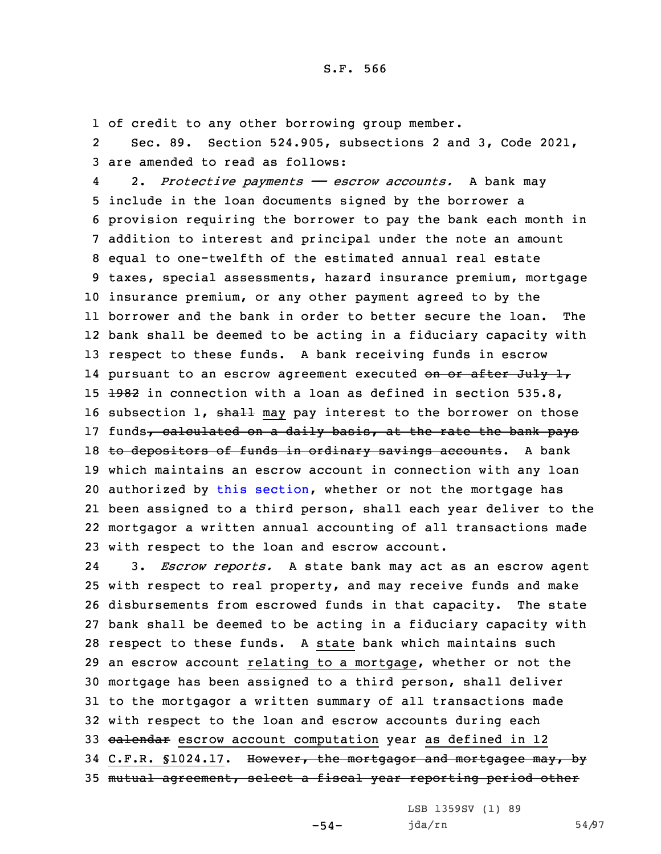1 of credit to any other borrowing group member.

2 Sec. 89. Section 524.905, subsections 2 and 3, Code 2021, 3 are amended to read as follows:

4 2. *Protective payments —— escrow accounts.* <sup>A</sup> bank may include in the loan documents signed by the borrower <sup>a</sup> provision requiring the borrower to pay the bank each month in addition to interest and principal under the note an amount equal to one-twelfth of the estimated annual real estate taxes, special assessments, hazard insurance premium, mortgage insurance premium, or any other payment agreed to by the borrower and the bank in order to better secure the loan. The bank shall be deemed to be acting in <sup>a</sup> fiduciary capacity with respect to these funds. <sup>A</sup> bank receiving funds in escrow 14 pursuant to an escrow agreement executed <del>on or after July 1</del>,  $\pm$ 982 in connection with a loan as defined in section 535.8, 16 subsection 1, shall may pay interest to the borrower on those 17 funds, calculated on a daily basis, at the rate the bank pays 18 to depositors of funds in ordinary savings accounts. A bank which maintains an escrow account in connection with any loan authorized by this [section](https://www.legis.iowa.gov/docs/code/2021/524.905.pdf), whether or not the mortgage has been assigned to <sup>a</sup> third person, shall each year deliver to the mortgagor <sup>a</sup> written annual accounting of all transactions made with respect to the loan and escrow account.

24 3. *Escrow reports.* <sup>A</sup> state bank may act as an escrow agent with respect to real property, and may receive funds and make disbursements from escrowed funds in that capacity. The state bank shall be deemed to be acting in <sup>a</sup> fiduciary capacity with respect to these funds. <sup>A</sup> state bank which maintains such an escrow account relating to <sup>a</sup> mortgage, whether or not the mortgage has been assigned to <sup>a</sup> third person, shall deliver to the mortgagor <sup>a</sup> written summary of all transactions made with respect to the loan and escrow accounts during each 33 calendar escrow account computation year as defined in 12 34 C.F.R. §1024.17. However, the mortgagor and mortgagee may, by mutual agreement, select <sup>a</sup> fiscal year reporting period other

-54-

LSB 1359SV (1) 89 jda/rn 54/97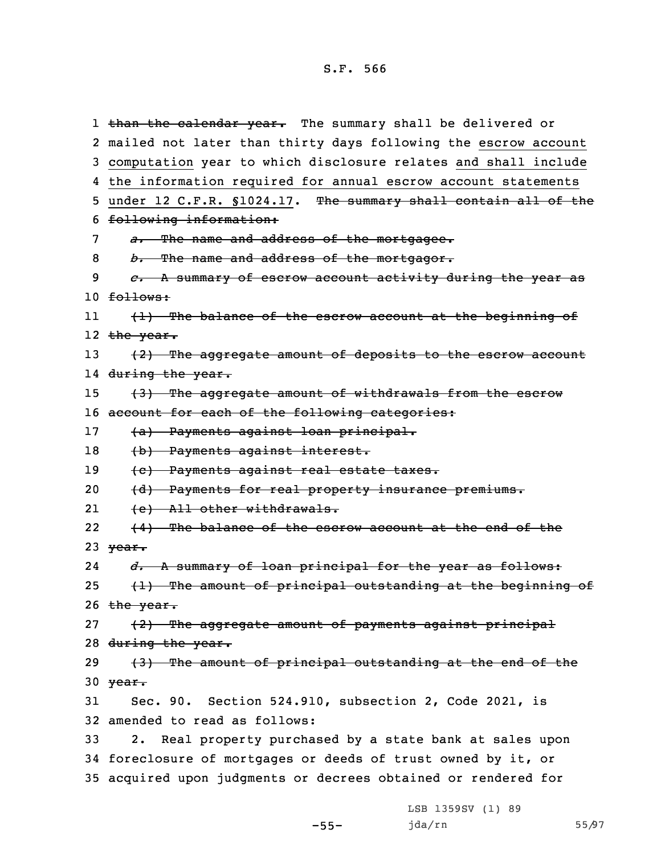1 <del>than the calendar year.</del> The summary shall be delivered or 2 mailed not later than thirty days following the escrow account 3 computation year to which disclosure relates and shall include 4 the information required for annual escrow account statements 5 under 12 C.F.R. §1024.17. The summary shall contain all of the 6 following information: 7 *a.* The name and address of the mortgagee. 8 *b.* The name and address of the mortgagor. 9 *c.* <sup>A</sup> summary of escrow account activity during the year as  $10 f<sub>0</sub>$  follows: 11 (1) The balance of the escrow account at the beginning of l2 <del>the year.</del> 13  $(2)$  The aggregate amount of deposits to the escrow account 14 <del>during the year.</del> 15 (3) The aggregate amount of withdrawals from the escrow 16 account for each of the following categories: 17 (a) Payments against loan principal. 18 (b) Payments against interest. 19 (c) Payments against real estate taxes. 20 (d) Payments for real property insurance premiums. 21 (e) All other withdrawals. 22 (4) The balance of the escrow account at the end of the 23  $\sqrt{ear}$ . 24 *d.* <sup>A</sup> summary of loan principal for the year as follows: 25  $(1)$  The amount of principal outstanding at the beginning of 26  $the year.$ 27 (2) The aggregate amount of payments against principal 28 during the year. 29 (3) The amount of principal outstanding at the end of the 30  $\frac{year}{1}$ 31 Sec. 90. Section 524.910, subsection 2, Code 2021, is 32 amended to read as follows: 33 2. Real property purchased by <sup>a</sup> state bank at sales upon 34 foreclosure of mortgages or deeds of trust owned by it, or 35 acquired upon judgments or decrees obtained or rendered for

-55-

LSB 1359SV (1) 89 jda/rn 55/97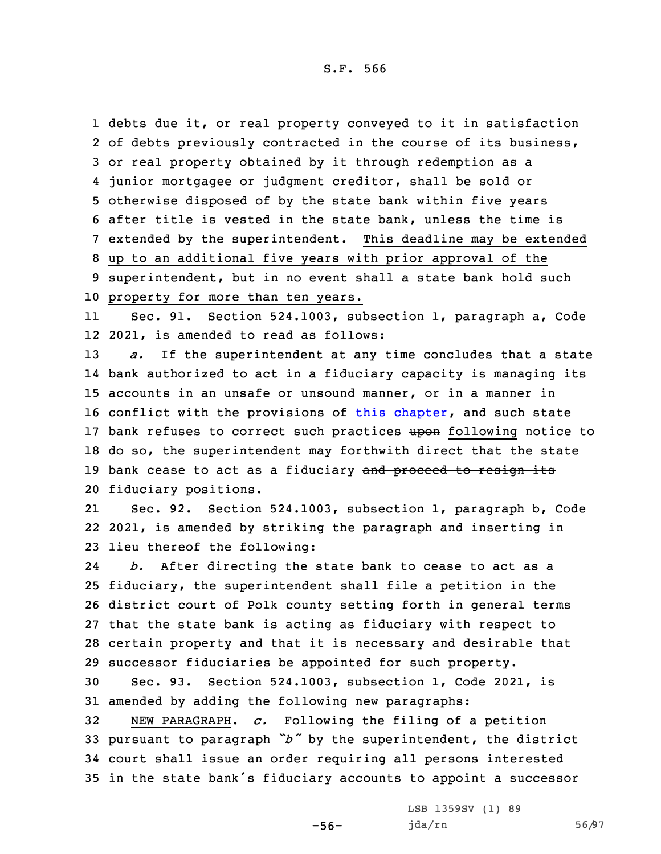debts due it, or real property conveyed to it in satisfaction of debts previously contracted in the course of its business, or real property obtained by it through redemption as <sup>a</sup> junior mortgagee or judgment creditor, shall be sold or otherwise disposed of by the state bank within five years after title is vested in the state bank, unless the time is extended by the superintendent. This deadline may be extended up to an additional five years with prior approval of the superintendent, but in no event shall <sup>a</sup> state bank hold such property for more than ten years.

11 Sec. 91. Section 524.1003, subsection 1, paragraph a, Code 12 2021, is amended to read as follows:

13 *a.* If the superintendent at any time concludes that <sup>a</sup> state 14 bank authorized to act in <sup>a</sup> fiduciary capacity is managing its 15 accounts in an unsafe or unsound manner, or in <sup>a</sup> manner in 16 conflict with the provisions of this [chapter](https://www.legis.iowa.gov/docs/code/2021/524.pdf), and such state 17 bank refuses to correct such practices upon following notice to 18 do so, the superintendent may forthwith direct that the state 19 bank cease to act as a fiduciary and proceed to resign its 20 fiduciary positions.

21 Sec. 92. Section 524.1003, subsection 1, paragraph b, Code 22 2021, is amended by striking the paragraph and inserting in 23 lieu thereof the following:

24 *b.* After directing the state bank to cease to act as <sup>a</sup> fiduciary, the superintendent shall file <sup>a</sup> petition in the district court of Polk county setting forth in general terms that the state bank is acting as fiduciary with respect to certain property and that it is necessary and desirable that successor fiduciaries be appointed for such property.

30 Sec. 93. Section 524.1003, subsection 1, Code 2021, is 31 amended by adding the following new paragraphs:

 NEW PARAGRAPH. *c.* Following the filing of <sup>a</sup> petition pursuant to paragraph *"b"* by the superintendent, the district court shall issue an order requiring all persons interested in the state bank's fiduciary accounts to appoint <sup>a</sup> successor

-56-

LSB 1359SV (1) 89 jda/rn 56/97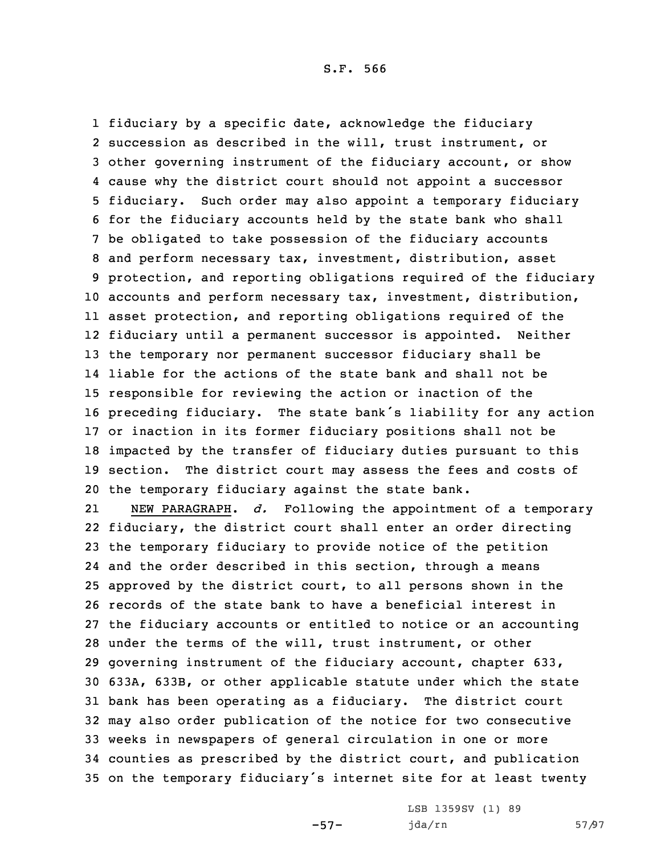fiduciary by <sup>a</sup> specific date, acknowledge the fiduciary succession as described in the will, trust instrument, or other governing instrument of the fiduciary account, or show cause why the district court should not appoint <sup>a</sup> successor fiduciary. Such order may also appoint <sup>a</sup> temporary fiduciary for the fiduciary accounts held by the state bank who shall be obligated to take possession of the fiduciary accounts and perform necessary tax, investment, distribution, asset protection, and reporting obligations required of the fiduciary accounts and perform necessary tax, investment, distribution, asset protection, and reporting obligations required of the fiduciary until <sup>a</sup> permanent successor is appointed. Neither the temporary nor permanent successor fiduciary shall be liable for the actions of the state bank and shall not be responsible for reviewing the action or inaction of the preceding fiduciary. The state bank's liability for any action or inaction in its former fiduciary positions shall not be impacted by the transfer of fiduciary duties pursuant to this section. The district court may assess the fees and costs of the temporary fiduciary against the state bank.

21 NEW PARAGRAPH. *d.* Following the appointment of <sup>a</sup> temporary fiduciary, the district court shall enter an order directing the temporary fiduciary to provide notice of the petition and the order described in this section, through <sup>a</sup> means approved by the district court, to all persons shown in the records of the state bank to have <sup>a</sup> beneficial interest in the fiduciary accounts or entitled to notice or an accounting under the terms of the will, trust instrument, or other governing instrument of the fiduciary account, chapter 633, 633A, 633B, or other applicable statute under which the state bank has been operating as <sup>a</sup> fiduciary. The district court may also order publication of the notice for two consecutive weeks in newspapers of general circulation in one or more counties as prescribed by the district court, and publication on the temporary fiduciary's internet site for at least twenty

-57-

LSB 1359SV (1) 89 jda/rn 57/97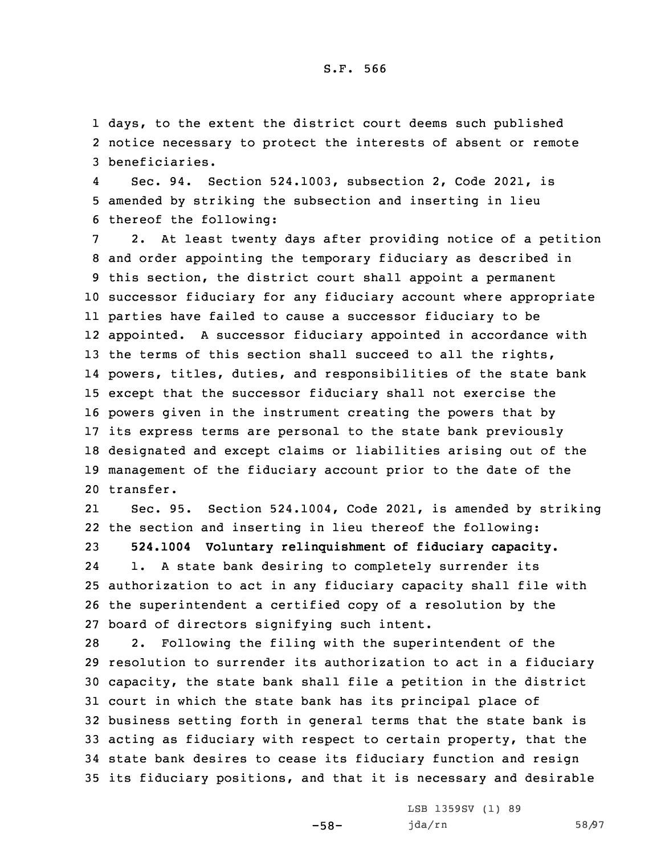1 days, to the extent the district court deems such published 2 notice necessary to protect the interests of absent or remote 3 beneficiaries.

4 Sec. 94. Section 524.1003, subsection 2, Code 2021, is 5 amended by striking the subsection and inserting in lieu 6 thereof the following:

 2. At least twenty days after providing notice of <sup>a</sup> petition and order appointing the temporary fiduciary as described in this section, the district court shall appoint <sup>a</sup> permanent successor fiduciary for any fiduciary account where appropriate parties have failed to cause <sup>a</sup> successor fiduciary to be appointed. <sup>A</sup> successor fiduciary appointed in accordance with 13 the terms of this section shall succeed to all the rights, powers, titles, duties, and responsibilities of the state bank except that the successor fiduciary shall not exercise the powers given in the instrument creating the powers that by its express terms are personal to the state bank previously designated and except claims or liabilities arising out of the management of the fiduciary account prior to the date of the transfer.

21 Sec. 95. Section 524.1004, Code 2021, is amended by striking 22 the section and inserting in lieu thereof the following: 23 **524.1004 Voluntary relinquishment of fiduciary capacity.** 24 1. <sup>A</sup> state bank desiring to completely surrender its 25 authorization to act in any fiduciary capacity shall file with 26 the superintendent <sup>a</sup> certified copy of <sup>a</sup> resolution by the 27 board of directors signifying such intent.

 2. Following the filing with the superintendent of the resolution to surrender its authorization to act in <sup>a</sup> fiduciary capacity, the state bank shall file <sup>a</sup> petition in the district court in which the state bank has its principal place of business setting forth in general terms that the state bank is acting as fiduciary with respect to certain property, that the state bank desires to cease its fiduciary function and resign its fiduciary positions, and that it is necessary and desirable

-58-

LSB 1359SV (1) 89 jda/rn 58/97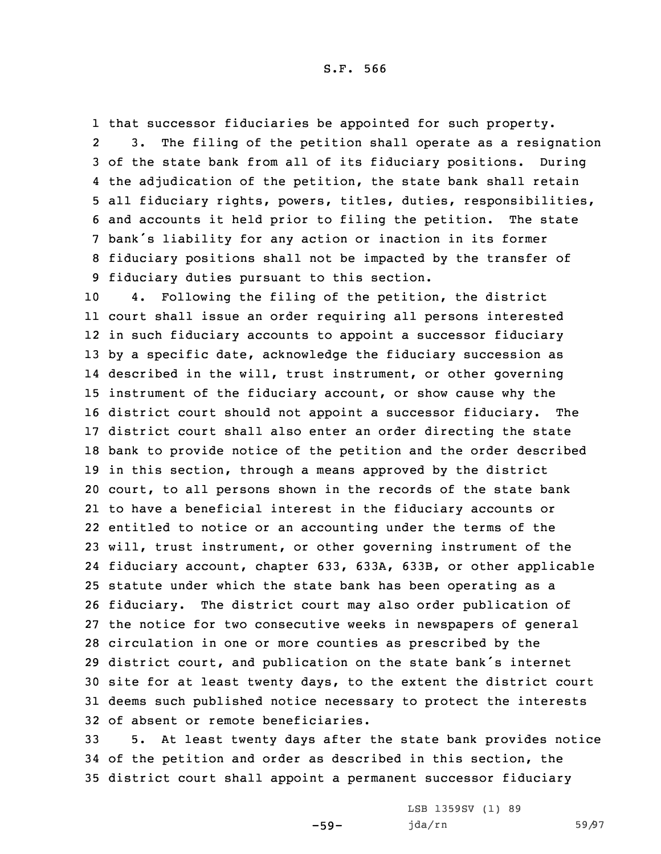that successor fiduciaries be appointed for such property. 2 3. The filing of the petition shall operate as <sup>a</sup> resignation of the state bank from all of its fiduciary positions. During the adjudication of the petition, the state bank shall retain all fiduciary rights, powers, titles, duties, responsibilities, and accounts it held prior to filing the petition. The state bank's liability for any action or inaction in its former fiduciary positions shall not be impacted by the transfer of fiduciary duties pursuant to this section.

 4. Following the filing of the petition, the district court shall issue an order requiring all persons interested in such fiduciary accounts to appoint <sup>a</sup> successor fiduciary by <sup>a</sup> specific date, acknowledge the fiduciary succession as described in the will, trust instrument, or other governing instrument of the fiduciary account, or show cause why the district court should not appoint <sup>a</sup> successor fiduciary. The district court shall also enter an order directing the state bank to provide notice of the petition and the order described in this section, through <sup>a</sup> means approved by the district court, to all persons shown in the records of the state bank to have <sup>a</sup> beneficial interest in the fiduciary accounts or entitled to notice or an accounting under the terms of the will, trust instrument, or other governing instrument of the fiduciary account, chapter 633, 633A, 633B, or other applicable statute under which the state bank has been operating as <sup>a</sup> fiduciary. The district court may also order publication of the notice for two consecutive weeks in newspapers of general circulation in one or more counties as prescribed by the district court, and publication on the state bank's internet site for at least twenty days, to the extent the district court deems such published notice necessary to protect the interests of absent or remote beneficiaries.

33 5. At least twenty days after the state bank provides notice 34 of the petition and order as described in this section, the 35 district court shall appoint <sup>a</sup> permanent successor fiduciary

-59-

LSB 1359SV (1) 89 jda/rn 59/97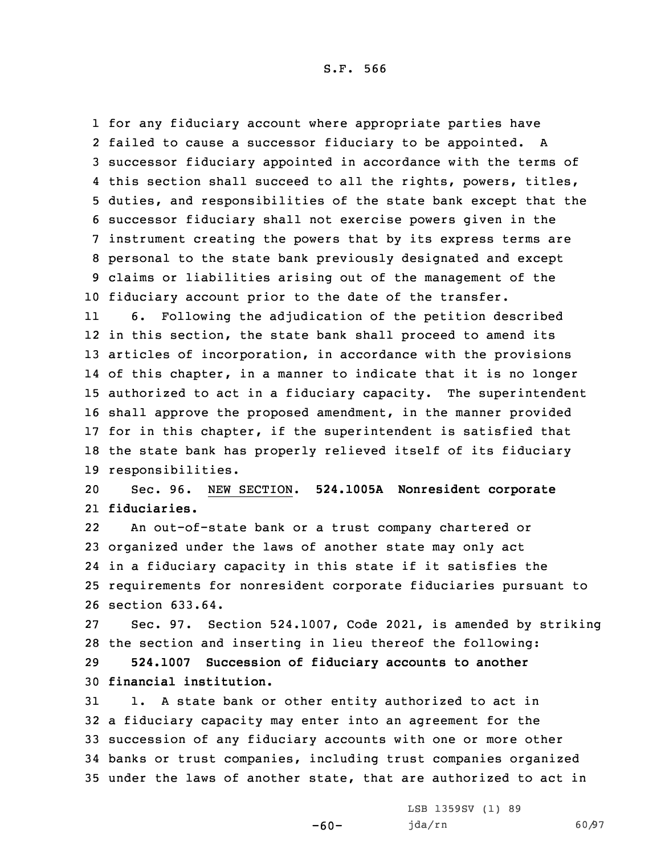for any fiduciary account where appropriate parties have failed to cause <sup>a</sup> successor fiduciary to be appointed. <sup>A</sup> successor fiduciary appointed in accordance with the terms of this section shall succeed to all the rights, powers, titles, duties, and responsibilities of the state bank except that the successor fiduciary shall not exercise powers given in the instrument creating the powers that by its express terms are personal to the state bank previously designated and except claims or liabilities arising out of the management of the fiduciary account prior to the date of the transfer.

11 6. Following the adjudication of the petition described in this section, the state bank shall proceed to amend its articles of incorporation, in accordance with the provisions of this chapter, in <sup>a</sup> manner to indicate that it is no longer authorized to act in <sup>a</sup> fiduciary capacity. The superintendent shall approve the proposed amendment, in the manner provided 17 for in this chapter, if the superintendent is satisfied that the state bank has properly relieved itself of its fiduciary responsibilities.

20 Sec. 96. NEW SECTION. **524.1005A Nonresident corporate** 21 **fiduciaries.**

22 An out-of-state bank or <sup>a</sup> trust company chartered or organized under the laws of another state may only act in <sup>a</sup> fiduciary capacity in this state if it satisfies the requirements for nonresident corporate fiduciaries pursuant to section 633.64.

27 Sec. 97. Section 524.1007, Code 2021, is amended by striking 28 the section and inserting in lieu thereof the following:

29 **524.1007 Succession of fiduciary accounts to another** 30 **financial institution.**

 1. <sup>A</sup> state bank or other entity authorized to act in <sup>a</sup> fiduciary capacity may enter into an agreement for the succession of any fiduciary accounts with one or more other banks or trust companies, including trust companies organized under the laws of another state, that are authorized to act in

 $-60-$ 

LSB 1359SV (1) 89 jda/rn 60/97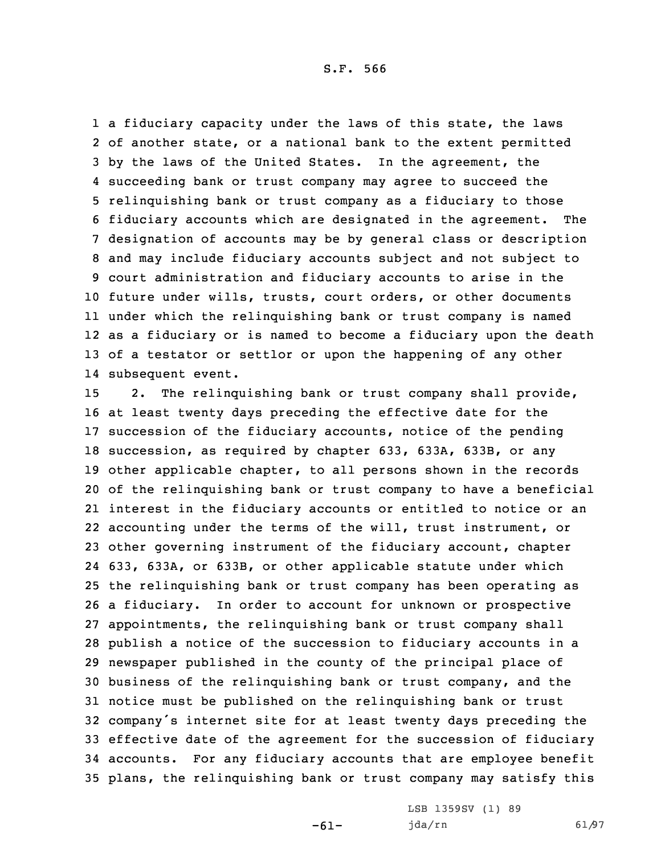1 a fiduciary capacity under the laws of this state, the laws of another state, or <sup>a</sup> national bank to the extent permitted by the laws of the United States. In the agreement, the succeeding bank or trust company may agree to succeed the relinquishing bank or trust company as <sup>a</sup> fiduciary to those fiduciary accounts which are designated in the agreement. The designation of accounts may be by general class or description and may include fiduciary accounts subject and not subject to court administration and fiduciary accounts to arise in the future under wills, trusts, court orders, or other documents under which the relinquishing bank or trust company is named as <sup>a</sup> fiduciary or is named to become <sup>a</sup> fiduciary upon the death of <sup>a</sup> testator or settlor or upon the happening of any other subsequent event.

 2. The relinquishing bank or trust company shall provide, at least twenty days preceding the effective date for the succession of the fiduciary accounts, notice of the pending succession, as required by chapter 633, 633A, 633B, or any other applicable chapter, to all persons shown in the records of the relinquishing bank or trust company to have <sup>a</sup> beneficial interest in the fiduciary accounts or entitled to notice or an accounting under the terms of the will, trust instrument, or other governing instrument of the fiduciary account, chapter 633, 633A, or 633B, or other applicable statute under which the relinquishing bank or trust company has been operating as <sup>a</sup> fiduciary. In order to account for unknown or prospective appointments, the relinquishing bank or trust company shall publish <sup>a</sup> notice of the succession to fiduciary accounts in <sup>a</sup> newspaper published in the county of the principal place of business of the relinquishing bank or trust company, and the notice must be published on the relinquishing bank or trust company's internet site for at least twenty days preceding the effective date of the agreement for the succession of fiduciary accounts. For any fiduciary accounts that are employee benefit plans, the relinquishing bank or trust company may satisfy this

-61-

LSB 1359SV (1) 89 jda/rn 61/97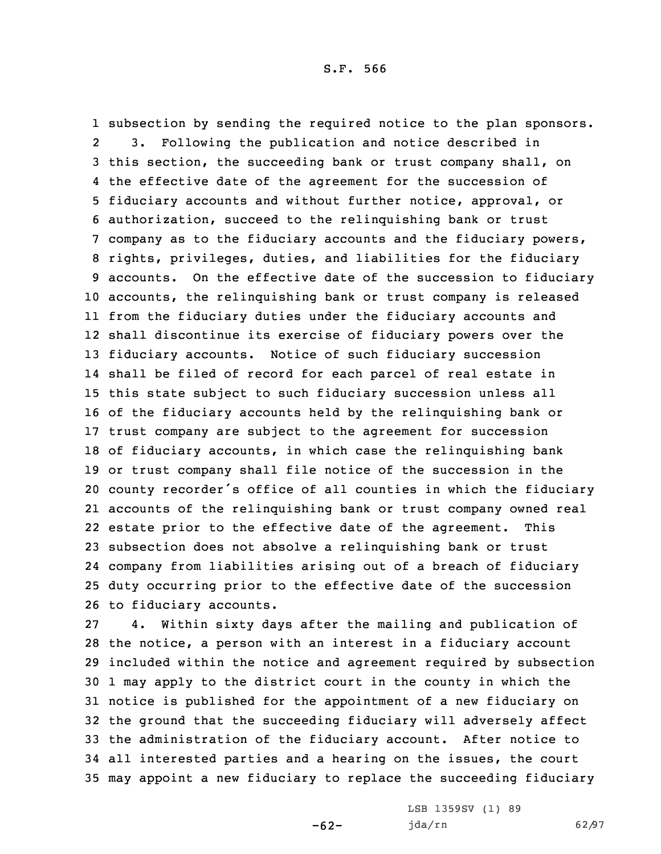subsection by sending the required notice to the plan sponsors. 2 3. Following the publication and notice described in this section, the succeeding bank or trust company shall, on the effective date of the agreement for the succession of fiduciary accounts and without further notice, approval, or authorization, succeed to the relinquishing bank or trust company as to the fiduciary accounts and the fiduciary powers, rights, privileges, duties, and liabilities for the fiduciary accounts. On the effective date of the succession to fiduciary accounts, the relinquishing bank or trust company is released from the fiduciary duties under the fiduciary accounts and shall discontinue its exercise of fiduciary powers over the fiduciary accounts. Notice of such fiduciary succession shall be filed of record for each parcel of real estate in this state subject to such fiduciary succession unless all of the fiduciary accounts held by the relinquishing bank or trust company are subject to the agreement for succession of fiduciary accounts, in which case the relinquishing bank or trust company shall file notice of the succession in the county recorder's office of all counties in which the fiduciary accounts of the relinquishing bank or trust company owned real estate prior to the effective date of the agreement. This subsection does not absolve <sup>a</sup> relinquishing bank or trust company from liabilities arising out of <sup>a</sup> breach of fiduciary duty occurring prior to the effective date of the succession to fiduciary accounts.

 4. Within sixty days after the mailing and publication of the notice, <sup>a</sup> person with an interest in <sup>a</sup> fiduciary account included within the notice and agreement required by subsection 1 may apply to the district court in the county in which the notice is published for the appointment of <sup>a</sup> new fiduciary on the ground that the succeeding fiduciary will adversely affect the administration of the fiduciary account. After notice to all interested parties and <sup>a</sup> hearing on the issues, the court may appoint <sup>a</sup> new fiduciary to replace the succeeding fiduciary

-62-

LSB 1359SV (1) 89 jda/rn 62/97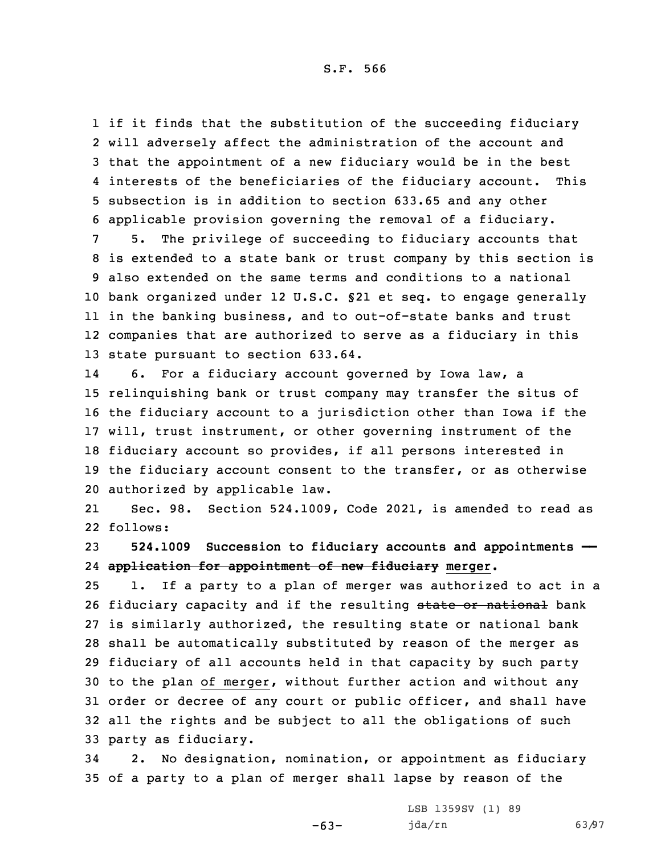if it finds that the substitution of the succeeding fiduciary will adversely affect the administration of the account and that the appointment of <sup>a</sup> new fiduciary would be in the best interests of the beneficiaries of the fiduciary account. This subsection is in addition to section 633.65 and any other applicable provision governing the removal of <sup>a</sup> fiduciary.

 5. The privilege of succeeding to fiduciary accounts that is extended to <sup>a</sup> state bank or trust company by this section is also extended on the same terms and conditions to <sup>a</sup> national bank organized under 12 U.S.C. §21 et seq. to engage generally in the banking business, and to out-of-state banks and trust companies that are authorized to serve as <sup>a</sup> fiduciary in this state pursuant to section 633.64.

14 6. For <sup>a</sup> fiduciary account governed by Iowa law, <sup>a</sup> relinquishing bank or trust company may transfer the situs of the fiduciary account to <sup>a</sup> jurisdiction other than Iowa if the will, trust instrument, or other governing instrument of the fiduciary account so provides, if all persons interested in the fiduciary account consent to the transfer, or as otherwise authorized by applicable law.

21 Sec. 98. Section 524.1009, Code 2021, is amended to read as 22 follows:

23 **524.1009 Succession to fiduciary accounts and appointments ——** 24 **application for appointment of new fiduciary merger.**

 1. If <sup>a</sup> party to <sup>a</sup> plan of merger was authorized to act in <sup>a</sup> 26 fiduciary capacity and if the resulting state or national bank is similarly authorized, the resulting state or national bank shall be automatically substituted by reason of the merger as fiduciary of all accounts held in that capacity by such party to the plan of merger, without further action and without any order or decree of any court or public officer, and shall have all the rights and be subject to all the obligations of such party as fiduciary.

34 2. No designation, nomination, or appointment as fiduciary 35 of <sup>a</sup> party to <sup>a</sup> plan of merger shall lapse by reason of the

 $-63-$ 

LSB 1359SV (1) 89 jda/rn 63/97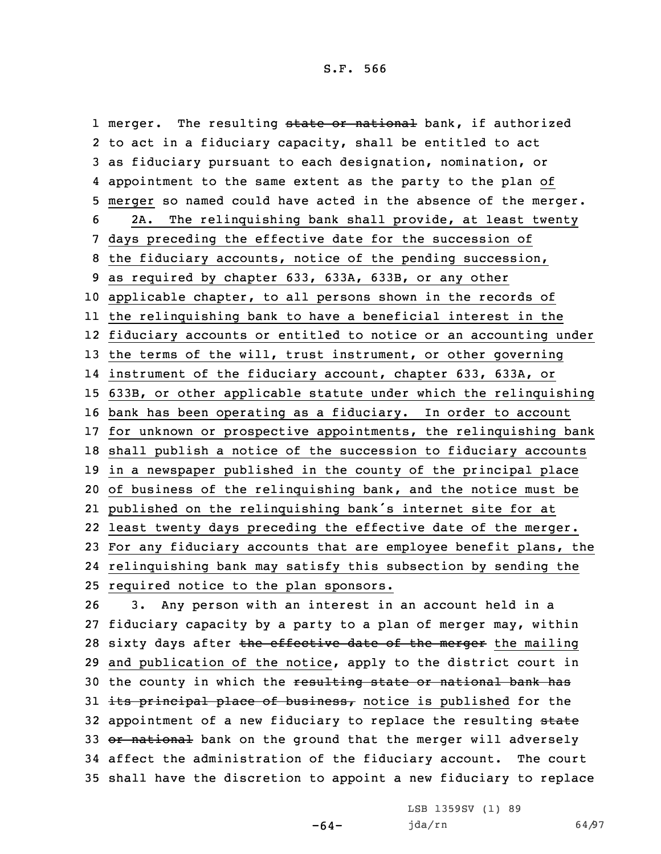1 merger. The resulting <del>state or national</del> bank, if authorized to act in <sup>a</sup> fiduciary capacity, shall be entitled to act as fiduciary pursuant to each designation, nomination, or appointment to the same extent as the party to the plan of merger so named could have acted in the absence of the merger. 2A. The relinquishing bank shall provide, at least twenty days preceding the effective date for the succession of the fiduciary accounts, notice of the pending succession, as required by chapter 633, 633A, 633B, or any other applicable chapter, to all persons shown in the records of the relinquishing bank to have <sup>a</sup> beneficial interest in the fiduciary accounts or entitled to notice or an accounting under 13 the terms of the will, trust instrument, or other governing instrument of the fiduciary account, chapter 633, 633A, or 633B, or other applicable statute under which the relinquishing bank has been operating as <sup>a</sup> fiduciary. In order to account for unknown or prospective appointments, the relinquishing bank shall publish <sup>a</sup> notice of the succession to fiduciary accounts in <sup>a</sup> newspaper published in the county of the principal place of business of the relinquishing bank, and the notice must be published on the relinquishing bank's internet site for at least twenty days preceding the effective date of the merger. For any fiduciary accounts that are employee benefit plans, the relinquishing bank may satisfy this subsection by sending the required notice to the plan sponsors.

26 3. Any person with an interest in an account held in <sup>a</sup> 27 fiduciary capacity by <sup>a</sup> party to <sup>a</sup> plan of merger may, within 28 sixty days after the effective date of the merger the mailing 29 and publication of the notice, apply to the district court in 30 the county in which the resulting state or national bank has 31 its principal place of business, notice is published for the 32 appointment of a new fiduciary to replace the resulting state 33 or national bank on the ground that the merger will adversely 34 affect the administration of the fiduciary account. The court 35 shall have the discretion to appoint <sup>a</sup> new fiduciary to replace

-64-

LSB 1359SV (1) 89 jda/rn 64/97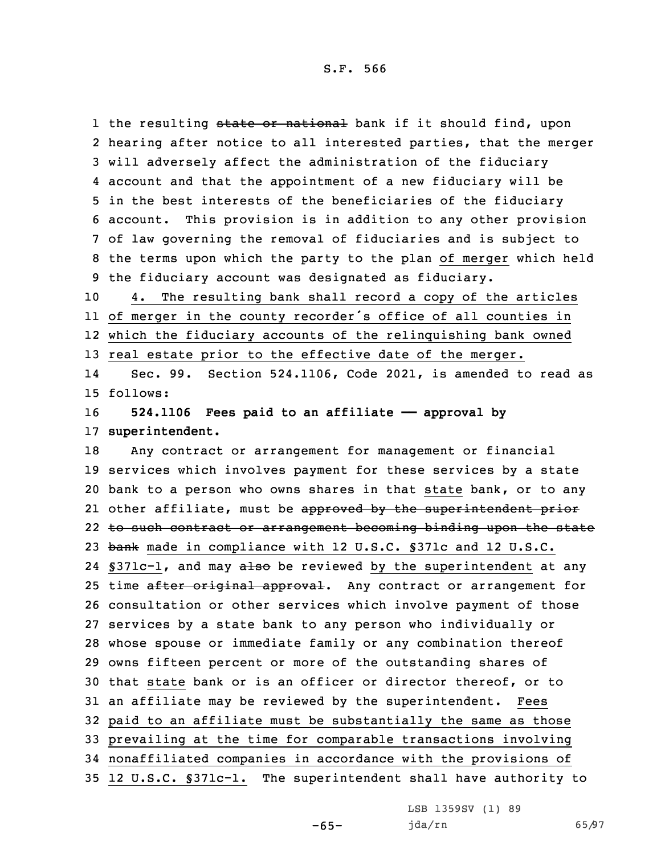1 the resulting <del>state or national</del> bank if it should find, upon hearing after notice to all interested parties, that the merger will adversely affect the administration of the fiduciary account and that the appointment of <sup>a</sup> new fiduciary will be in the best interests of the beneficiaries of the fiduciary account. This provision is in addition to any other provision of law governing the removal of fiduciaries and is subject to the terms upon which the party to the plan of merger which held the fiduciary account was designated as fiduciary.

 4. The resulting bank shall record <sup>a</sup> copy of the articles of merger in the county recorder's office of all counties in which the fiduciary accounts of the relinquishing bank owned real estate prior to the effective date of the merger.

14 Sec. 99. Section 524.1106, Code 2021, is amended to read as 15 follows:

16 **524.1106 Fees paid to an affiliate —— approval by** 17 **superintendent.**

 Any contract or arrangement for management or financial services which involves payment for these services by <sup>a</sup> state bank to <sup>a</sup> person who owns shares in that state bank, or to any 21 other affiliate, must be <del>approved by the superintendent prior</del> 22 to such contract or arrangement becoming binding upon the state 23 bank made in compliance with 12 U.S.C. §371c and 12 U.S.C. 24 §371c-1, and may also be reviewed by the superintendent at any 25 time after original approval. Any contract or arrangement for consultation or other services which involve payment of those services by <sup>a</sup> state bank to any person who individually or whose spouse or immediate family or any combination thereof owns fifteen percent or more of the outstanding shares of that state bank or is an officer or director thereof, or to an affiliate may be reviewed by the superintendent. Fees paid to an affiliate must be substantially the same as those prevailing at the time for comparable transactions involving nonaffiliated companies in accordance with the provisions of 12 U.S.C. §371c-1. The superintendent shall have authority to

-65-

LSB 1359SV (1) 89 jda/rn 65/97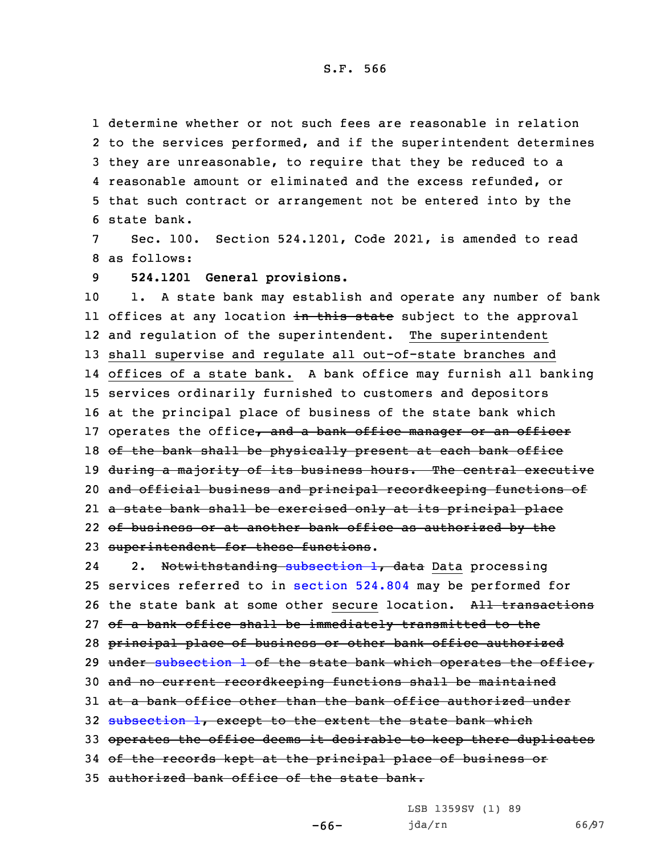determine whether or not such fees are reasonable in relation to the services performed, and if the superintendent determines they are unreasonable, to require that they be reduced to <sup>a</sup> reasonable amount or eliminated and the excess refunded, or that such contract or arrangement not be entered into by the state bank.

7 Sec. 100. Section 524.1201, Code 2021, is amended to read 8 as follows:

9 **524.1201 General provisions.**

 1. <sup>A</sup> state bank may establish and operate any number of bank ll offices at any location <del>in this state</del> subject to the approval and regulation of the superintendent. The superintendent shall supervise and regulate all out-of-state branches and offices of <sup>a</sup> state bank. <sup>A</sup> bank office may furnish all banking services ordinarily furnished to customers and depositors at the principal place of business of the state bank which 17 operates the office, and a bank office manager or an officer 18 of the bank shall be physically present at each bank office 19 during a majority of its business hours. The central executive and official business and principal recordkeeping functions of <sup>a</sup> state bank shall be exercised only at its principal place of business or at another bank office as authorized by the superintendent for these functions.

242. Notwithstanding [subsection](https://www.legis.iowa.gov/docs/code/2021/524.1201.pdf) 1, data Data processing 25 services referred to in [section](https://www.legis.iowa.gov/docs/code/2021/524.804.pdf) 524.804 may be performed for 26 the state bank at some other secure location. All transactions 27 of a bank office shall be immediately transmitted to the 28 principal place of business or other bank office authorized 29 under [subsection](https://www.legis.iowa.gov/docs/code/2021/524.1201.pdf) 1 of the state bank which operates the office, 30 and no current recordkeeping functions shall be maintained 31 at <sup>a</sup> bank office other than the bank office authorized under 32 [subsection](https://www.legis.iowa.gov/docs/code/2021/524.1201.pdf) 1, except to the extent the state bank which 33 operates the office deems it desirable to keep there duplicates 34 of the records kept at the principal place of business or 35 authorized bank office of the state bank.

LSB 1359SV (1) 89

-66-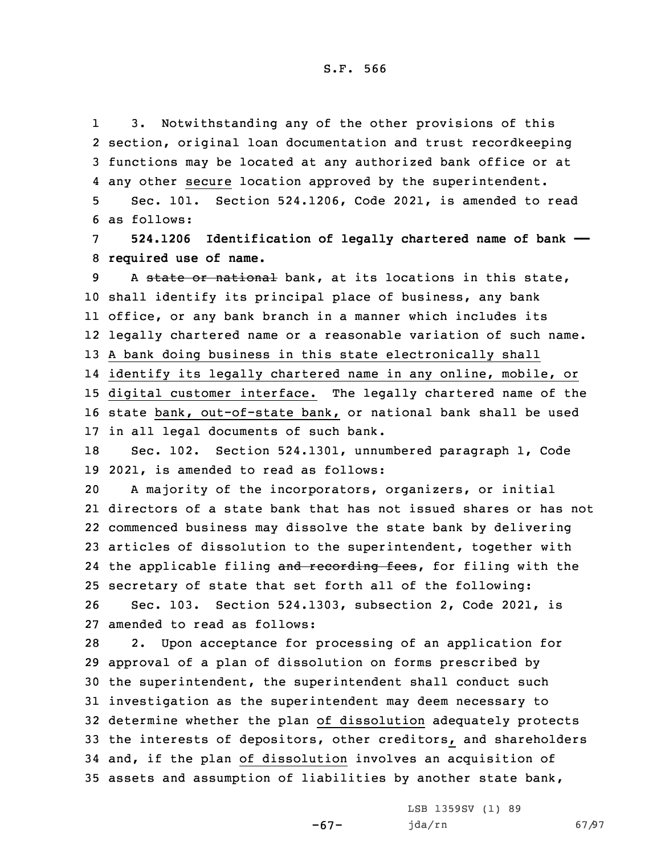1 3. Notwithstanding any of the other provisions of this 2 section, original loan documentation and trust recordkeeping 3 functions may be located at any authorized bank office or at 4 any other secure location approved by the superintendent.

5 Sec. 101. Section 524.1206, Code 2021, is amended to read 6 as follows:

7 **524.1206 Identification of legally chartered name of bank ——** 8 **required use of name.**

9 A state or national bank, at its locations in this state, shall identify its principal place of business, any bank office, or any bank branch in <sup>a</sup> manner which includes its legally chartered name or <sup>a</sup> reasonable variation of such name. <sup>A</sup> bank doing business in this state electronically shall identify its legally chartered name in any online, mobile, or digital customer interface. The legally chartered name of the state bank, out-of-state bank, or national bank shall be used

17 in all legal documents of such bank.

18 Sec. 102. Section 524.1301, unnumbered paragraph 1, Code 19 2021, is amended to read as follows:

 <sup>A</sup> majority of the incorporators, organizers, or initial directors of <sup>a</sup> state bank that has not issued shares or has not commenced business may dissolve the state bank by delivering articles of dissolution to the superintendent, together with 24 the applicable filing and recording fees, for filing with the secretary of state that set forth all of the following: Sec. 103. Section 524.1303, subsection 2, Code 2021, is

27 amended to read as follows:

 2. Upon acceptance for processing of an application for approval of <sup>a</sup> plan of dissolution on forms prescribed by the superintendent, the superintendent shall conduct such investigation as the superintendent may deem necessary to determine whether the plan of dissolution adequately protects the interests of depositors, other creditors, and shareholders and, if the plan of dissolution involves an acquisition of assets and assumption of liabilities by another state bank,

-67-

LSB 1359SV (1) 89 jda/rn 67/97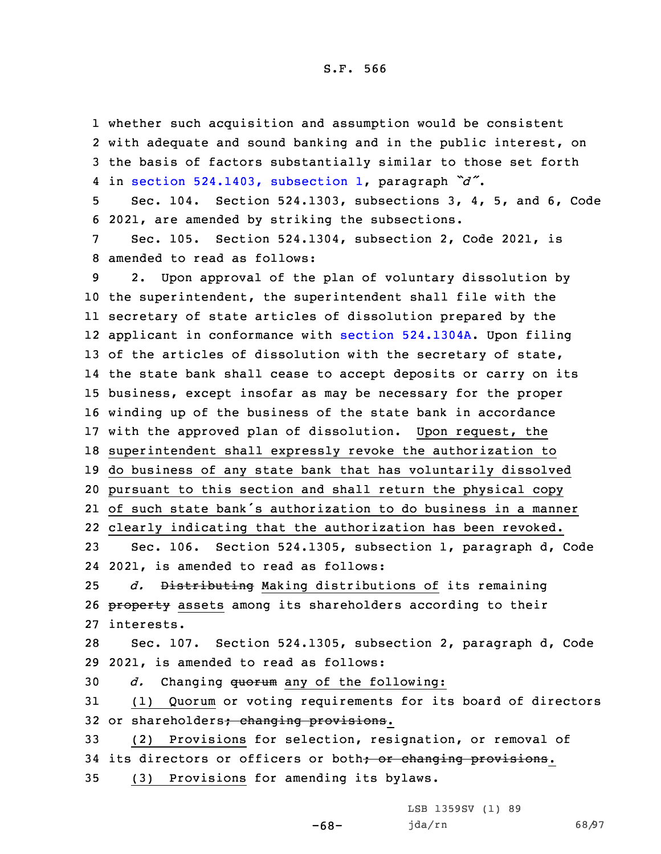whether such acquisition and assumption would be consistent with adequate and sound banking and in the public interest, on the basis of factors substantially similar to those set forth in section [524.1403,](https://www.legis.iowa.gov/docs/code/2021/524.1403.pdf) subsection 1, paragraph *"d"*. Sec. 104. Section 524.1303, subsections 3, 4, 5, and 6, Code 2021, are amended by striking the subsections. Sec. 105. Section 524.1304, subsection 2, Code 2021, is amended to read as follows: 2. Upon approval of the plan of voluntary dissolution by the superintendent, the superintendent shall file with the

 secretary of state articles of dissolution prepared by the applicant in conformance with section [524.1304A](https://www.legis.iowa.gov/docs/code/2021/524.1304A.pdf). Upon filing 13 of the articles of dissolution with the secretary of state, the state bank shall cease to accept deposits or carry on its business, except insofar as may be necessary for the proper winding up of the business of the state bank in accordance with the approved plan of dissolution. Upon request, the superintendent shall expressly revoke the authorization to do business of any state bank that has voluntarily dissolved pursuant to this section and shall return the physical copy of such state bank's authorization to do business in <sup>a</sup> manner clearly indicating that the authorization has been revoked.

23 Sec. 106. Section 524.1305, subsection 1, paragraph d, Code 24 2021, is amended to read as follows:

25 *d.* Distributing Making distributions of its remaining 26 property assets among its shareholders according to their 27 interests.

28 Sec. 107. Section 524.1305, subsection 2, paragraph d, Code 29 2021, is amended to read as follows:

30 *d.* Changing quorum any of the following:

31 (1) Quorum or voting requirements for its board of directors 32 or shareholders; changing provisions.

33 (2) Provisions for selection, resignation, or removal of 34 its directors or officers or both; or changing provisions.

-68-

35 (3) Provisions for amending its bylaws.

LSB 1359SV (1) 89 jda/rn 68/97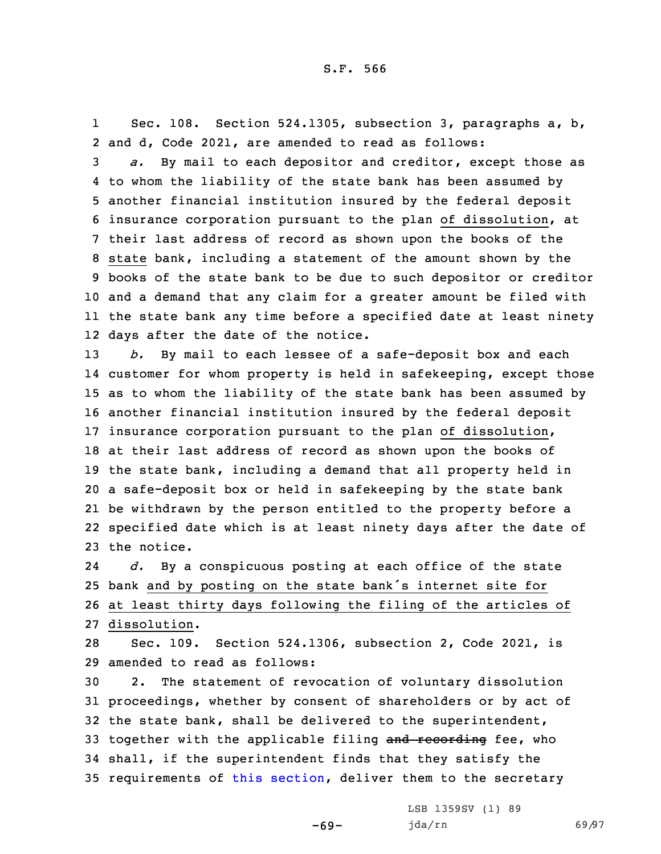1 Sec. 108. Section 524.1305, subsection 3, paragraphs a, b, 2 and d, Code 2021, are amended to read as follows:

 *a.* By mail to each depositor and creditor, except those as to whom the liability of the state bank has been assumed by another financial institution insured by the federal deposit insurance corporation pursuant to the plan of dissolution, at their last address of record as shown upon the books of the state bank, including <sup>a</sup> statement of the amount shown by the books of the state bank to be due to such depositor or creditor and <sup>a</sup> demand that any claim for <sup>a</sup> greater amount be filed with the state bank any time before <sup>a</sup> specified date at least ninety days after the date of the notice.

 *b.* By mail to each lessee of <sup>a</sup> safe-deposit box and each customer for whom property is held in safekeeping, except those as to whom the liability of the state bank has been assumed by another financial institution insured by the federal deposit insurance corporation pursuant to the plan of dissolution, at their last address of record as shown upon the books of the state bank, including <sup>a</sup> demand that all property held in <sup>a</sup> safe-deposit box or held in safekeeping by the state bank be withdrawn by the person entitled to the property before <sup>a</sup> specified date which is at least ninety days after the date of the notice.

24 *d.* By <sup>a</sup> conspicuous posting at each office of the state <sup>25</sup> bank and by posting on the state bank's internet site for 26 at least thirty days following the filing of the articles of 27 dissolution.

28 Sec. 109. Section 524.1306, subsection 2, Code 2021, is 29 amended to read as follows:

 2. The statement of revocation of voluntary dissolution proceedings, whether by consent of shareholders or by act of the state bank, shall be delivered to the superintendent, 33 together with the applicable filing and recording fee, who shall, if the superintendent finds that they satisfy the 35 requirements of this [section](https://www.legis.iowa.gov/docs/code/2021/524.1306.pdf), deliver them to the secretary

-69-

LSB 1359SV (1) 89 jda/rn 69/97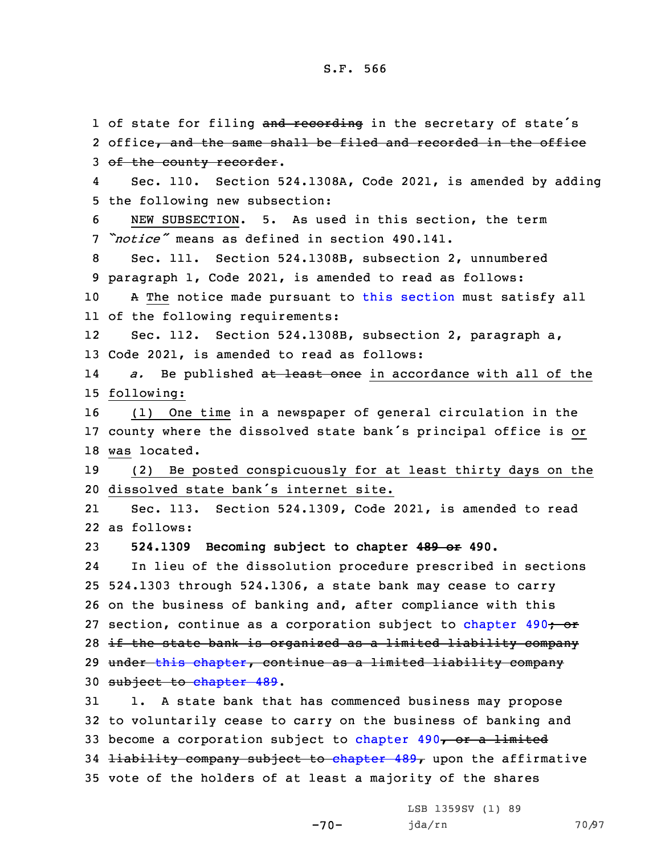1 of state for filing and recording in the secretary of state's 2 office, and the same shall be filed and recorded in the office 3 of the county recorder. 4 Sec. 110. Section 524.1308A, Code 2021, is amended by adding 5 the following new subsection: 6 NEW SUBSECTION. 5. As used in this section, the term 7 *"notice"* means as defined in section 490.141. 8 Sec. 111. Section 524.1308B, subsection 2, unnumbered 9 paragraph 1, Code 2021, is amended to read as follows: 10 A The notice made pursuant to this [section](https://www.legis.iowa.gov/docs/code/2021/524.1308B.pdf) must satisfy all 11 of the following requirements: 12 Sec. 112. Section 524.1308B, subsection 2, paragraph a, 13 Code 2021, is amended to read as follows: 14 *a.* Be published at least once in accordance with all of the 15 following: 16 (1) One time in <sup>a</sup> newspaper of general circulation in the <sup>17</sup> county where the dissolved state bank's principal office is or 18 was located. 19 (2) Be posted conspicuously for at least thirty days on the 20 dissolved state bank's internet site. 21 Sec. 113. Section 524.1309, Code 2021, is amended to read 22 as follows: 23 **524.1309 Becoming subject to chapter 489 or 490.** 24 In lieu of the dissolution procedure prescribed in sections 25 524.1303 through 524.1306, <sup>a</sup> state bank may cease to carry 26 on the business of banking and, after compliance with this 27 section, continue as a corporation subject to [chapter](https://www.legis.iowa.gov/docs/code/2021/490.pdf) 490<del>; or</del> 28 if the state bank is organized as <sup>a</sup> limited liability company 29 under this [chapter](https://www.legis.iowa.gov/docs/code/2021/524.pdf), continue as <sup>a</sup> limited liability company 30 subject to [chapter](https://www.legis.iowa.gov/docs/code/2021/489.pdf) 489. 31 1. <sup>A</sup> state bank that has commenced business may propose 32 to voluntarily cease to carry on the business of banking and 33 become a corporation subject to [chapter](https://www.legis.iowa.gov/docs/code/2021/490.pdf)  $490<sub>7</sub>$  or a limited 34 <del>liability company subject to [chapter](https://www.legis.iowa.gov/docs/code/2021/489.pdf) 489,</del> upon the affirmative 35 vote of the holders of at least <sup>a</sup> majority of the shares

 $-70-$ 

LSB 1359SV (1) 89 jda/rn 70/97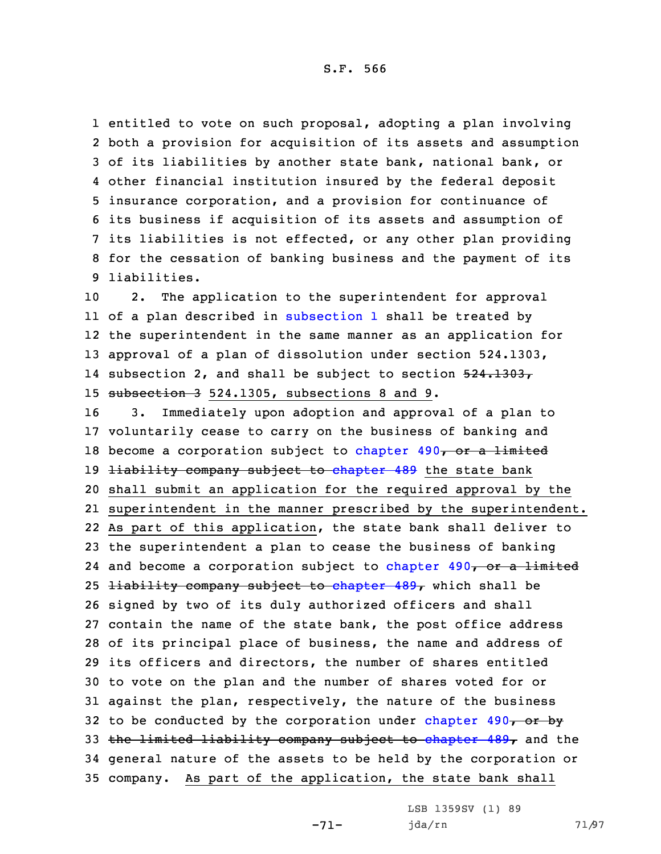entitled to vote on such proposal, adopting <sup>a</sup> plan involving both <sup>a</sup> provision for acquisition of its assets and assumption of its liabilities by another state bank, national bank, or other financial institution insured by the federal deposit insurance corporation, and <sup>a</sup> provision for continuance of its business if acquisition of its assets and assumption of its liabilities is not effected, or any other plan providing for the cessation of banking business and the payment of its liabilities.

 2. The application to the superintendent for approval of <sup>a</sup> plan described in [subsection](https://www.legis.iowa.gov/docs/code/2021/524.1309.pdf) 1 shall be treated by the superintendent in the same manner as an application for approval of <sup>a</sup> plan of dissolution under section 524.1303, 14 subsection 2, and shall be subject to section 524.1303, subsection 3 524.1305, subsections 8 and 9.

 3. Immediately upon adoption and approval of <sup>a</sup> plan to voluntarily cease to carry on the business of banking and 18 become a corporation subject to [chapter](https://www.legis.iowa.gov/docs/code/2021/490.pdf)  $490<sub>7</sub>$  or a limited 19 <del>liability company subject to [chapter](https://www.legis.iowa.gov/docs/code/2021/489.pdf) 489</del> the state bank shall submit an application for the required approval by the superintendent in the manner prescribed by the superintendent. As part of this application, the state bank shall deliver to the superintendent <sup>a</sup> plan to cease the business of banking 24 and become a corporation subject to [chapter](https://www.legis.iowa.gov/docs/code/2021/490.pdf) 490, or a limited 25 <del>liability company subject to [chapter](https://www.legis.iowa.gov/docs/code/2021/489.pdf) 489,</del> which shall be signed by two of its duly authorized officers and shall contain the name of the state bank, the post office address of its principal place of business, the name and address of its officers and directors, the number of shares entitled to vote on the plan and the number of shares voted for or against the plan, respectively, the nature of the business 32 to be conducted by the corporation under [chapter](https://www.legis.iowa.gov/docs/code/2021/490.pdf)  $490<sub>7</sub>$  or by 33 the limited liability company subject to [chapter](https://www.legis.iowa.gov/docs/code/2021/489.pdf)  $489<sub>T</sub>$  and the general nature of the assets to be held by the corporation or company. As part of the application, the state bank shall

-71-

LSB 1359SV (1) 89 jda/rn 71/97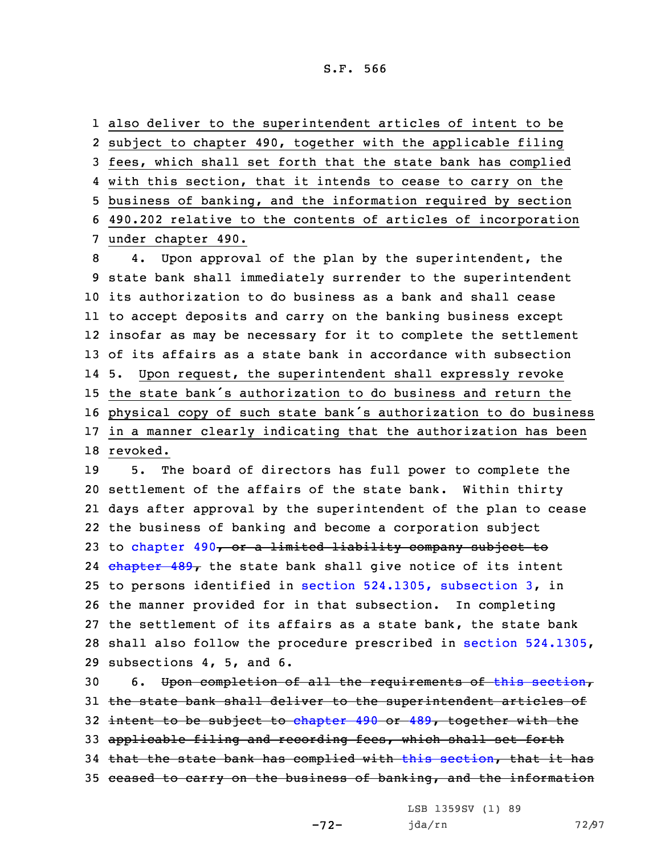also deliver to the superintendent articles of intent to be subject to chapter 490, together with the applicable filing fees, which shall set forth that the state bank has complied with this section, that it intends to cease to carry on the business of banking, and the information required by section 490.202 relative to the contents of articles of incorporation under chapter 490.

 4. Upon approval of the plan by the superintendent, the state bank shall immediately surrender to the superintendent its authorization to do business as <sup>a</sup> bank and shall cease to accept deposits and carry on the banking business except insofar as may be necessary for it to complete the settlement of its affairs as <sup>a</sup> state bank in accordance with subsection 14 5. Upon request, the superintendent shall expressly revoke the state bank's authorization to do business and return the physical copy of such state bank's authorization to do business in <sup>a</sup> manner clearly indicating that the authorization has been 18 revoked.

 5. The board of directors has full power to complete the settlement of the affairs of the state bank. Within thirty days after approval by the superintendent of the plan to cease the business of banking and become <sup>a</sup> corporation subject 23 to [chapter](https://www.legis.iowa.gov/docs/code/2021/490.pdf) 490, or a limited liability company subject to 24 <del>[chapter](https://www.legis.iowa.gov/docs/code/2021/489.pdf) 489,</del> the state bank shall give notice of its intent to persons identified in section [524.1305,](https://www.legis.iowa.gov/docs/code/2021/524.1305.pdf) subsection 3, in the manner provided for in that subsection. In completing the settlement of its affairs as <sup>a</sup> state bank, the state bank shall also follow the procedure prescribed in section [524.1305](https://www.legis.iowa.gov/docs/code/2021/524.1305.pdf), subsections 4, 5, and 6.

30 6. Upon completion of all the requirements of this [section](https://www.legis.iowa.gov/docs/code/2021/524.1309.pdf), the state bank shall deliver to the superintendent articles of 32 intent to be subject to [chapter](https://www.legis.iowa.gov/docs/code/2021/490.pdf) 490 or [489](https://www.legis.iowa.gov/docs/code/2021/489.pdf), together with the applicable filing and recording fees, which shall set forth that the state bank has complied with this [section](https://www.legis.iowa.gov/docs/code/2021/524.1309.pdf), that it has ceased to carry on the business of banking, and the information

LSB 1359SV (1) 89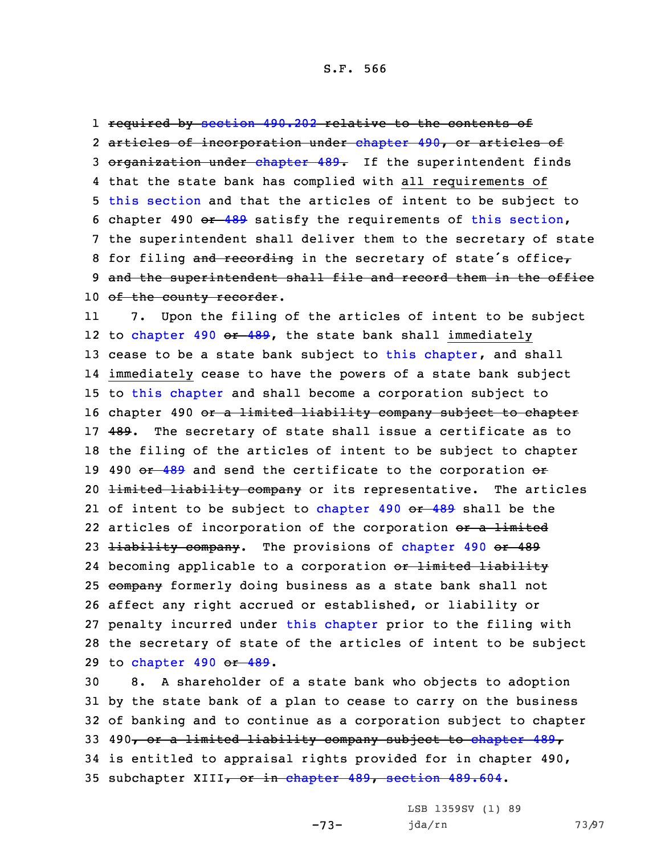1 required by [section](https://www.legis.iowa.gov/docs/code/2021/490.202.pdf) 490.202 relative to the contents of 2 articles of incorporation under [chapter](https://www.legis.iowa.gov/docs/code/2021/490.pdf) 490, or articles of 3 organization under [chapter](https://www.legis.iowa.gov/docs/code/2021/489.pdf) 489. If the superintendent finds 4 that the state bank has complied with all requirements of 5 this [section](https://www.legis.iowa.gov/docs/code/2021/524.1309.pdf) and that the articles of intent to be subject to 6 chapter 490  $-489$  $-489$  satisfy the requirements of this [section](https://www.legis.iowa.gov/docs/code/2021/524.1309.pdf), 7 the superintendent shall deliver them to the secretary of state 8 for filing and recording in the secretary of state's office, 9 and the superintendent shall file and record them in the office 10 of the county recorder.

11 7. Upon the filing of the articles of intent to be subject 12 to [chapter](https://www.legis.iowa.gov/docs/code/2021/490.pdf) 490 <del>or [489](https://www.legis.iowa.gov/docs/code/2021/489.pdf)</del>, the state bank shall immediately 13 cease to be a state bank subject to this [chapter](https://www.legis.iowa.gov/docs/code/2021/524.pdf), and shall 14 immediately cease to have the powers of <sup>a</sup> state bank subject 15 to this [chapter](https://www.legis.iowa.gov/docs/code/2021/524.pdf) and shall become <sup>a</sup> corporation subject to 16 chapter 490 or a limited liability company subject to chapter 17 489. The secretary of state shall issue a certificate as to 18 the filing of the articles of intent to be subject to chapter 19 490  $e^2$  [489](https://www.legis.iowa.gov/docs/code/2021/489.pdf) and send the certificate to the corporation  $e^2$ 20 <del>limited liability company</del> or its representative. The articles 21 of intent to be subject to [chapter](https://www.legis.iowa.gov/docs/code/2021/490.pdf) 490 <del>or [489](https://www.legis.iowa.gov/docs/code/2021/489.pdf)</del> shall be the 22 articles of incorporation of the corporation <del>or a limited</del> 23 <del>liability company</del>. The provisions of [chapter](https://www.legis.iowa.gov/docs/code/2021/490.pdf) 490 or 489 24 becoming applicable to a corporation <del>or limited liability</del> 25 company formerly doing business as a state bank shall not 26 affect any right accrued or established, or liability or 27 penalty incurred under this [chapter](https://www.legis.iowa.gov/docs/code/2021/524.pdf) prior to the filing with 28 the secretary of state of the articles of intent to be subject 29 to [chapter](https://www.legis.iowa.gov/docs/code/2021/490.pdf) 490 or [489](https://www.legis.iowa.gov/docs/code/2021/489.pdf).

 8. <sup>A</sup> shareholder of <sup>a</sup> state bank who objects to adoption by the state bank of <sup>a</sup> plan to cease to carry on the business of banking and to continue as <sup>a</sup> corporation subject to chapter 33 490, or a limited liability company subject to [chapter](https://www.legis.iowa.gov/docs/code/2021/489.pdf) 489, is entitled to appraisal rights provided for in chapter 490, 35 sub[chapter](https://www.legis.iowa.gov/docs/code/2021/489.pdf) XIII, or in chapter 489, [section](https://www.legis.iowa.gov/docs/code/2021/489.604.pdf) 489.604.

-73-

LSB 1359SV (1) 89 jda/rn 73/97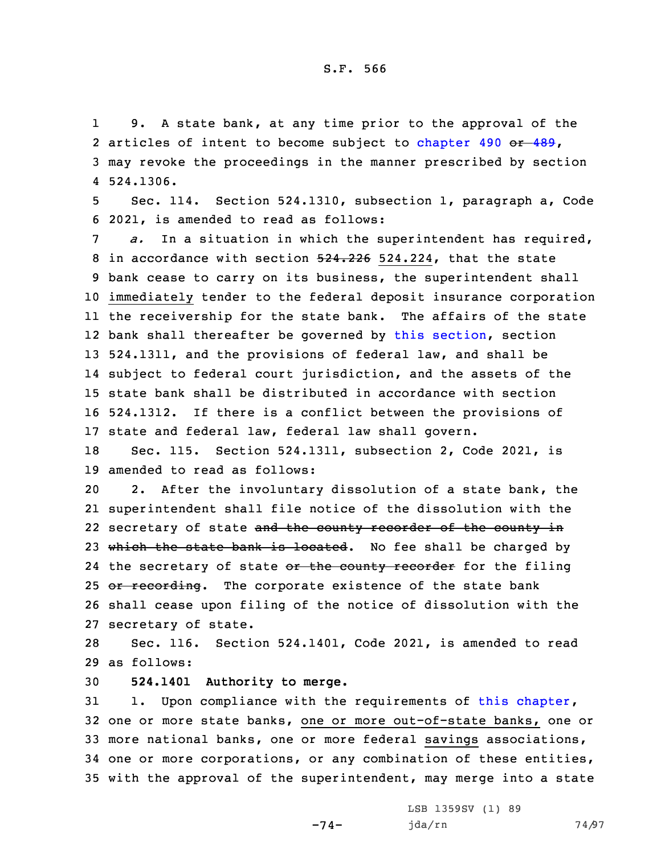1 9. <sup>A</sup> state bank, at any time prior to the approval of the 2 articles of intent to become subject to [chapter](https://www.legis.iowa.gov/docs/code/2021/490.pdf) 490 or [489](https://www.legis.iowa.gov/docs/code/2021/489.pdf), 3 may revoke the proceedings in the manner prescribed by section 4 524.1306.

5 Sec. 114. Section 524.1310, subsection 1, paragraph a, Code 6 2021, is amended to read as follows:

 *a.* In <sup>a</sup> situation in which the superintendent has required, 8 in accordance with section 524.226 524.224, that the state bank cease to carry on its business, the superintendent shall immediately tender to the federal deposit insurance corporation the receivership for the state bank. The affairs of the state bank shall thereafter be governed by this [section](https://www.legis.iowa.gov/docs/code/2021/524.1310.pdf), section 524.1311, and the provisions of federal law, and shall be subject to federal court jurisdiction, and the assets of the state bank shall be distributed in accordance with section 524.1312. If there is <sup>a</sup> conflict between the provisions of state and federal law, federal law shall govern.

18 Sec. 115. Section 524.1311, subsection 2, Code 2021, is 19 amended to read as follows:

20 2. After the involuntary dissolution of <sup>a</sup> state bank, the 21 superintendent shall file notice of the dissolution with the 22 secretary of state <del>and the county recorder of the county in</del> 23 which the state bank is located. No fee shall be charged by 24 the secretary of state <del>or the county recorder</del> for the filing 25 or recording. The corporate existence of the state bank 26 shall cease upon filing of the notice of dissolution with the 27 secretary of state.

28 Sec. 116. Section 524.1401, Code 2021, is amended to read 29 as follows:

30 **524.1401 Authority to merge.**

 1. Upon compliance with the requirements of this [chapter](https://www.legis.iowa.gov/docs/code/2021/524.pdf), one or more state banks, one or more out-of-state banks, one or more national banks, one or more federal savings associations, one or more corporations, or any combination of these entities, with the approval of the superintendent, may merge into <sup>a</sup> state

-74-

LSB 1359SV (1) 89 jda/rn 74/97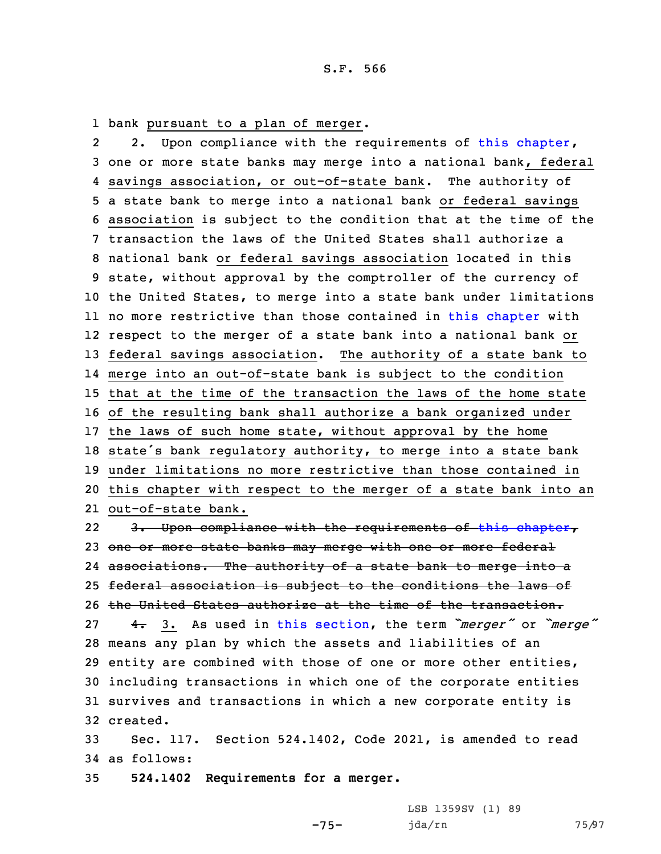1 bank pursuant to <sup>a</sup> plan of merger.

22. Upon compliance with the requirements of this [chapter](https://www.legis.iowa.gov/docs/code/2021/524.pdf), one or more state banks may merge into <sup>a</sup> national bank, federal savings association, or out-of-state bank. The authority of <sup>a</sup> state bank to merge into <sup>a</sup> national bank or federal savings association is subject to the condition that at the time of the transaction the laws of the United States shall authorize <sup>a</sup> national bank or federal savings association located in this state, without approval by the comptroller of the currency of the United States, to merge into <sup>a</sup> state bank under limitations no more restrictive than those contained in this [chapter](https://www.legis.iowa.gov/docs/code/2021/524.pdf) with respect to the merger of <sup>a</sup> state bank into <sup>a</sup> national bank or federal savings association. The authority of <sup>a</sup> state bank to merge into an out-of-state bank is subject to the condition that at the time of the transaction the laws of the home state of the resulting bank shall authorize <sup>a</sup> bank organized under the laws of such home state, without approval by the home state's bank regulatory authority, to merge into <sup>a</sup> state bank under limitations no more restrictive than those contained in this chapter with respect to the merger of <sup>a</sup> state bank into an out-of-state bank.

22 3. Upon compliance with the requirements of this [chapter](https://www.legis.iowa.gov/docs/code/2021/524.pdf), 23 one or more state banks may merge with one or more federal associations. The authority of <sup>a</sup> state bank to merge into <sup>a</sup> federal association is subject to the conditions the laws of the United States authorize at the time of the transaction. 4. 3. As used in this [section](https://www.legis.iowa.gov/docs/code/2021/524.1401.pdf), the term *"merger"* or *"merge"* means any plan by which the assets and liabilities of an entity are combined with those of one or more other entities, including transactions in which one of the corporate entities survives and transactions in which <sup>a</sup> new corporate entity is 32 created.

33 Sec. 117. Section 524.1402, Code 2021, is amended to read 34 as follows:

-75-

35 **524.1402 Requirements for <sup>a</sup> merger.**

LSB 1359SV (1) 89 jda/rn 75/97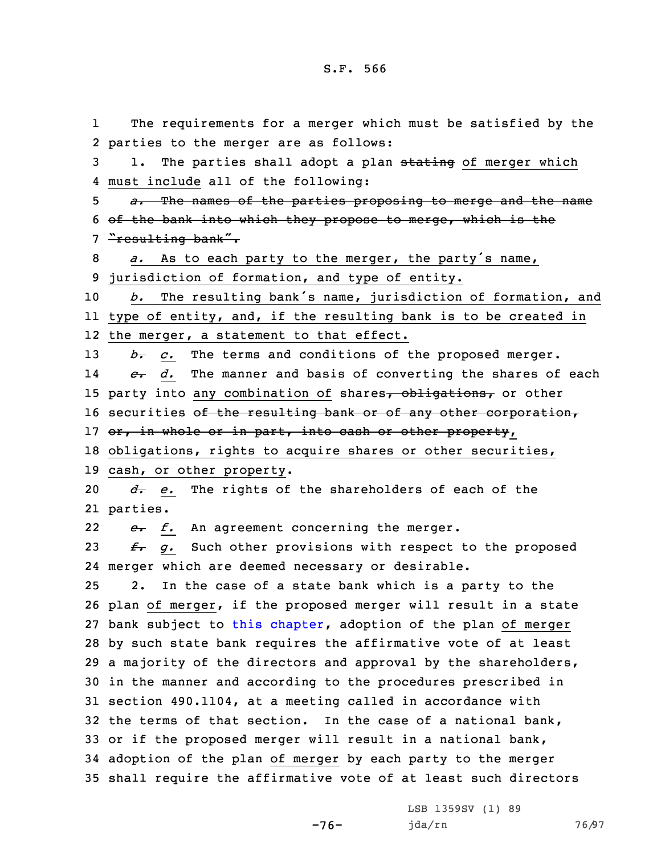1 The requirements for <sup>a</sup> merger which must be satisfied by the parties to the merger are as follows: 3 1. The parties shall adopt a plan stating of merger which must include all of the following: *a.* The names of the parties proposing to merge and the name of the bank into which they propose to merge, which is the 7 "resulting bank". *a.* As to each party to the merger, the party's name, jurisdiction of formation, and type of entity. *b.* The resulting bank's name, jurisdiction of formation, and type of entity, and, if the resulting bank is to be created in the merger, <sup>a</sup> statement to that effect. *b. c.* The terms and conditions of the proposed merger. 14 *c. d.* The manner and basis of converting the shares of each 15 party into any combination of shares, obligations, or other 16 securities of the resulting bank or of any other corporation, 17 or, in whole or in part, into cash or other property, obligations, rights to acquire shares or other securities, cash, or other property. *d. e.* The rights of the shareholders of each of the 21 parties. 22 *e. f.* An agreement concerning the merger. *f. g.* Such other provisions with respect to the proposed merger which are deemed necessary or desirable. 2. In the case of <sup>a</sup> state bank which is <sup>a</sup> party to the plan of merger, if the proposed merger will result in <sup>a</sup> state 27 bank subject to this [chapter](https://www.legis.iowa.gov/docs/code/2021/524.pdf), adoption of the plan of merger by such state bank requires the affirmative vote of at least <sup>a</sup> majority of the directors and approval by the shareholders, in the manner and according to the procedures prescribed in section 490.1104, at <sup>a</sup> meeting called in accordance with the terms of that section. In the case of <sup>a</sup> national bank, or if the proposed merger will result in <sup>a</sup> national bank, adoption of the plan of merger by each party to the merger shall require the affirmative vote of at least such directors

-76-

LSB 1359SV (1) 89 jda/rn 76/97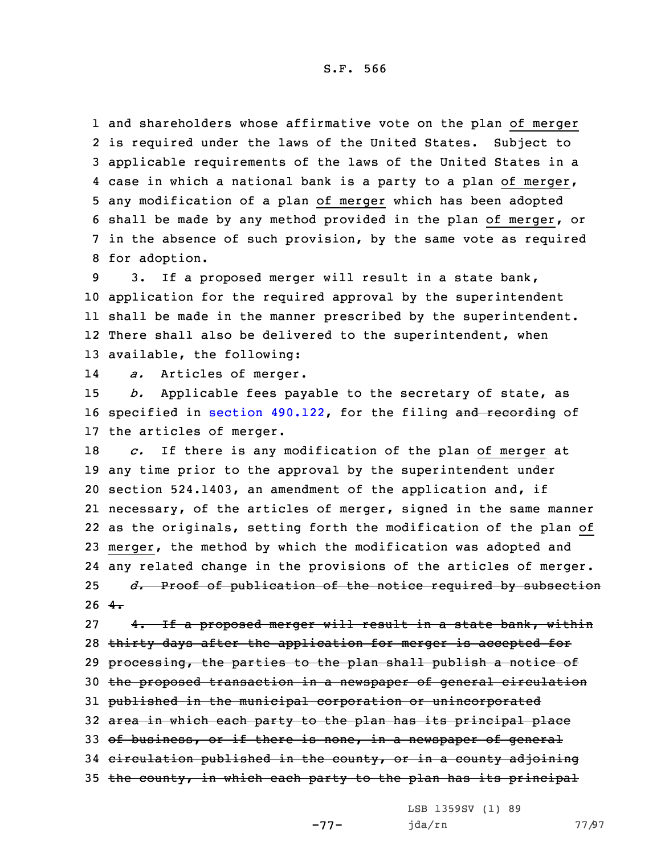and shareholders whose affirmative vote on the plan of merger is required under the laws of the United States. Subject to applicable requirements of the laws of the United States in <sup>a</sup> case in which <sup>a</sup> national bank is <sup>a</sup> party to <sup>a</sup> plan of merger, any modification of <sup>a</sup> plan of merger which has been adopted shall be made by any method provided in the plan of merger, or in the absence of such provision, by the same vote as required for adoption.

 3. If <sup>a</sup> proposed merger will result in <sup>a</sup> state bank, application for the required approval by the superintendent shall be made in the manner prescribed by the superintendent. 12 There shall also be delivered to the superintendent, when available, the following:

14*a.* Articles of merger.

15 *b.* Applicable fees payable to the secretary of state, as 16 specified in section [490.122](https://www.legis.iowa.gov/docs/code/2021/490.122.pdf), for the filing and recording of 17 the articles of merger.

 *c.* If there is any modification of the plan of merger at any time prior to the approval by the superintendent under section 524.1403, an amendment of the application and, if necessary, of the articles of merger, signed in the same manner as the originals, setting forth the modification of the plan of merger, the method by which the modification was adopted and any related change in the provisions of the articles of merger. *d.* Proof of publication of the notice required by subsection  $26 + \frac{4}{10}$ 

27 4. If a proposed merger will result in a state bank, within 28 thirty days after the application for merger is accepted for 29 processing, the parties to the plan shall publish a notice of 30 the proposed transaction in <sup>a</sup> newspaper of general circulation 31 published in the municipal corporation or unincorporated 32 area in which each party to the plan has its principal place 33 of business, or if there is none, in a newspaper of general 34 circulation published in the county, or in <sup>a</sup> county adjoining 35 the county, in which each party to the plan has its principal

LSB 1359SV (1) 89

-77-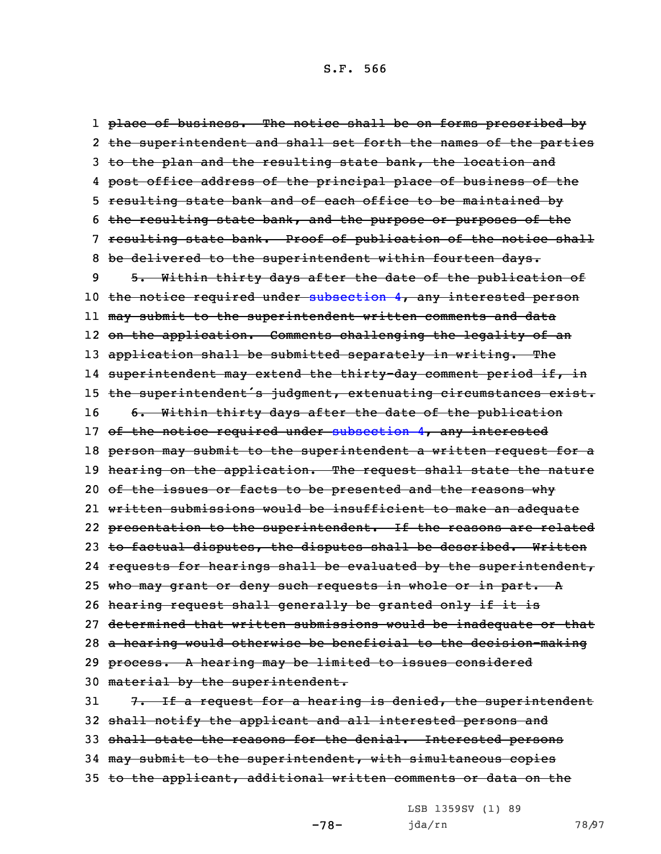1 <del>place of business. The notice shall be on forms prescribed by</del> 2 <del>the superintendent and shall set forth the names of the parties</del> 3 to the plan and the resulting state bank, the location and 4 <del>post office address of the principal place of business of the</del> 5 resulting state bank and of each office to be maintained by 6 the resulting state bank, and the purpose or purposes of the 7 resulting state bank. Proof of publication of the notice shall 8 be delivered to the superintendent within fourteen days. 9 5. Within thirty days after the date of the publication of 10 the notice required under [subsection](https://www.legis.iowa.gov/docs/code/2021/524.1402.pdf) 4, any interested person 11 may submit to the superintendent written comments and data 12 on the application. Comments challenging the legality of an 13 application shall be submitted separately in writing. The 14 superintendent may extend the thirty-day comment period if, in 15 the superintendent's judgment, extenuating circumstances exist. 16 6. Within thirty days after the date of the publication 17 of the notice required under [subsection](https://www.legis.iowa.gov/docs/code/2021/524.1402.pdf) 4, any interested 18 person may submit to the superintendent a written request for a 19 hearing on the application. The request shall state the nature 20 of the issues or facts to be presented and the reasons why 21 written submissions would be insufficient to make an adequate 22 <del>presentation to the superintendent. If the reasons are related</del> 23 to factual disputes, the disputes shall be described. Written 24 requests for hearings shall be evaluated by the superintendent, 25 who may grant or deny such requests in whole or in part. A 26 hearing request shall generally be granted only if it is 27 determined that written submissions would be inadequate or that 28 <sup>a</sup> hearing would otherwise be beneficial to the decision-making 29 process. A hearing may be limited to issues considered 30 material by the superintendent. 31  $7.$  If a request for a hearing is denied, the superintendent 32 shall notify the applicant and all interested persons and 33 shall state the reasons for the denial. Interested persons 34 may submit to the superintendent, with simultaneous copies 35 to the applicant, additional written comments or data on the

LSB 1359SV (1) 89

-78-

jda/rn 78/97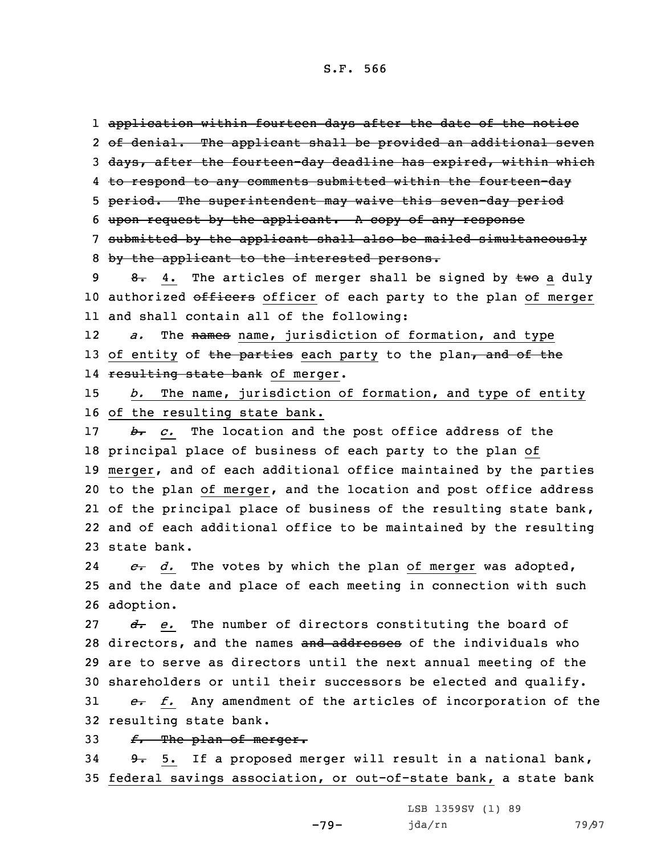application within fourteen days after the date of the notice of denial. The applicant shall be provided an additional seven 3 days, after the fourteen-day deadline has expired, within which 4 <del>to respond to any comments submitted within the fourteen-day</del> period. The superintendent may waive this seven-day period upon request by the applicant. <sup>A</sup> copy of any response submitted by the applicant shall also be mailed simultaneously by the applicant to the interested persons. 9 8. 4. The articles of merger shall be signed by  $\pm w\sigma$  a duly 10 authorized officers officer of each party to the plan of merger and shall contain all of the following:

12 *a.* The names name, jurisdiction of formation, and type 13 of entity of the parties each party to the plan, and of the 14 <del>resulting state bank</del> of merger.

15 *b.* The name, jurisdiction of formation, and type of entity 16 of the resulting state bank.

 *b. c.* The location and the post office address of the principal place of business of each party to the plan of merger, and of each additional office maintained by the parties to the plan of merger, and the location and post office address 21 of the principal place of business of the resulting state bank, and of each additional office to be maintained by the resulting state bank.

24 *c. d.* The votes by which the plan of merger was adopted, 25 and the date and place of each meeting in connection with such 26 adoption.

*d. e.* The number of directors constituting the board of 28 directors, and the names and addresses of the individuals who are to serve as directors until the next annual meeting of the shareholders or until their successors be elected and qualify.

31 *e. f.* Any amendment of the articles of incorporation of the 32 resulting state bank.

33 *f.* The plan of merger.

34 9. 5. If a proposed merger will result in a national bank, 35 federal savings association, or out-of-state bank, a state bank

-79-

LSB 1359SV (1) 89 jda/rn 79/97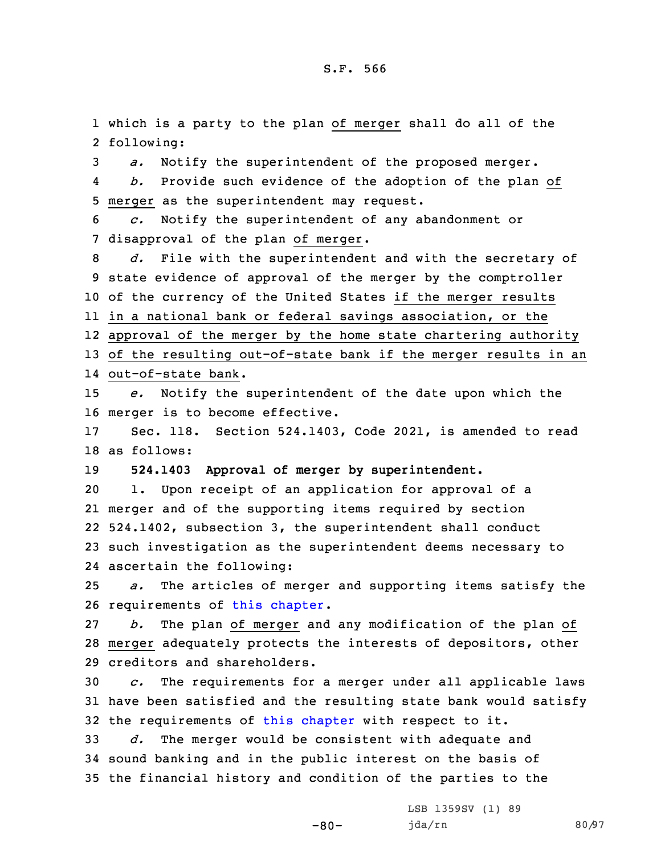1 which is <sup>a</sup> party to the plan of merger shall do all of the 2 following:

3 *a.* Notify the superintendent of the proposed merger.

4 *b.* Provide such evidence of the adoption of the plan of 5 merger as the superintendent may request.

6 *c.* Notify the superintendent of any abandonment or 7 disapproval of the plan of merger.

 *d.* File with the superintendent and with the secretary of state evidence of approval of the merger by the comptroller of the currency of the United States if the merger results in <sup>a</sup> national bank or federal savings association, or the approval of the merger by the home state chartering authority of the resulting out-of-state bank if the merger results in an out-of-state bank.

15 *e.* Notify the superintendent of the date upon which the 16 merger is to become effective.

17 Sec. 118. Section 524.1403, Code 2021, is amended to read 18 as follows:

19 **524.1403 Approval of merger by superintendent.**

 1. Upon receipt of an application for approval of <sup>a</sup> merger and of the supporting items required by section 524.1402, subsection 3, the superintendent shall conduct such investigation as the superintendent deems necessary to ascertain the following:

25 *a.* The articles of merger and supporting items satisfy the 26 requirements of this [chapter](https://www.legis.iowa.gov/docs/code/2021/524.pdf).

27 *b.* The plan of merger and any modification of the plan of 28 merger adequately protects the interests of depositors, other 29 creditors and shareholders.

30 *c.* The requirements for <sup>a</sup> merger under all applicable laws 31 have been satisfied and the resulting state bank would satisfy 32 the requirements of this [chapter](https://www.legis.iowa.gov/docs/code/2021/524.pdf) with respect to it.

33 *d.* The merger would be consistent with adequate and 34 sound banking and in the public interest on the basis of 35 the financial history and condition of the parties to the

 $-80-$ 

LSB 1359SV (1) 89 jda/rn 80/97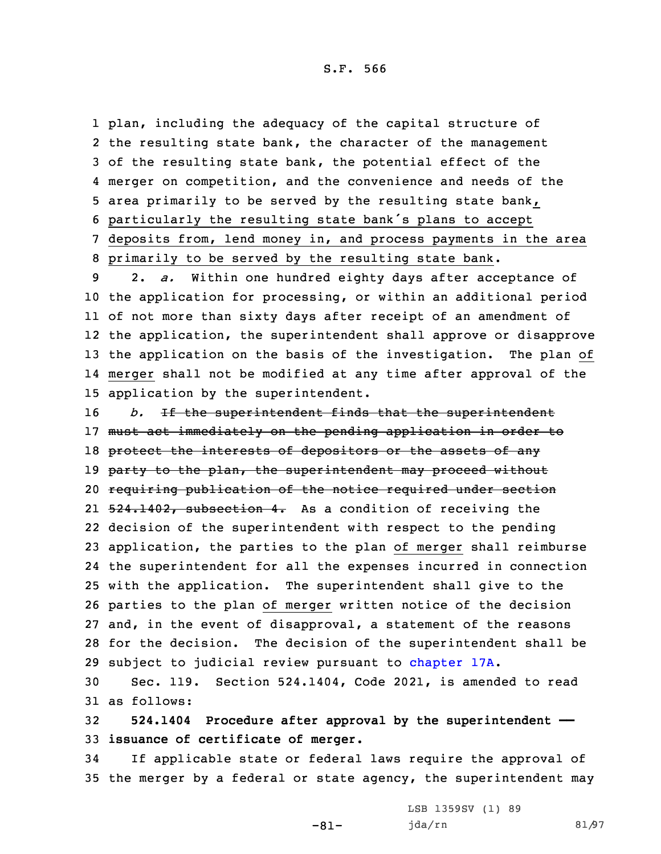plan, including the adequacy of the capital structure of the resulting state bank, the character of the management of the resulting state bank, the potential effect of the merger on competition, and the convenience and needs of the area primarily to be served by the resulting state bank, particularly the resulting state bank's plans to accept deposits from, lend money in, and process payments in the area primarily to be served by the resulting state bank.

 2. *a.* Within one hundred eighty days after acceptance of the application for processing, or within an additional period of not more than sixty days after receipt of an amendment of the application, the superintendent shall approve or disapprove the application on the basis of the investigation. The plan of merger shall not be modified at any time after approval of the application by the superintendent.

*b.* If the superintendent finds that the superintendent 17 must act immediately on the pending application in order to 18 protect the interests of depositors or the assets of any 19 party to the plan, the superintendent may proceed without requiring publication of the notice required under section 21 <del>524.1402, subsection 4.</del> As a condition of receiving the decision of the superintendent with respect to the pending application, the parties to the plan of merger shall reimburse the superintendent for all the expenses incurred in connection with the application. The superintendent shall give to the parties to the plan of merger written notice of the decision and, in the event of disapproval, <sup>a</sup> statement of the reasons for the decision. The decision of the superintendent shall be subject to judicial review pursuant to [chapter](https://www.legis.iowa.gov/docs/code/2021/17A.pdf) 17A.

30 Sec. 119. Section 524.1404, Code 2021, is amended to read 31 as follows:

32 **524.1404 Procedure after approval by the superintendent ——** 33 **issuance of certificate of merger.**

-81-

34 If applicable state or federal laws require the approval of 35 the merger by <sup>a</sup> federal or state agency, the superintendent may

> LSB 1359SV (1) 89 jda/rn 81/97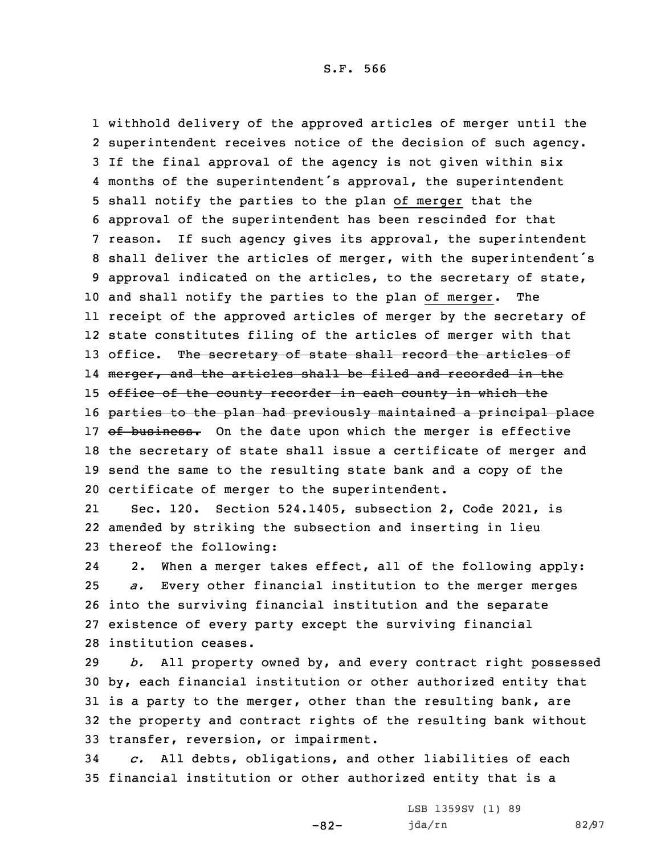withhold delivery of the approved articles of merger until the superintendent receives notice of the decision of such agency. If the final approval of the agency is not given within six months of the superintendent's approval, the superintendent shall notify the parties to the plan of merger that the approval of the superintendent has been rescinded for that reason. If such agency gives its approval, the superintendent shall deliver the articles of merger, with the superintendent's approval indicated on the articles, to the secretary of state, and shall notify the parties to the plan of merger. The receipt of the approved articles of merger by the secretary of state constitutes filing of the articles of merger with that 13 office. The secretary of state shall record the articles of l4 <del>merger, and the articles shall be filed and recorded in the</del> 15 office of the county recorder in each county in which the 16 parties to the plan had previously maintained a principal place 17 of business. On the date upon which the merger is effective the secretary of state shall issue <sup>a</sup> certificate of merger and send the same to the resulting state bank and <sup>a</sup> copy of the certificate of merger to the superintendent.

21 Sec. 120. Section 524.1405, subsection 2, Code 2021, is 22 amended by striking the subsection and inserting in lieu 23 thereof the following:

24 2. When <sup>a</sup> merger takes effect, all of the following apply: *a.* Every other financial institution to the merger merges into the surviving financial institution and the separate existence of every party except the surviving financial institution ceases.

 *b.* All property owned by, and every contract right possessed by, each financial institution or other authorized entity that 31 is a party to the merger, other than the resulting bank, are the property and contract rights of the resulting bank without transfer, reversion, or impairment.

34 *c.* All debts, obligations, and other liabilities of each 35 financial institution or other authorized entity that is <sup>a</sup>

-82-

LSB 1359SV (1) 89 jda/rn 82/97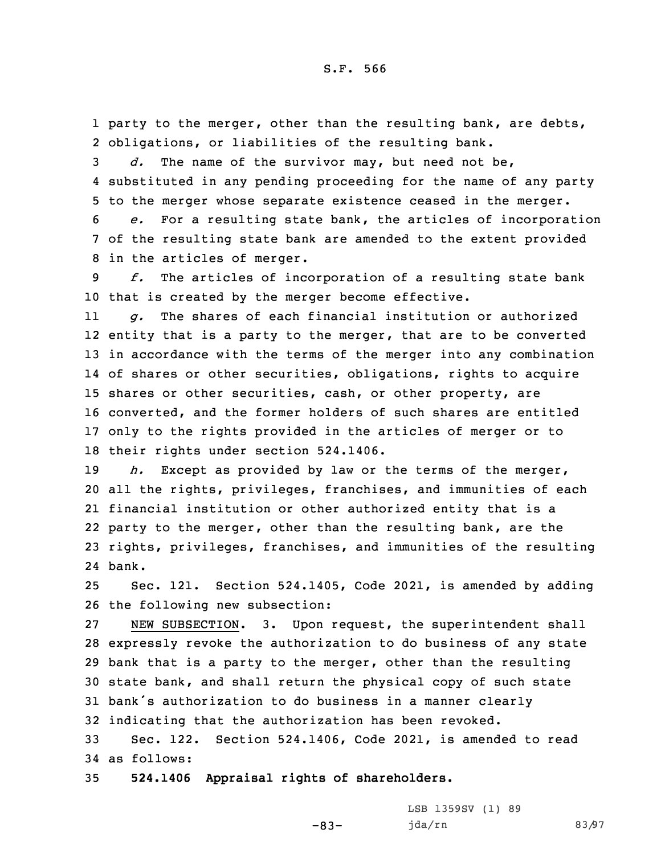1 party to the merger, other than the resulting bank, are debts, 2 obligations, or liabilities of the resulting bank.

3 *d.* The name of the survivor may, but need not be, 4 substituted in any pending proceeding for the name of any party 5 to the merger whose separate existence ceased in the merger.

6 *e.* For <sup>a</sup> resulting state bank, the articles of incorporation 7 of the resulting state bank are amended to the extent provided 8 in the articles of merger.

9 *f.* The articles of incorporation of <sup>a</sup> resulting state bank 10 that is created by the merger become effective.

11 *g.* The shares of each financial institution or authorized entity that is <sup>a</sup> party to the merger, that are to be converted in accordance with the terms of the merger into any combination of shares or other securities, obligations, rights to acquire shares or other securities, cash, or other property, are converted, and the former holders of such shares are entitled only to the rights provided in the articles of merger or to their rights under section 524.1406.

 *h.* Except as provided by law or the terms of the merger, all the rights, privileges, franchises, and immunities of each financial institution or other authorized entity that is <sup>a</sup> party to the merger, other than the resulting bank, are the rights, privileges, franchises, and immunities of the resulting 24 bank.

25 Sec. 121. Section 524.1405, Code 2021, is amended by adding 26 the following new subsection:

 NEW SUBSECTION. 3. Upon request, the superintendent shall expressly revoke the authorization to do business of any state bank that is <sup>a</sup> party to the merger, other than the resulting state bank, and shall return the physical copy of such state bank's authorization to do business in <sup>a</sup> manner clearly indicating that the authorization has been revoked.

33 Sec. 122. Section 524.1406, Code 2021, is amended to read 34 as follows:

-83-

35 **524.1406 Appraisal rights of shareholders.**

LSB 1359SV (1) 89 jda/rn 83/97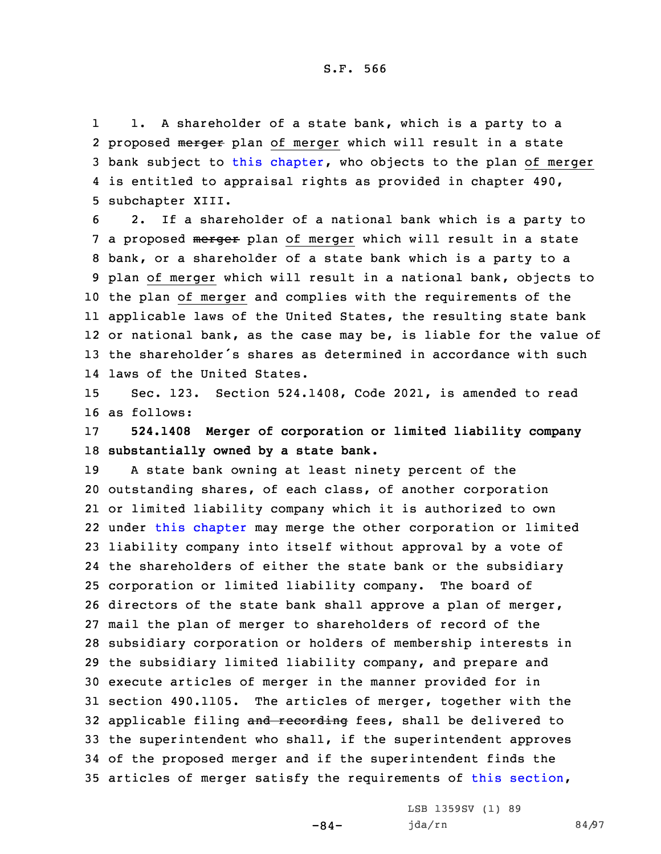1 1. <sup>A</sup> shareholder of <sup>a</sup> state bank, which is <sup>a</sup> party to <sup>a</sup> 2 proposed merger plan of merger which will result in a state 3 bank subject to this [chapter](https://www.legis.iowa.gov/docs/code/2021/524.pdf), who objects to the plan of merger 4 is entitled to appraisal rights as provided in chapter 490, 5 subchapter XIII.

 2. If <sup>a</sup> shareholder of <sup>a</sup> national bank which is <sup>a</sup> party to 7 a proposed merger plan of merger which will result in a state bank, or <sup>a</sup> shareholder of <sup>a</sup> state bank which is <sup>a</sup> party to <sup>a</sup> plan of merger which will result in <sup>a</sup> national bank, objects to the plan of merger and complies with the requirements of the applicable laws of the United States, the resulting state bank or national bank, as the case may be, is liable for the value of the shareholder's shares as determined in accordance with such laws of the United States.

15 Sec. 123. Section 524.1408, Code 2021, is amended to read 16 as follows:

17 **524.1408 Merger of corporation or limited liability company** 18 **substantially owned by <sup>a</sup> state bank.**

 <sup>A</sup> state bank owning at least ninety percent of the outstanding shares, of each class, of another corporation or limited liability company which it is authorized to own under this [chapter](https://www.legis.iowa.gov/docs/code/2021/524.pdf) may merge the other corporation or limited liability company into itself without approval by <sup>a</sup> vote of the shareholders of either the state bank or the subsidiary corporation or limited liability company. The board of directors of the state bank shall approve <sup>a</sup> plan of merger, mail the plan of merger to shareholders of record of the subsidiary corporation or holders of membership interests in the subsidiary limited liability company, and prepare and execute articles of merger in the manner provided for in section 490.1105. The articles of merger, together with the 32 applicable filing and recording fees, shall be delivered to the superintendent who shall, if the superintendent approves of the proposed merger and if the superintendent finds the articles of merger satisfy the requirements of this [section](https://www.legis.iowa.gov/docs/code/2021/524.1408.pdf),

 $-84-$ 

LSB 1359SV (1) 89 jda/rn 84/97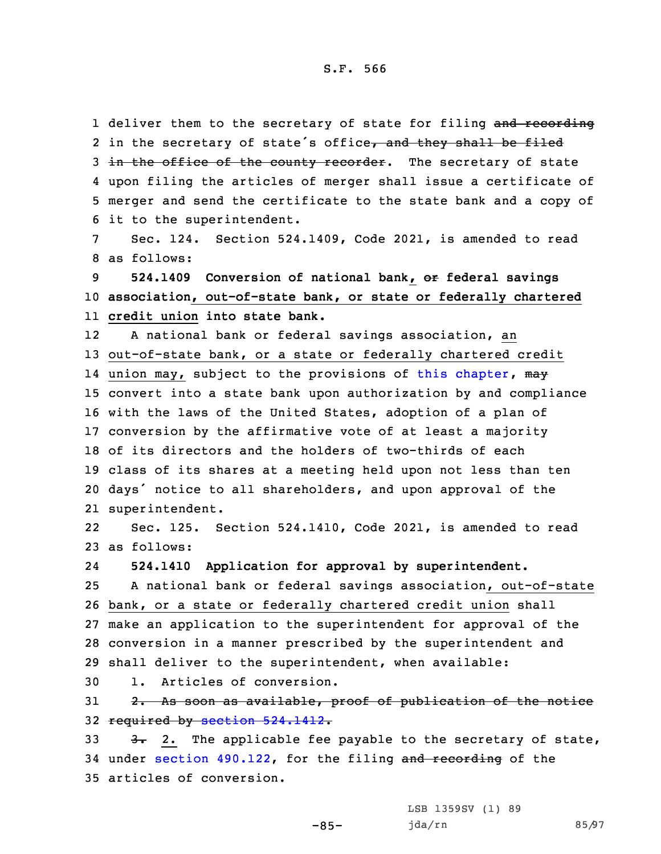1 deliver them to the secretary of state for filing and recording 2 in the secretary of state's office<del>, and they shall be filed</del> 3 in the office of the county recorder. The secretary of state 4 upon filing the articles of merger shall issue <sup>a</sup> certificate of 5 merger and send the certificate to the state bank and <sup>a</sup> copy of 6 it to the superintendent.

7 Sec. 124. Section 524.1409, Code 2021, is amended to read 8 as follows:

9 **524.1409 Conversion of national bank, or federal savings** 10 **association, out-of-state bank, or state or federally chartered** 11 **credit union into state bank.**

12 <sup>A</sup> national bank or federal savings association, an 13 out-of-state bank, or a state or federally chartered credit 14 union may, subject to the provisions of this [chapter](https://www.legis.iowa.gov/docs/code/2021/524.pdf), <del>may</del> convert into <sup>a</sup> state bank upon authorization by and compliance with the laws of the United States, adoption of <sup>a</sup> plan of conversion by the affirmative vote of at least <sup>a</sup> majority of its directors and the holders of two-thirds of each class of its shares at <sup>a</sup> meeting held upon not less than ten days' notice to all shareholders, and upon approval of the superintendent.

22 Sec. 125. Section 524.1410, Code 2021, is amended to read 23 as follows:

24**524.1410 Application for approval by superintendent.**

 <sup>A</sup> national bank or federal savings association, out-of-state bank, or <sup>a</sup> state or federally chartered credit union shall make an application to the superintendent for approval of the conversion in <sup>a</sup> manner prescribed by the superintendent and shall deliver to the superintendent, when available:

30 1. Articles of conversion.

31 2. As soon as available, proof of publication of the notice 32 required by section [524.1412](https://www.legis.iowa.gov/docs/code/2021/524.1412.pdf).

33  $3.3$   $3.2$ . The applicable fee payable to the secretary of state, 34 under section [490.122](https://www.legis.iowa.gov/docs/code/2021/490.122.pdf), for the filing and recording of the 35 articles of conversion.

-85-

LSB 1359SV (1) 89 jda/rn 85/97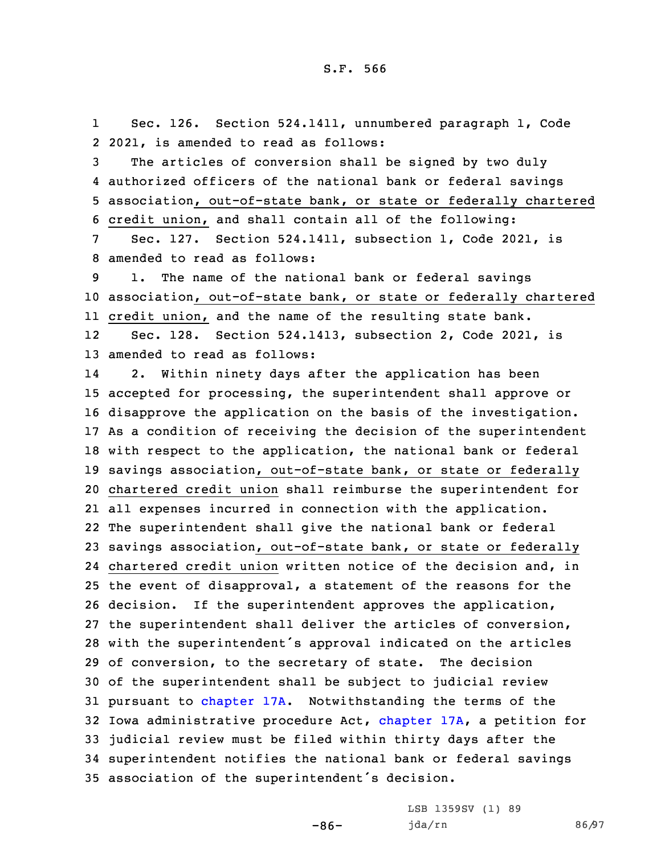1 Sec. 126. Section 524.1411, unnumbered paragraph 1, Code 2 2021, is amended to read as follows:

 The articles of conversion shall be signed by two duly authorized officers of the national bank or federal savings association, out-of-state bank, or state or federally chartered credit union, and shall contain all of the following:

7 Sec. 127. Section 524.1411, subsection 1, Code 2021, is 8 amended to read as follows:

9 1. The name of the national bank or federal savings 10 association, out-of-state bank, or state or federally chartered 11 credit union, and the name of the resulting state bank.

12 Sec. 128. Section 524.1413, subsection 2, Code 2021, is 13 amended to read as follows:

14 2. Within ninety days after the application has been accepted for processing, the superintendent shall approve or disapprove the application on the basis of the investigation. As <sup>a</sup> condition of receiving the decision of the superintendent with respect to the application, the national bank or federal savings association, out-of-state bank, or state or federally chartered credit union shall reimburse the superintendent for all expenses incurred in connection with the application. The superintendent shall give the national bank or federal savings association, out-of-state bank, or state or federally chartered credit union written notice of the decision and, in the event of disapproval, <sup>a</sup> statement of the reasons for the decision. If the superintendent approves the application, the superintendent shall deliver the articles of conversion, with the superintendent's approval indicated on the articles of conversion, to the secretary of state. The decision of the superintendent shall be subject to judicial review pursuant to [chapter](https://www.legis.iowa.gov/docs/code/2021/17A.pdf) 17A. Notwithstanding the terms of the Iowa administrative procedure Act, [chapter](https://www.legis.iowa.gov/docs/code/2021/17A.pdf) 17A, <sup>a</sup> petition for judicial review must be filed within thirty days after the superintendent notifies the national bank or federal savings association of the superintendent's decision.

-86-

LSB 1359SV (1) 89 jda/rn 86/97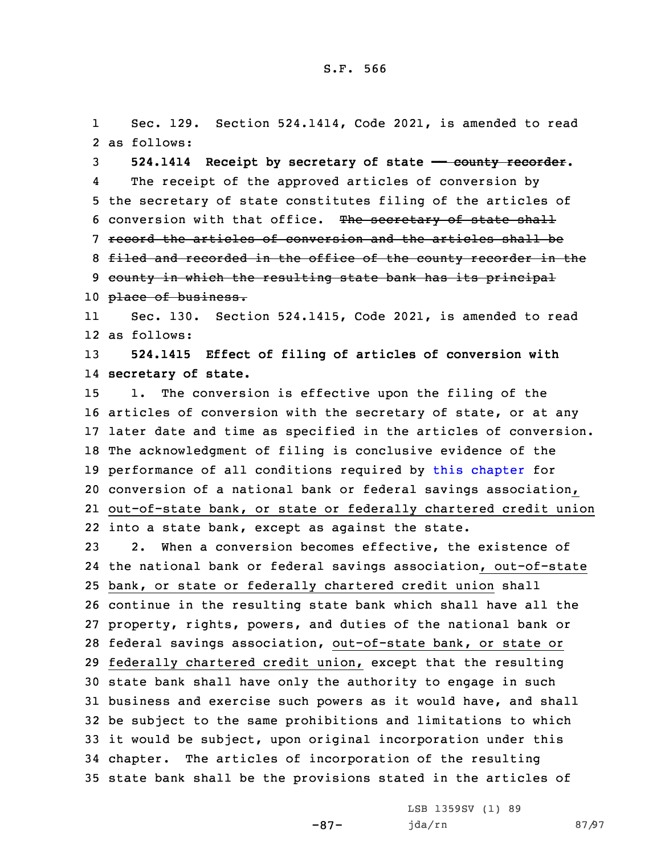1 Sec. 129. Section 524.1414, Code 2021, is amended to read 2 as follows:

3 **524.1414 Receipt by secretary of state —— county recorder.** 4 The receipt of the approved articles of conversion by 5 the secretary of state constitutes filing of the articles of 6 conversion with that office. The secretary of state shall 7 record the articles of conversion and the articles shall be 8 filed and recorded in the office of the county recorder in the 9 county in which the resulting state bank has its principal 10 place of business.

11 Sec. 130. Section 524.1415, Code 2021, is amended to read 12 as follows:

13 **524.1415 Effect of filing of articles of conversion with** 14 **secretary of state.**

 1. The conversion is effective upon the filing of the articles of conversion with the secretary of state, or at any later date and time as specified in the articles of conversion. The acknowledgment of filing is conclusive evidence of the performance of all conditions required by this [chapter](https://www.legis.iowa.gov/docs/code/2021/524.pdf) for conversion of <sup>a</sup> national bank or federal savings association, out-of-state bank, or state or federally chartered credit union into <sup>a</sup> state bank, except as against the state.

 2. When <sup>a</sup> conversion becomes effective, the existence of the national bank or federal savings association, out-of-state bank, or state or federally chartered credit union shall continue in the resulting state bank which shall have all the property, rights, powers, and duties of the national bank or federal savings association, out-of-state bank, or state or federally chartered credit union, except that the resulting state bank shall have only the authority to engage in such business and exercise such powers as it would have, and shall be subject to the same prohibitions and limitations to which it would be subject, upon original incorporation under this chapter. The articles of incorporation of the resulting state bank shall be the provisions stated in the articles of

-87-

LSB 1359SV (1) 89 jda/rn 87/97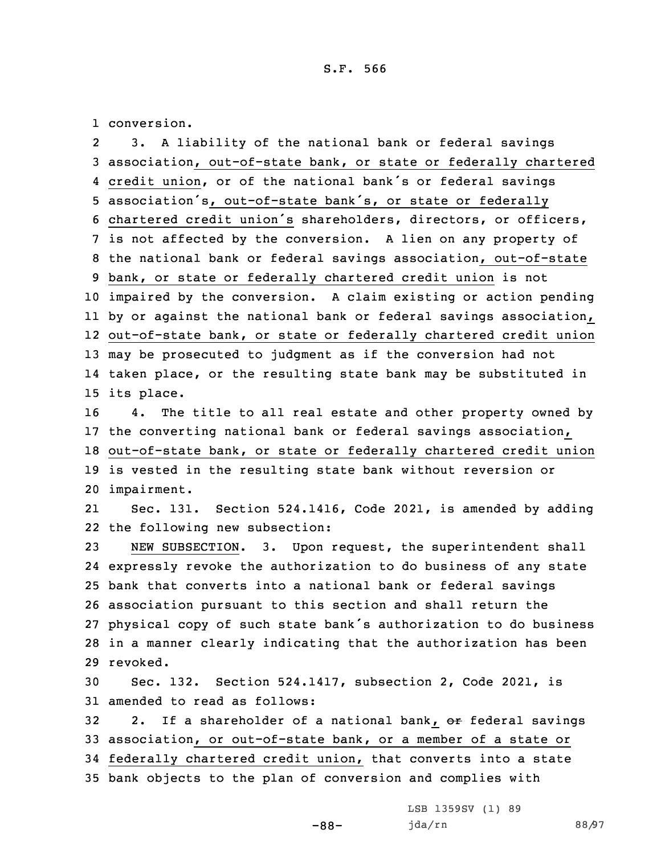1 conversion.

2 3. <sup>A</sup> liability of the national bank or federal savings association, out-of-state bank, or state or federally chartered credit union, or of the national bank's or federal savings association's, out-of-state bank's, or state or federally chartered credit union's shareholders, directors, or officers, is not affected by the conversion. <sup>A</sup> lien on any property of the national bank or federal savings association, out-of-state bank, or state or federally chartered credit union is not impaired by the conversion. <sup>A</sup> claim existing or action pending by or against the national bank or federal savings association, out-of-state bank, or state or federally chartered credit union may be prosecuted to judgment as if the conversion had not taken place, or the resulting state bank may be substituted in its place. 4. The title to all real estate and other property owned by the converting national bank or federal savings association, out-of-state bank, or state or federally chartered credit union is vested in the resulting state bank without reversion or impairment. 21 Sec. 131. Section 524.1416, Code 2021, is amended by adding the following new subsection: NEW SUBSECTION. 3. Upon request, the superintendent shall expressly revoke the authorization to do business of any state bank that converts into <sup>a</sup> national bank or federal savings association pursuant to this section and shall return the physical copy of such state bank's authorization to do business in <sup>a</sup> manner clearly indicating that the authorization has been 29 revoked. Sec. 132. Section 524.1417, subsection 2, Code 2021, is amended to read as follows: 32 2. If a shareholder of a national bank, or federal savings association, or out-of-state bank, or <sup>a</sup> member of <sup>a</sup> state or federally chartered credit union, that converts into <sup>a</sup> state bank objects to the plan of conversion and complies with

-88-

LSB 1359SV (1) 89 jda/rn 88/97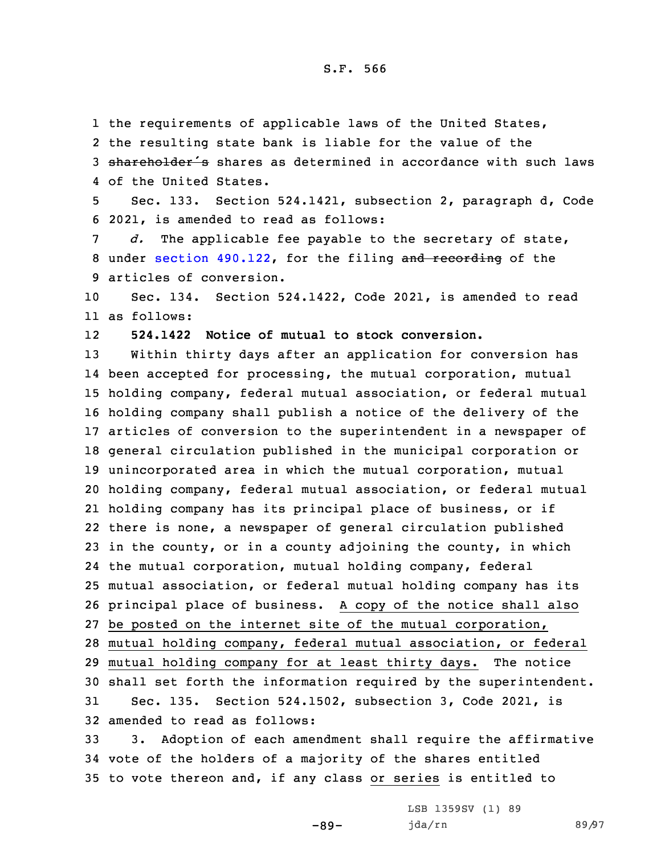the requirements of applicable laws of the United States, the resulting state bank is liable for the value of the 3 shareholder's shares as determined in accordance with such laws of the United States.

5 Sec. 133. Section 524.1421, subsection 2, paragraph d, Code 6 2021, is amended to read as follows:

7 *d.* The applicable fee payable to the secretary of state, 8 under section [490.122](https://www.legis.iowa.gov/docs/code/2021/490.122.pdf), for the filing and recording of the 9 articles of conversion.

10 Sec. 134. Section 524.1422, Code 2021, is amended to read 11 as follows:

12**524.1422 Notice of mutual to stock conversion.**

 Within thirty days after an application for conversion has been accepted for processing, the mutual corporation, mutual holding company, federal mutual association, or federal mutual holding company shall publish <sup>a</sup> notice of the delivery of the articles of conversion to the superintendent in <sup>a</sup> newspaper of general circulation published in the municipal corporation or unincorporated area in which the mutual corporation, mutual holding company, federal mutual association, or federal mutual holding company has its principal place of business, or if there is none, <sup>a</sup> newspaper of general circulation published in the county, or in <sup>a</sup> county adjoining the county, in which the mutual corporation, mutual holding company, federal mutual association, or federal mutual holding company has its principal place of business. <sup>A</sup> copy of the notice shall also be posted on the internet site of the mutual corporation, mutual holding company, federal mutual association, or federal mutual holding company for at least thirty days. The notice shall set forth the information required by the superintendent. Sec. 135. Section 524.1502, subsection 3, Code 2021, is amended to read as follows:

33 3. Adoption of each amendment shall require the affirmative 34 vote of the holders of <sup>a</sup> majority of the shares entitled 35 to vote thereon and, if any class or series is entitled to

-89-

LSB 1359SV (1) 89 jda/rn 89/97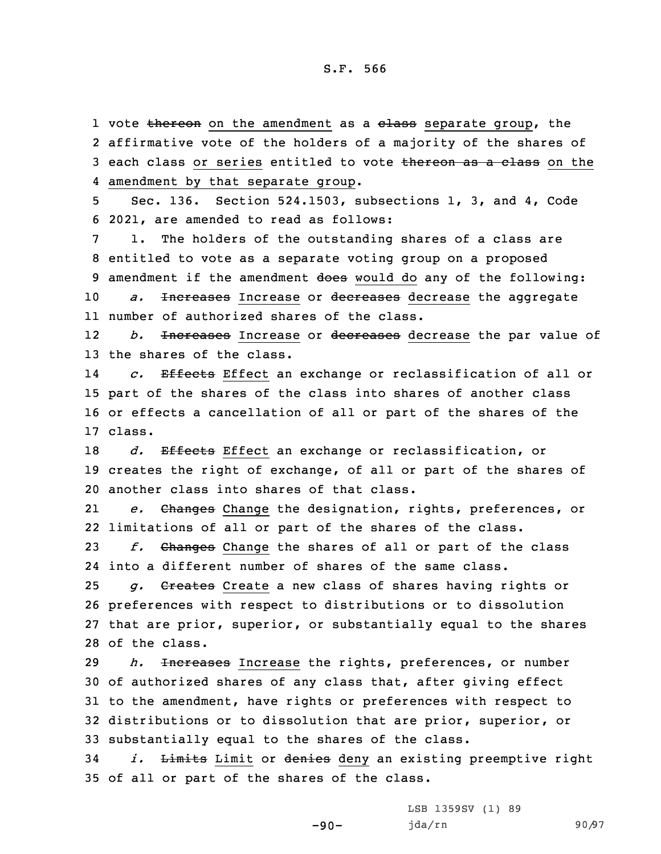1 vote <del>thereon</del> on the amendment as a <del>class</del> separate group, the 2 affirmative vote of the holders of <sup>a</sup> majority of the shares of 3 each class or series entitled to vote thereon as a class on the 4 amendment by that separate group.

5 Sec. 136. Section 524.1503, subsections 1, 3, and 4, Code 6 2021, are amended to read as follows:

 1. The holders of the outstanding shares of <sup>a</sup> class are entitled to vote as <sup>a</sup> separate voting group on <sup>a</sup> proposed 9 amendment if the amendment does would do any of the following: *a.* Increases Increase or decreases decrease the aggregate number of authorized shares of the class.

12 *b.* Increases Increase or decreases decrease the par value of 13 the shares of the class.

14 *c.* Effects Effect an exchange or reclassification of all or 15 part of the shares of the class into shares of another class 16 or effects <sup>a</sup> cancellation of all or part of the shares of the 17 class.

18 *d.* Effects Effect an exchange or reclassification, or 19 creates the right of exchange, of all or part of the shares of 20 another class into shares of that class.

21 *e.* Changes Change the designation, rights, preferences, or 22 limitations of all or part of the shares of the class.

23 *f.* Changes Change the shares of all or part of the class 24 into <sup>a</sup> different number of shares of the same class.

 *g.* Creates Create <sup>a</sup> new class of shares having rights or preferences with respect to distributions or to dissolution that are prior, superior, or substantially equal to the shares of the class.

 *h.* Increases Increase the rights, preferences, or number of authorized shares of any class that, after giving effect to the amendment, have rights or preferences with respect to distributions or to dissolution that are prior, superior, or substantially equal to the shares of the class.

34 *i.* Limits Limit or denies deny an existing preemptive right 35 of all or part of the shares of the class.

-90-

LSB 1359SV (1) 89 jda/rn 90/97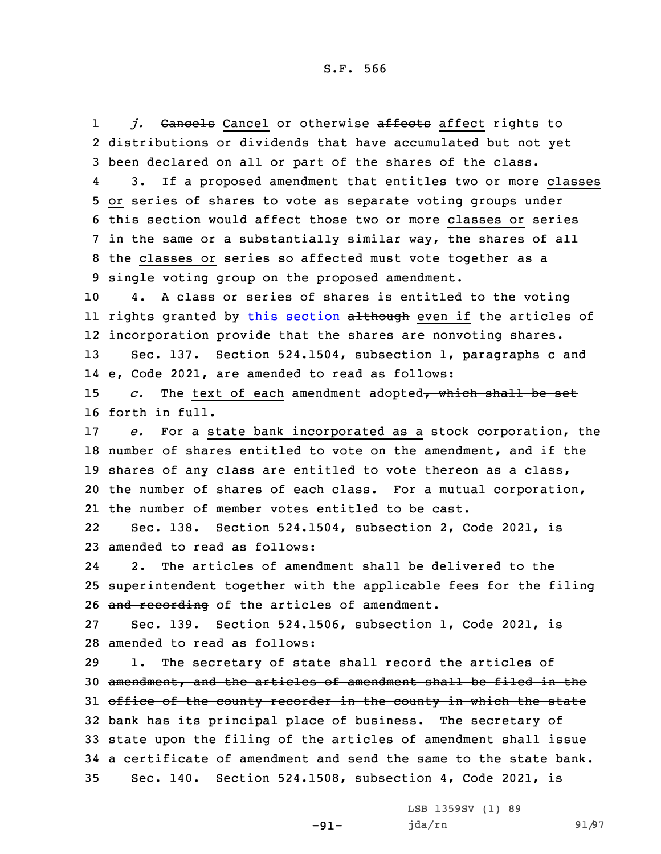1j. Cancels Cancel or otherwise affects affect rights to 2 distributions or dividends that have accumulated but not yet 3 been declared on all or part of the shares of the class.

4 3. If <sup>a</sup> proposed amendment that entitles two or more classes or series of shares to vote as separate voting groups under this section would affect those two or more classes or series in the same or <sup>a</sup> substantially similar way, the shares of all the classes or series so affected must vote together as <sup>a</sup> single voting group on the proposed amendment.

10 4. <sup>A</sup> class or series of shares is entitled to the voting ll rights granted by this [section](https://www.legis.iowa.gov/docs/code/2021/524.1503.pdf) <del>although</del> even if the articles of 12 incorporation provide that the shares are nonvoting shares.

13 Sec. 137. Section 524.1504, subsection 1, paragraphs <sup>c</sup> and 14 e, Code 2021, are amended to read as follows:

15 *c.* The text of each amendment adopted, which shall be set 16 forth in full.

 *e.* For <sup>a</sup> state bank incorporated as <sup>a</sup> stock corporation, the number of shares entitled to vote on the amendment, and if the shares of any class are entitled to vote thereon as <sup>a</sup> class, the number of shares of each class. For <sup>a</sup> mutual corporation, the number of member votes entitled to be cast.

22 Sec. 138. Section 524.1504, subsection 2, Code 2021, is 23 amended to read as follows:

24 2. The articles of amendment shall be delivered to the 25 superintendent together with the applicable fees for the filing 26 and recording of the articles of amendment.

27 Sec. 139. Section 524.1506, subsection 1, Code 2021, is 28 amended to read as follows:

29 1. The secretary of state shall record the articles of 30 amendment, and the articles of amendment shall be filed in the 31 office of the county recorder in the county in which the state 32 bank has its principal place of business. The secretary of 33 state upon the filing of the articles of amendment shall issue 34 <sup>a</sup> certificate of amendment and send the same to the state bank. 35 Sec. 140. Section 524.1508, subsection 4, Code 2021, is

-91-

LSB 1359SV (1) 89 jda/rn 91/97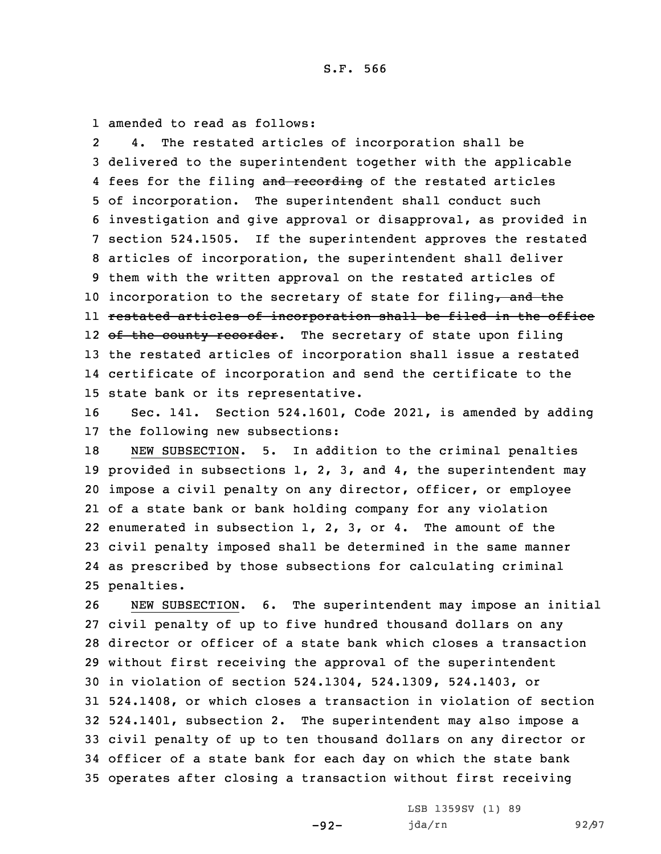1 amended to read as follows:

2 4. The restated articles of incorporation shall be delivered to the superintendent together with the applicable 4 fees for the filing and recording of the restated articles of incorporation. The superintendent shall conduct such investigation and give approval or disapproval, as provided in section 524.1505. If the superintendent approves the restated articles of incorporation, the superintendent shall deliver them with the written approval on the restated articles of 10 incorporation to the secretary of state for filing, and the restated articles of incorporation shall be filed in the office 12 <del>of the county recorder</del>. The secretary of state upon filing the restated articles of incorporation shall issue <sup>a</sup> restated certificate of incorporation and send the certificate to the state bank or its representative.

16 Sec. 141. Section 524.1601, Code 2021, is amended by adding 17 the following new subsections:

 NEW SUBSECTION. 5. In addition to the criminal penalties provided in subsections 1, 2, 3, and 4, the superintendent may impose <sup>a</sup> civil penalty on any director, officer, or employee of <sup>a</sup> state bank or bank holding company for any violation enumerated in subsection 1, 2, 3, or 4. The amount of the civil penalty imposed shall be determined in the same manner as prescribed by those subsections for calculating criminal penalties.

 NEW SUBSECTION. 6. The superintendent may impose an initial civil penalty of up to five hundred thousand dollars on any director or officer of <sup>a</sup> state bank which closes <sup>a</sup> transaction without first receiving the approval of the superintendent in violation of section 524.1304, 524.1309, 524.1403, or 524.1408, or which closes <sup>a</sup> transaction in violation of section 524.1401, subsection 2. The superintendent may also impose <sup>a</sup> civil penalty of up to ten thousand dollars on any director or officer of <sup>a</sup> state bank for each day on which the state bank operates after closing <sup>a</sup> transaction without first receiving

-92-

LSB 1359SV (1) 89 jda/rn 92/97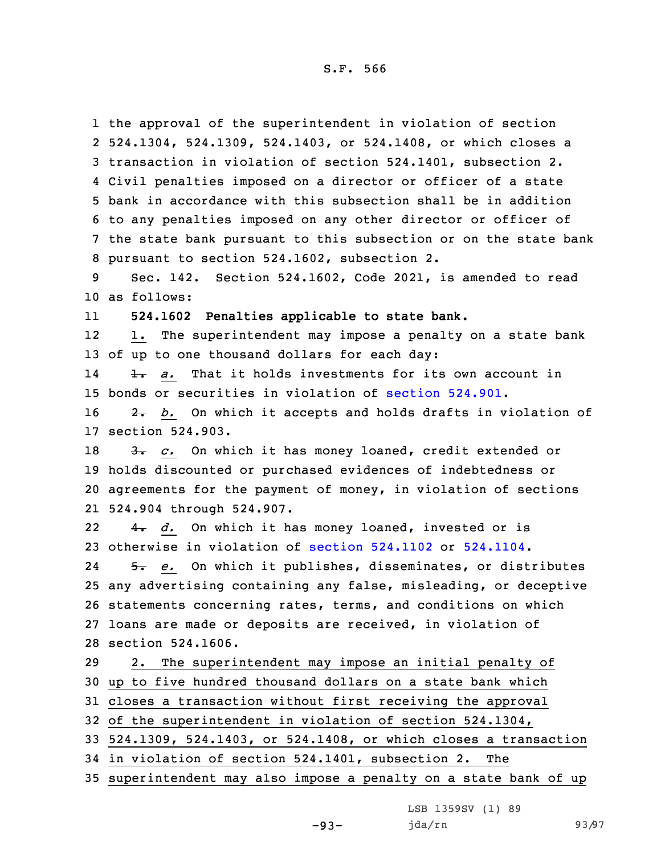the approval of the superintendent in violation of section 524.1304, 524.1309, 524.1403, or 524.1408, or which closes <sup>a</sup> transaction in violation of section 524.1401, subsection 2. Civil penalties imposed on <sup>a</sup> director or officer of <sup>a</sup> state bank in accordance with this subsection shall be in addition to any penalties imposed on any other director or officer of the state bank pursuant to this subsection or on the state bank pursuant to section 524.1602, subsection 2.

9 Sec. 142. Section 524.1602, Code 2021, is amended to read 10 as follows:

11**524.1602 Penalties applicable to state bank.**

12 1. The superintendent may impose <sup>a</sup> penalty on <sup>a</sup> state bank 13 of up to one thousand dollars for each day:

14 1. *a.* That it holds investments for its own account in 15 bonds or securities in violation of [section](https://www.legis.iowa.gov/docs/code/2021/524.901.pdf) 524.901.

16 2. *b.* On which it accepts and holds drafts in violation of 17 section 524.903.

18 3. *c.* On which it has money loaned, credit extended or holds discounted or purchased evidences of indebtedness or agreements for the payment of money, in violation of sections 524.904 through 524.907.

22 4. *d.* On which it has money loaned, invested or is 23 otherwise in violation of section [524.1102](https://www.legis.iowa.gov/docs/code/2021/524.1102.pdf) or [524.1104](https://www.legis.iowa.gov/docs/code/2021/524.1104.pdf).

24 5. *e.* On which it publishes, disseminates, or distributes any advertising containing any false, misleading, or deceptive statements concerning rates, terms, and conditions on which loans are made or deposits are received, in violation of section 524.1606.

 2. The superintendent may impose an initial penalty of up to five hundred thousand dollars on <sup>a</sup> state bank which closes <sup>a</sup> transaction without first receiving the approval of the superintendent in violation of section 524.1304,

33 524.1309, 524.1403, or 524.1408, or which closes <sup>a</sup> transaction

34 in violation of section 524.1401, subsection 2. The

35 superintendent may also impose <sup>a</sup> penalty on <sup>a</sup> state bank of up

LSB 1359SV (1) 89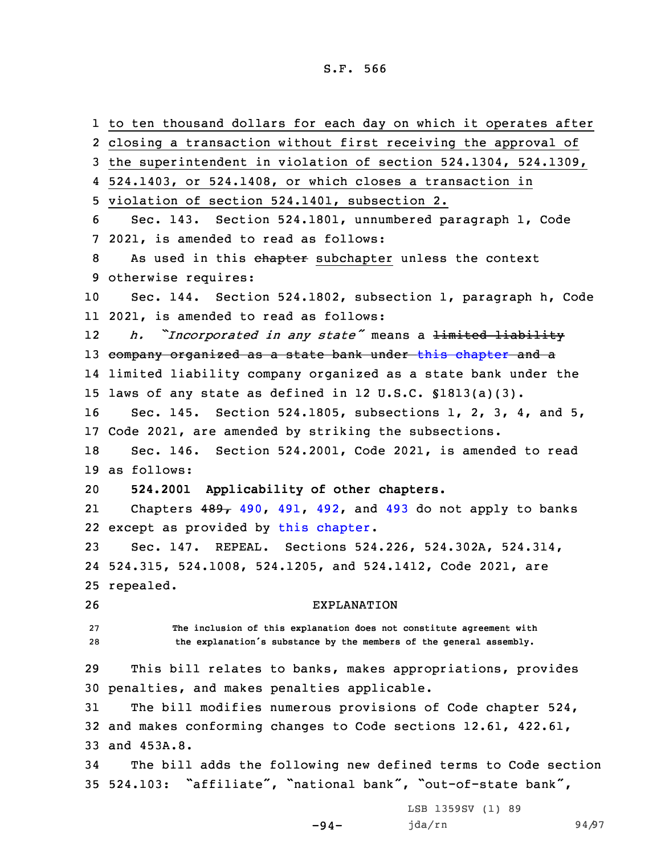to ten thousand dollars for each day on which it operates after closing <sup>a</sup> transaction without first receiving the approval of the superintendent in violation of section 524.1304, 524.1309, 524.1403, or 524.1408, or which closes <sup>a</sup> transaction in violation of section 524.1401, subsection 2. Sec. 143. Section 524.1801, unnumbered paragraph 1, Code 2021, is amended to read as follows: 8 As used in this chapter subchapter unless the context otherwise requires: Sec. 144. Section 524.1802, subsection 1, paragraph h, Code 2021, is amended to read as follows: 12 *h. "Incorporated in any state"* means <sup>a</sup> limited liability 13 company organized as a state bank under this [chapter](https://www.legis.iowa.gov/docs/code/2021/524.pdf) and a limited liability company organized as <sup>a</sup> state bank under the laws of any state as defined in 12 U.S.C. §1813(a)(3). Sec. 145. Section 524.1805, subsections 1, 2, 3, 4, and 5, Code 2021, are amended by striking the subsections. Sec. 146. Section 524.2001, Code 2021, is amended to read as follows: **524.2001 Applicability of other chapters.** 21Chapters  $489$ ,  $490$ ,  $491$ ,  $492$ , and  $493$  do not apply to banks except as provided by this [chapter](https://www.legis.iowa.gov/docs/code/2021/524.pdf). Sec. 147. REPEAL. Sections 524.226, 524.302A, 524.314, 524.315, 524.1008, 524.1205, and 524.1412, Code 2021, are repealed. EXPLANATION **The inclusion of this explanation does not constitute agreement with the explanation's substance by the members of the general assembly.** This bill relates to banks, makes appropriations, provides penalties, and makes penalties applicable. The bill modifies numerous provisions of Code chapter 524, and makes conforming changes to Code sections 12.61, 422.61, and 453A.8. The bill adds the following new defined terms to Code section 524.103: "affiliate", "national bank", "out-of-state bank", LSB 1359SV (1) 89

-94-

jda/rn 94/97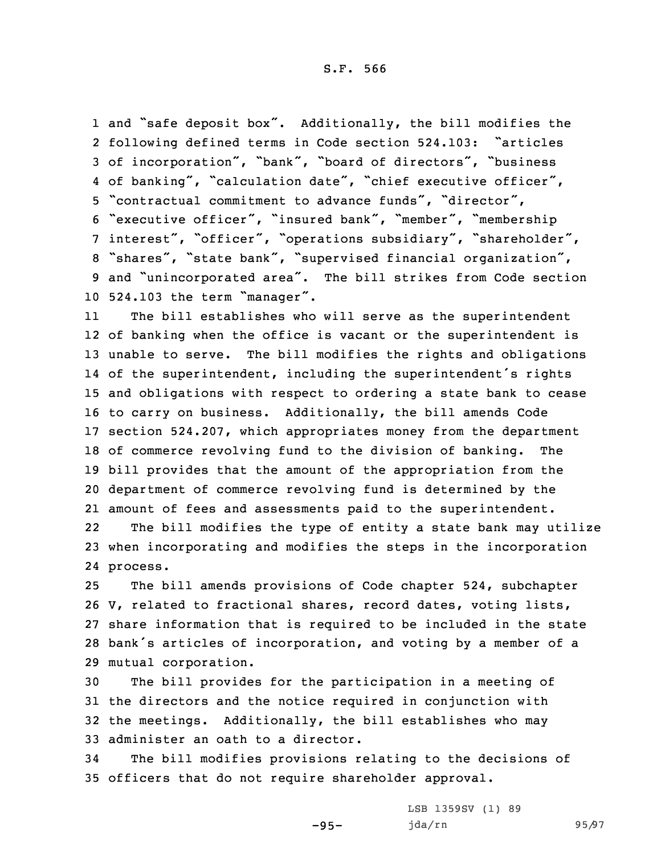and "safe deposit box". Additionally, the bill modifies the following defined terms in Code section 524.103: "articles of incorporation", "bank", "board of directors", "business 4 of banking", "calculation date", "chief executive officer", "contractual commitment to advance funds", "director", "executive officer", "insured bank", "member", "membership interest", "officer", "operations subsidiary", "shareholder", "shares", "state bank", "supervised financial organization", and "unincorporated area". The bill strikes from Code section 524.103 the term "manager".

11 The bill establishes who will serve as the superintendent of banking when the office is vacant or the superintendent is unable to serve. The bill modifies the rights and obligations of the superintendent, including the superintendent's rights and obligations with respect to ordering <sup>a</sup> state bank to cease to carry on business. Additionally, the bill amends Code section 524.207, which appropriates money from the department of commerce revolving fund to the division of banking. The bill provides that the amount of the appropriation from the department of commerce revolving fund is determined by the amount of fees and assessments paid to the superintendent.

22 The bill modifies the type of entity <sup>a</sup> state bank may utilize 23 when incorporating and modifies the steps in the incorporation 24 process.

 The bill amends provisions of Code chapter 524, subchapter V, related to fractional shares, record dates, voting lists, share information that is required to be included in the state bank's articles of incorporation, and voting by <sup>a</sup> member of <sup>a</sup> mutual corporation.

 The bill provides for the participation in <sup>a</sup> meeting of the directors and the notice required in conjunction with the meetings. Additionally, the bill establishes who may administer an oath to <sup>a</sup> director.

34 The bill modifies provisions relating to the decisions of 35 officers that do not require shareholder approval.

-95-

LSB 1359SV (1) 89 jda/rn 95/97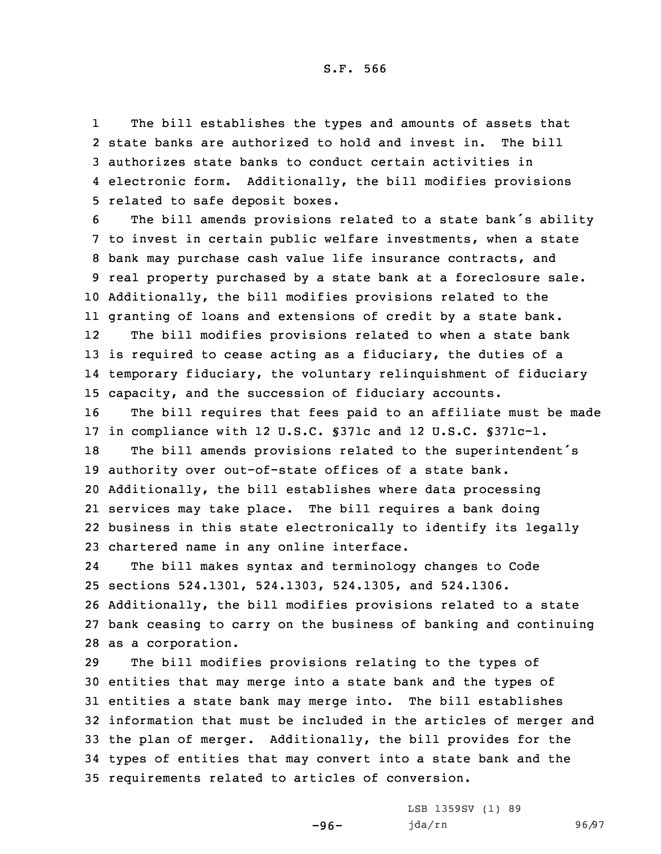1 The bill establishes the types and amounts of assets that state banks are authorized to hold and invest in. The bill authorizes state banks to conduct certain activities in electronic form. Additionally, the bill modifies provisions related to safe deposit boxes.

 The bill amends provisions related to <sup>a</sup> state bank's ability to invest in certain public welfare investments, when <sup>a</sup> state bank may purchase cash value life insurance contracts, and real property purchased by <sup>a</sup> state bank at <sup>a</sup> foreclosure sale. Additionally, the bill modifies provisions related to the granting of loans and extensions of credit by <sup>a</sup> state bank.

12 The bill modifies provisions related to when <sup>a</sup> state bank 13 is required to cease acting as a fiduciary, the duties of a 14 temporary fiduciary, the voluntary relinquishment of fiduciary 15 capacity, and the succession of fiduciary accounts.

16 The bill requires that fees paid to an affiliate must be made 17 in compliance with 12 U.S.C. §371c and 12 U.S.C. §371c-1.

 The bill amends provisions related to the superintendent's authority over out-of-state offices of <sup>a</sup> state bank. Additionally, the bill establishes where data processing services may take place. The bill requires <sup>a</sup> bank doing business in this state electronically to identify its legally chartered name in any online interface.

24 The bill makes syntax and terminology changes to Code sections 524.1301, 524.1303, 524.1305, and 524.1306. Additionally, the bill modifies provisions related to <sup>a</sup> state bank ceasing to carry on the business of banking and continuing as <sup>a</sup> corporation.

 The bill modifies provisions relating to the types of entities that may merge into <sup>a</sup> state bank and the types of entities <sup>a</sup> state bank may merge into. The bill establishes information that must be included in the articles of merger and the plan of merger. Additionally, the bill provides for the types of entities that may convert into <sup>a</sup> state bank and the requirements related to articles of conversion.

-96-

LSB 1359SV (1) 89 jda/rn 96/97